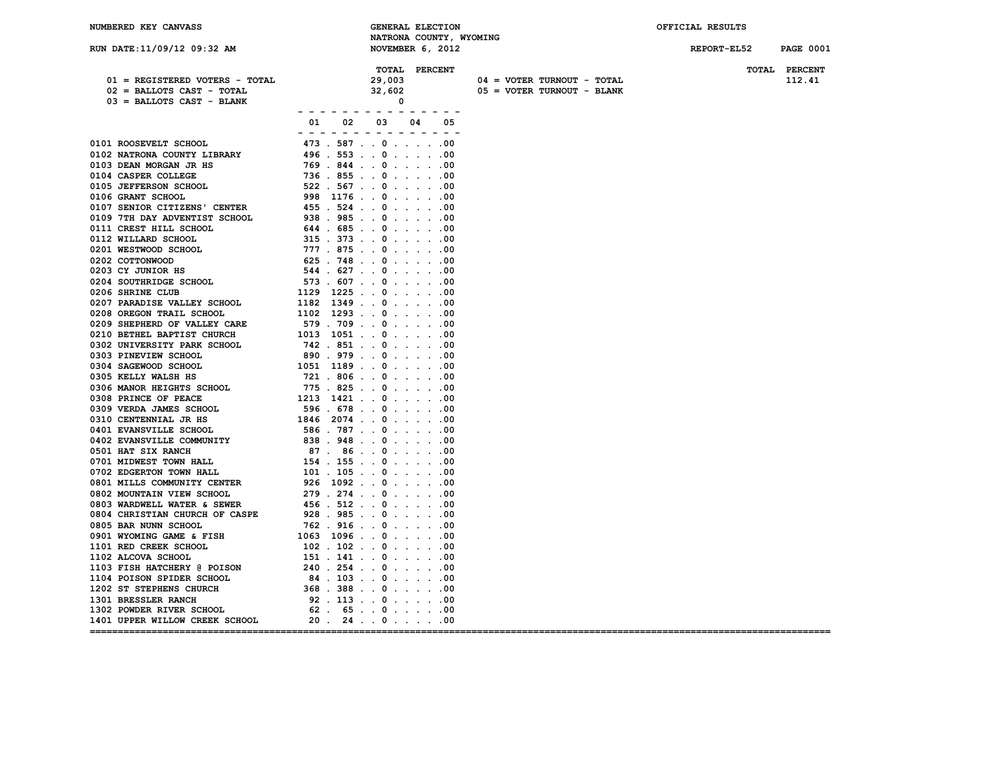| NUMBERED KEY CANVASS           | <b>GENERAL ELECTION</b>                                                                                                                                                                                                                                                                                                                                                                                                                        |                                     | OFFICIAL RESULTS                |
|--------------------------------|------------------------------------------------------------------------------------------------------------------------------------------------------------------------------------------------------------------------------------------------------------------------------------------------------------------------------------------------------------------------------------------------------------------------------------------------|-------------------------------------|---------------------------------|
|                                | NATRONA COUNTY, WYOMING                                                                                                                                                                                                                                                                                                                                                                                                                        |                                     |                                 |
| RUN DATE:11/09/12 09:32 AM     | NOVEMBER 6, 2012                                                                                                                                                                                                                                                                                                                                                                                                                               |                                     | REPORT-EL52<br><b>PAGE 0001</b> |
|                                |                                                                                                                                                                                                                                                                                                                                                                                                                                                |                                     |                                 |
|                                | TOTAL PERCENT                                                                                                                                                                                                                                                                                                                                                                                                                                  |                                     | TOTAL PERCENT                   |
| 01 = REGISTERED VOTERS - TOTAL | 29,003                                                                                                                                                                                                                                                                                                                                                                                                                                         | 04 = VOTER TURNOUT - TOTAL          | 112.41                          |
| $02$ = BALLOTS CAST - TOTAL    | 32,602                                                                                                                                                                                                                                                                                                                                                                                                                                         | 05 = VOTER TURNOUT - BLANK          |                                 |
| 03 = BALLOTS CAST - BLANK      | $\mathbf 0$                                                                                                                                                                                                                                                                                                                                                                                                                                    |                                     |                                 |
|                                | $\overline{\phantom{a}}$<br>$\overline{\phantom{a}}$                                                                                                                                                                                                                                                                                                                                                                                           |                                     |                                 |
|                                | 01<br>02<br>03<br>04<br>05                                                                                                                                                                                                                                                                                                                                                                                                                     |                                     |                                 |
|                                | $\frac{1}{2} \left( \frac{1}{2} \right) + \frac{1}{2} \left( \frac{1}{2} \right) + \frac{1}{2} \left( \frac{1}{2} \right) + \frac{1}{2} \left( \frac{1}{2} \right) + \frac{1}{2} \left( \frac{1}{2} \right) + \frac{1}{2} \left( \frac{1}{2} \right) + \frac{1}{2} \left( \frac{1}{2} \right) + \frac{1}{2} \left( \frac{1}{2} \right) + \frac{1}{2} \left( \frac{1}{2} \right) + \frac{1}{2} \left( \frac{1}{2} \right) + \frac{1}{2} \left($ |                                     |                                 |
| 0101 ROOSEVELT SCHOOL          | 473 . 587 000                                                                                                                                                                                                                                                                                                                                                                                                                                  |                                     |                                 |
| 0102 NATRONA COUNTY LIBRARY    | 496.553000                                                                                                                                                                                                                                                                                                                                                                                                                                     |                                     |                                 |
| 0103 DEAN MORGAN JR HS         | 769.844.0.0.0.00                                                                                                                                                                                                                                                                                                                                                                                                                               |                                     |                                 |
| 0104 CASPER COLLEGE            | $736$ $855$ $\ldots$ 0 $\ldots$ $\ldots$ 00                                                                                                                                                                                                                                                                                                                                                                                                    |                                     |                                 |
| 0105 JEFFERSON SCHOOL          | $522$ . $567$ 000                                                                                                                                                                                                                                                                                                                                                                                                                              |                                     |                                 |
| 0106 GRANT SCHOOL              | $998$ 1176 000                                                                                                                                                                                                                                                                                                                                                                                                                                 |                                     |                                 |
| 0107 SENIOR CITIZENS' CENTER   | 455 . 524 000                                                                                                                                                                                                                                                                                                                                                                                                                                  |                                     |                                 |
| 0109 7TH DAY ADVENTIST SCHOOL  | $938$ . $985$ 000                                                                                                                                                                                                                                                                                                                                                                                                                              |                                     |                                 |
| 0111 CREST HILL SCHOOL         | $644$ $.685$ $.0$ $.1$ $.00$                                                                                                                                                                                                                                                                                                                                                                                                                   |                                     |                                 |
| 0112 WILLARD SCHOOL            | $315$ . $373$ 000                                                                                                                                                                                                                                                                                                                                                                                                                              |                                     |                                 |
| 0201 WESTWOOD SCHOOL           | 777 . 875 000                                                                                                                                                                                                                                                                                                                                                                                                                                  |                                     |                                 |
| 0202 COTTONWOOD                | $625$ . 748 000                                                                                                                                                                                                                                                                                                                                                                                                                                |                                     |                                 |
| 0203 CY JUNIOR HS              | 544.627.0.0.0.00                                                                                                                                                                                                                                                                                                                                                                                                                               |                                     |                                 |
| 0204 SOUTHRIDGE SCHOOL         | $573$ $.607$ $.0$ $.1$ $.00$                                                                                                                                                                                                                                                                                                                                                                                                                   |                                     |                                 |
| 0206 SHRINE CLUB               | $1129$ 1225000                                                                                                                                                                                                                                                                                                                                                                                                                                 |                                     |                                 |
| 0207 PARADISE VALLEY SCHOOL    | $1182$ 134900                                                                                                                                                                                                                                                                                                                                                                                                                                  |                                     |                                 |
| 0208 OREGON TRAIL SCHOOL       | $1102$ 1293 000                                                                                                                                                                                                                                                                                                                                                                                                                                |                                     |                                 |
| 0209 SHEPHERD OF VALLEY CARE   | 579.709.00.000.000                                                                                                                                                                                                                                                                                                                                                                                                                             |                                     |                                 |
| 0210 BETHEL BAPTIST CHURCH     | $1013$ $1051$ 000                                                                                                                                                                                                                                                                                                                                                                                                                              |                                     |                                 |
| 0302 UNIVERSITY PARK SCHOOL    | $742$ . $851$ 000                                                                                                                                                                                                                                                                                                                                                                                                                              |                                     |                                 |
| 0303 PINEVIEW SCHOOL           | 890.979000                                                                                                                                                                                                                                                                                                                                                                                                                                     |                                     |                                 |
| 0304 SAGEWOOD SCHOOL           | $1051$ 1189 000                                                                                                                                                                                                                                                                                                                                                                                                                                |                                     |                                 |
| 0305 KELLY WALSH HS            | 721.806.00.000                                                                                                                                                                                                                                                                                                                                                                                                                                 |                                     |                                 |
| 0306 MANOR HEIGHTS SCHOOL      | $775$ $825$ $825$ $825$ $825$ $825$ $825$ $825$ $825$ $825$ $825$ $825$ $825$ $825$ $825$ $825$ $825$ $825$ $825$ $825$ $825$ $825$ $825$ $825$ $825$ $825$ $825$ $825$ $825$ $825$ $825$ $825$ $825$ $825$ $825$ $825$ $825$                                                                                                                                                                                                                  |                                     |                                 |
| 0308 PRINCE OF PEACE           | $1213$ $1421$ $. 0$ $. 0$ $. 0$                                                                                                                                                                                                                                                                                                                                                                                                                |                                     |                                 |
| 0309 VERDA JAMES SCHOOL        | 596.678.0.0.0.00                                                                                                                                                                                                                                                                                                                                                                                                                               |                                     |                                 |
| 0310 CENTENNIAL JR HS          | $1846$ 2074 0 00                                                                                                                                                                                                                                                                                                                                                                                                                               |                                     |                                 |
| 0401 EVANSVILLE SCHOOL         | $586$ . 787 000                                                                                                                                                                                                                                                                                                                                                                                                                                |                                     |                                 |
| 0402 EVANSVILLE COMMUNITY      | 838.948000                                                                                                                                                                                                                                                                                                                                                                                                                                     |                                     |                                 |
| 0501 HAT SIX RANCH             | 87. 86. . 0. 00                                                                                                                                                                                                                                                                                                                                                                                                                                |                                     |                                 |
| 0701 MIDWEST TOWN HALL         | $154$ $155$ $0$ $155$ $0$ $156$ $0$ $0$ $0$                                                                                                                                                                                                                                                                                                                                                                                                    |                                     |                                 |
| 0702 EDGERTON TOWN HALL        | $101$ . $105$ 000                                                                                                                                                                                                                                                                                                                                                                                                                              |                                     |                                 |
| 0801 MILLS COMMUNITY CENTER    | $926$ 1092 000                                                                                                                                                                                                                                                                                                                                                                                                                                 |                                     |                                 |
| 0802 MOUNTAIN VIEW SCHOOL      | $279$ . $274$ 000                                                                                                                                                                                                                                                                                                                                                                                                                              |                                     |                                 |
| 0803 WARDWELL WATER & SEWER    | $456$ . $512$ 000                                                                                                                                                                                                                                                                                                                                                                                                                              |                                     |                                 |
| 0804 CHRISTIAN CHURCH OF CASPE | $928$ . $985$ 000                                                                                                                                                                                                                                                                                                                                                                                                                              |                                     |                                 |
| 0805 BAR NUNN SCHOOL           | $762$ . $916$ 000                                                                                                                                                                                                                                                                                                                                                                                                                              |                                     |                                 |
| 0901 WYOMING GAME & FISH       | $1063$ 1096 000                                                                                                                                                                                                                                                                                                                                                                                                                                |                                     |                                 |
| 1101 RED CREEK SCHOOL          | $102$ . $102$ 000                                                                                                                                                                                                                                                                                                                                                                                                                              |                                     |                                 |
| 1102 ALCOVA SCHOOL             | $151$ $. 141$ $. 0$ $. 0$ $. 0$                                                                                                                                                                                                                                                                                                                                                                                                                |                                     |                                 |
| 1103 FISH HATCHERY @ POISON    | $240$ . $254$ 000                                                                                                                                                                                                                                                                                                                                                                                                                              |                                     |                                 |
| 1104 POISON SPIDER SCHOOL      | 84.103.00.000                                                                                                                                                                                                                                                                                                                                                                                                                                  |                                     |                                 |
| 1202 ST STEPHENS CHURCH        | $368$ $.388$ $.00$ $.00$                                                                                                                                                                                                                                                                                                                                                                                                                       |                                     |                                 |
| 1301 BRESSLER RANCH            | $92$ $.113$ $.0$ $.0$ $.00$                                                                                                                                                                                                                                                                                                                                                                                                                    |                                     |                                 |
| 1302 POWDER RIVER SCHOOL       | $62$ . $65$ 000                                                                                                                                                                                                                                                                                                                                                                                                                                |                                     |                                 |
| 1401 UPPER WILLOW CREEK SCHOOL | $20$ . $24$ 000                                                                                                                                                                                                                                                                                                                                                                                                                                |                                     |                                 |
|                                |                                                                                                                                                                                                                                                                                                                                                                                                                                                | ----------------------------------- | ______________________          |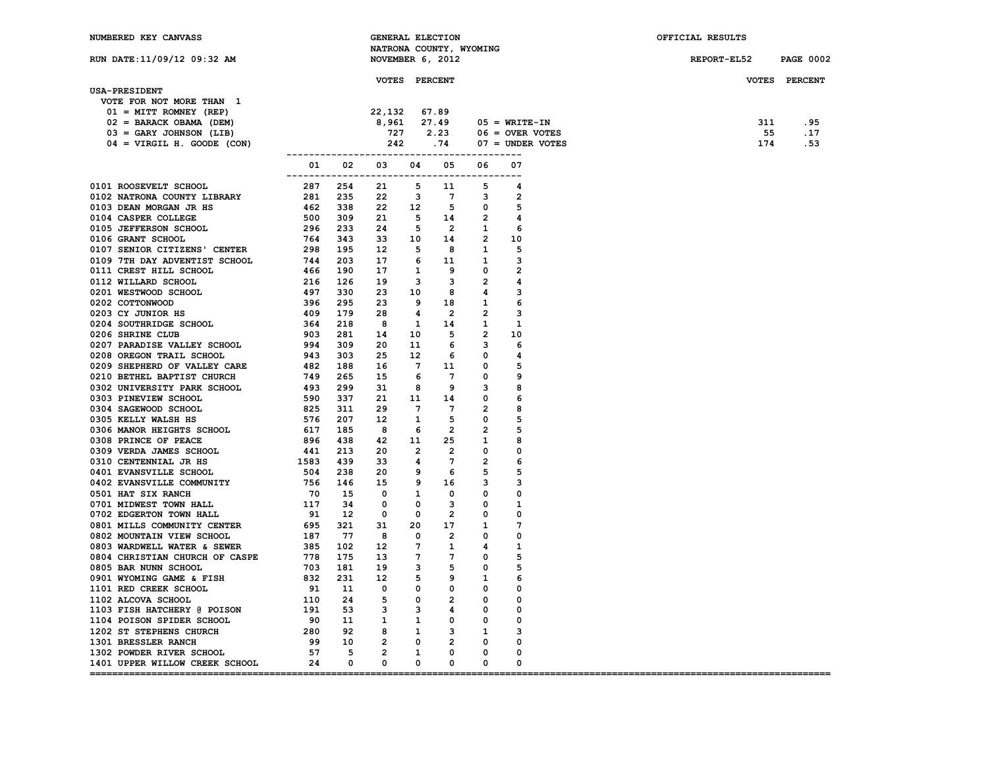**USA-PRESIDENT**

## **RUN DATE:11/09/12 09:32 AM NOVEMBER 6, 2012 REPORT-EL52 PAGE 0002**

 **VOTE FOR NOT MORE THAN 1**

| NUMBERED KEY CANVASS | <b>GENERAL ELECTION</b>           | OFFICIAL RESULTS |
|----------------------|-----------------------------------|------------------|
|                      | NATRONA COUNTY,<br><b>WYOMING</b> |                  |

| ית דס_הס∩סקי | <b>DACE OOOS</b> |  |
|--------------|------------------|--|

## **VOTES PERCENT VOTES PERCENT**

| $01 = MIT$ ROMNEY (REP)      |  |                            |  |                                                                                                                                                            |     |      |
|------------------------------|--|----------------------------|--|------------------------------------------------------------------------------------------------------------------------------------------------------------|-----|------|
| $02 = BARACK OBAMA (DEM)$    |  |                            |  |                                                                                                                                                            | 311 | . 95 |
| $03 = GARY$ JOHNSON (LIB)    |  |                            |  |                                                                                                                                                            | 55  | .17  |
| $04 = VIRGIL H. GOODE (CON)$ |  |                            |  | (22,132 67.89<br>8,961 27.49 05 = WRITE-IN<br>727 2.23 06 = OVER VOTES<br>242 .74 07 = UNDER VOTES<br>242 .74 07 = UNDER VOTES<br>242 .74 07 = UNDER VOTES | 174 | .53  |
|                              |  | 01  02  03  04  05  06  07 |  |                                                                                                                                                            |     |      |
|                              |  |                            |  |                                                                                                                                                            |     |      |
|                              |  |                            |  |                                                                                                                                                            |     |      |
|                              |  |                            |  |                                                                                                                                                            |     |      |
|                              |  |                            |  |                                                                                                                                                            |     |      |
|                              |  |                            |  |                                                                                                                                                            |     |      |
|                              |  |                            |  |                                                                                                                                                            |     |      |
|                              |  |                            |  |                                                                                                                                                            |     |      |
|                              |  |                            |  |                                                                                                                                                            |     |      |
|                              |  |                            |  |                                                                                                                                                            |     |      |
|                              |  |                            |  |                                                                                                                                                            |     |      |
|                              |  |                            |  |                                                                                                                                                            |     |      |
|                              |  |                            |  |                                                                                                                                                            |     |      |
|                              |  |                            |  |                                                                                                                                                            |     |      |
|                              |  |                            |  |                                                                                                                                                            |     |      |
|                              |  |                            |  |                                                                                                                                                            |     |      |
|                              |  |                            |  |                                                                                                                                                            |     |      |
|                              |  |                            |  |                                                                                                                                                            |     |      |
|                              |  |                            |  |                                                                                                                                                            |     |      |
|                              |  |                            |  |                                                                                                                                                            |     |      |
|                              |  |                            |  |                                                                                                                                                            |     |      |
|                              |  |                            |  |                                                                                                                                                            |     |      |
|                              |  |                            |  |                                                                                                                                                            |     |      |
|                              |  |                            |  |                                                                                                                                                            |     |      |
|                              |  |                            |  |                                                                                                                                                            |     |      |
|                              |  |                            |  |                                                                                                                                                            |     |      |
|                              |  |                            |  |                                                                                                                                                            |     |      |
|                              |  |                            |  |                                                                                                                                                            |     |      |
|                              |  |                            |  |                                                                                                                                                            |     |      |
|                              |  |                            |  |                                                                                                                                                            |     |      |
|                              |  |                            |  |                                                                                                                                                            |     |      |
|                              |  |                            |  |                                                                                                                                                            |     |      |
|                              |  |                            |  |                                                                                                                                                            |     |      |
|                              |  |                            |  |                                                                                                                                                            |     |      |
|                              |  |                            |  |                                                                                                                                                            |     |      |
|                              |  |                            |  |                                                                                                                                                            |     |      |
|                              |  |                            |  |                                                                                                                                                            |     |      |
|                              |  |                            |  |                                                                                                                                                            |     |      |
|                              |  |                            |  |                                                                                                                                                            |     |      |
|                              |  |                            |  |                                                                                                                                                            |     |      |
|                              |  |                            |  |                                                                                                                                                            |     |      |
|                              |  |                            |  |                                                                                                                                                            |     |      |
|                              |  |                            |  |                                                                                                                                                            |     |      |
|                              |  |                            |  |                                                                                                                                                            |     |      |
|                              |  |                            |  |                                                                                                                                                            |     |      |
|                              |  |                            |  |                                                                                                                                                            |     |      |
|                              |  |                            |  |                                                                                                                                                            |     |      |
|                              |  |                            |  |                                                                                                                                                            |     |      |

**====================================================================================================================================**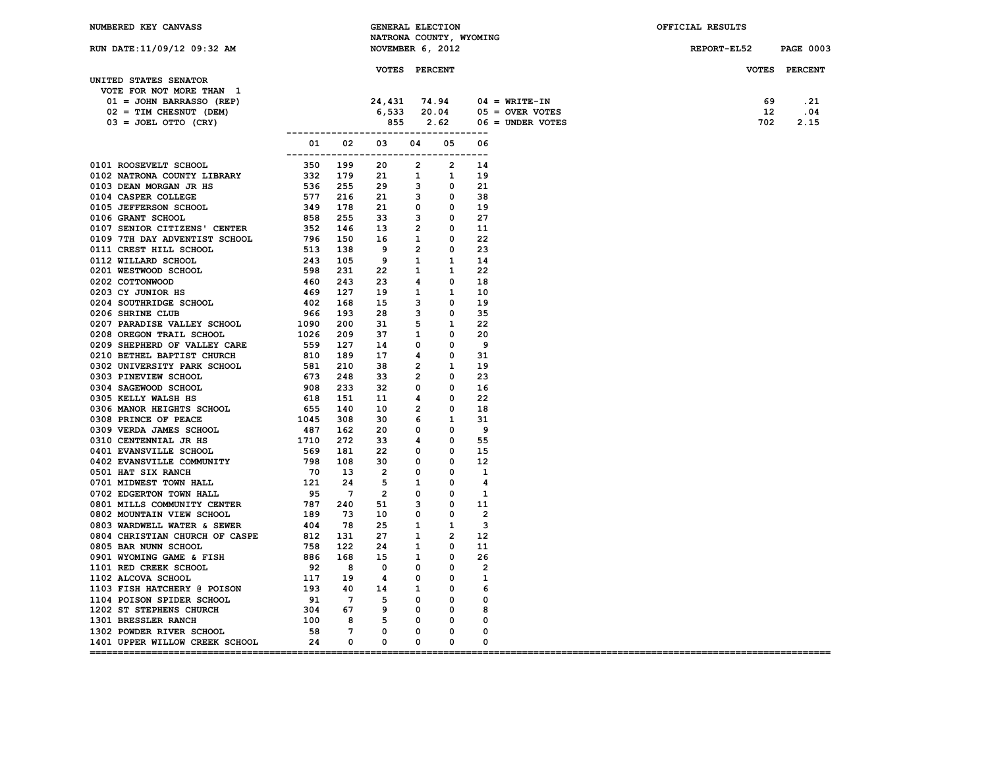| NUMBERED KEY CANVASS                                                                                                                                                                                                          |                                        | <b>GENERAL ELECTION</b><br>NATRONA COUNTY, WYOMING |  |                                                                                        | OFFICIAL RESULTS |                  |
|-------------------------------------------------------------------------------------------------------------------------------------------------------------------------------------------------------------------------------|----------------------------------------|----------------------------------------------------|--|----------------------------------------------------------------------------------------|------------------|------------------|
| RUN DATE: 11/09/12 09:32 AM                                                                                                                                                                                                   |                                        | NOVEMBER 6, 2012                                   |  |                                                                                        | REPORT-EL52      | <b>PAGE 0003</b> |
|                                                                                                                                                                                                                               |                                        | <b>VOTES PERCENT</b>                               |  |                                                                                        |                  | VOTES PERCENT    |
| UNITED STATES SENATOR<br>VOTE FOR NOT MORE THAN 1                                                                                                                                                                             |                                        |                                                    |  |                                                                                        |                  |                  |
| 01 = JOHN BARRASSO (REP)                                                                                                                                                                                                      |                                        |                                                    |  | 24,431 74.94 04 = WRITE-IN<br>6,533 20.04 05 = OVER VOTES<br>855 2.62 06 = UNDER VOTES | 69               | .21              |
| $02 = TIM CHECKNUT (DEM)$                                                                                                                                                                                                     |                                        |                                                    |  |                                                                                        | 12               | .04              |
| $03 = JOEL$ OTTO (CRY)                                                                                                                                                                                                        |                                        |                                                    |  |                                                                                        | 702              | 2.15             |
|                                                                                                                                                                                                                               | -------------------------------------- |                                                    |  |                                                                                        |                  |                  |
| 0101 ROOSENVELT SCHOOL (02 20 3 3 4 4 5 6 4 6 2 3 4 4 5 6 6 6 6 6 7 6 7 6 7 6 7 7 7 116 7 118 7 7 8 6 7 8 7 7 116 7 118 7 8 7 8 7 8 8 7 8 8 7 8 8 7 8 8 7 8 8 7 8 8 7 8 8 7 8 8 7 8 8 7 8 8 7 8 8 7 8 8 7 8 8 7 8 8 7 8 8 7 8 | -------------------------------------  | 01  02  03  04  05  06                             |  |                                                                                        |                  |                  |
|                                                                                                                                                                                                                               |                                        |                                                    |  |                                                                                        |                  |                  |
|                                                                                                                                                                                                                               |                                        |                                                    |  |                                                                                        |                  |                  |
|                                                                                                                                                                                                                               |                                        |                                                    |  |                                                                                        |                  |                  |
|                                                                                                                                                                                                                               |                                        |                                                    |  |                                                                                        |                  |                  |
|                                                                                                                                                                                                                               |                                        |                                                    |  |                                                                                        |                  |                  |
|                                                                                                                                                                                                                               |                                        |                                                    |  |                                                                                        |                  |                  |
|                                                                                                                                                                                                                               |                                        |                                                    |  |                                                                                        |                  |                  |
|                                                                                                                                                                                                                               |                                        |                                                    |  |                                                                                        |                  |                  |
|                                                                                                                                                                                                                               |                                        |                                                    |  |                                                                                        |                  |                  |
|                                                                                                                                                                                                                               |                                        |                                                    |  |                                                                                        |                  |                  |
|                                                                                                                                                                                                                               |                                        |                                                    |  |                                                                                        |                  |                  |
|                                                                                                                                                                                                                               |                                        |                                                    |  |                                                                                        |                  |                  |
|                                                                                                                                                                                                                               |                                        |                                                    |  |                                                                                        |                  |                  |
|                                                                                                                                                                                                                               |                                        |                                                    |  |                                                                                        |                  |                  |
|                                                                                                                                                                                                                               |                                        |                                                    |  |                                                                                        |                  |                  |
|                                                                                                                                                                                                                               |                                        |                                                    |  |                                                                                        |                  |                  |
|                                                                                                                                                                                                                               |                                        |                                                    |  |                                                                                        |                  |                  |
|                                                                                                                                                                                                                               |                                        |                                                    |  |                                                                                        |                  |                  |
|                                                                                                                                                                                                                               |                                        |                                                    |  |                                                                                        |                  |                  |
|                                                                                                                                                                                                                               |                                        |                                                    |  |                                                                                        |                  |                  |
|                                                                                                                                                                                                                               |                                        |                                                    |  |                                                                                        |                  |                  |
|                                                                                                                                                                                                                               |                                        |                                                    |  |                                                                                        |                  |                  |
|                                                                                                                                                                                                                               |                                        |                                                    |  |                                                                                        |                  |                  |
|                                                                                                                                                                                                                               |                                        |                                                    |  |                                                                                        |                  |                  |
|                                                                                                                                                                                                                               |                                        |                                                    |  |                                                                                        |                  |                  |
|                                                                                                                                                                                                                               |                                        |                                                    |  |                                                                                        |                  |                  |
|                                                                                                                                                                                                                               |                                        |                                                    |  |                                                                                        |                  |                  |
|                                                                                                                                                                                                                               |                                        |                                                    |  |                                                                                        |                  |                  |
|                                                                                                                                                                                                                               |                                        |                                                    |  |                                                                                        |                  |                  |
|                                                                                                                                                                                                                               |                                        |                                                    |  |                                                                                        |                  |                  |
|                                                                                                                                                                                                                               |                                        |                                                    |  |                                                                                        |                  |                  |
|                                                                                                                                                                                                                               |                                        |                                                    |  |                                                                                        |                  |                  |
|                                                                                                                                                                                                                               |                                        |                                                    |  |                                                                                        |                  |                  |
|                                                                                                                                                                                                                               |                                        |                                                    |  |                                                                                        |                  |                  |
|                                                                                                                                                                                                                               |                                        |                                                    |  |                                                                                        |                  |                  |
|                                                                                                                                                                                                                               |                                        |                                                    |  |                                                                                        |                  |                  |
|                                                                                                                                                                                                                               |                                        |                                                    |  |                                                                                        |                  |                  |
|                                                                                                                                                                                                                               |                                        |                                                    |  |                                                                                        |                  |                  |
|                                                                                                                                                                                                                               |                                        |                                                    |  |                                                                                        |                  |                  |
|                                                                                                                                                                                                                               |                                        |                                                    |  |                                                                                        |                  |                  |
|                                                                                                                                                                                                                               |                                        |                                                    |  |                                                                                        |                  |                  |
|                                                                                                                                                                                                                               |                                        |                                                    |  |                                                                                        |                  |                  |
|                                                                                                                                                                                                                               |                                        |                                                    |  |                                                                                        |                  |                  |
|                                                                                                                                                                                                                               |                                        |                                                    |  |                                                                                        |                  |                  |
|                                                                                                                                                                                                                               |                                        |                                                    |  |                                                                                        |                  |                  |
|                                                                                                                                                                                                                               |                                        |                                                    |  |                                                                                        |                  |                  |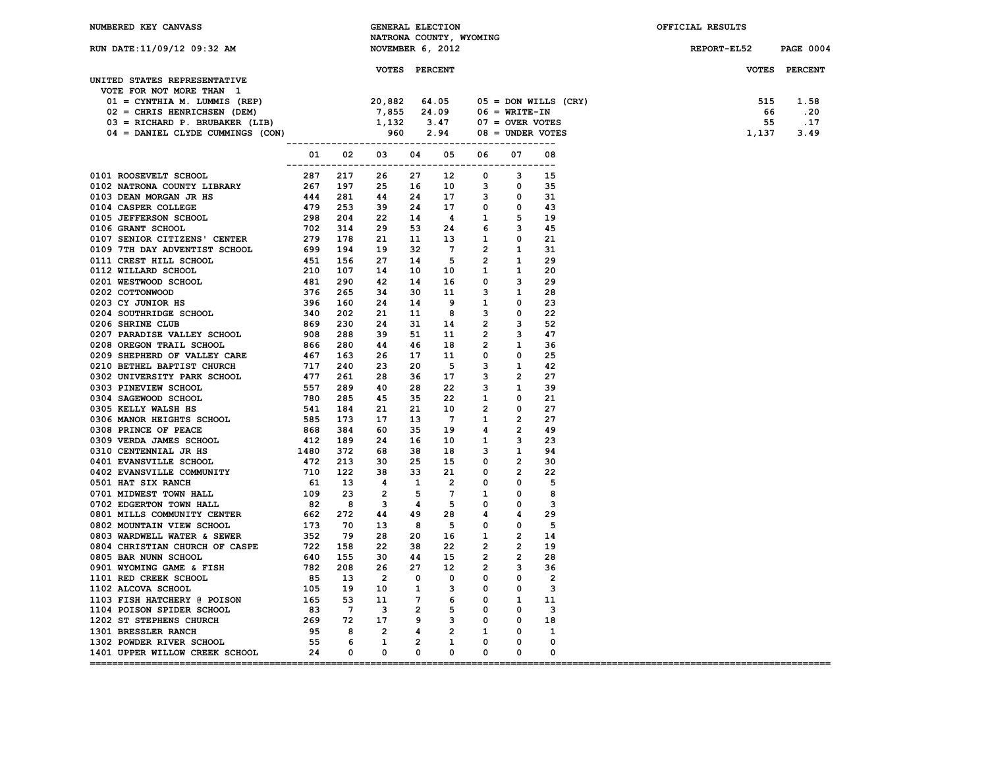| NATRONA COUNTY, WYOMING<br>RUN DATE:11/09/12 09:32 AM<br>NOVEMBER 6, 2012<br><b>REPORT-EL52</b><br><b>PAGE 0004</b><br><b>VOTES PERCENT</b><br>VOTES PERCENT<br>UNITED STATES REPRESENTATIVE<br>VOTE FOR NOT MORE THAN 1<br>VOTE FOR NOT MORE THAN 1<br>$01 = CYNTHIA$ M. LUMMIS (REP)<br>$02 = CHRIS$ HENRICHSEN (DEM)<br>$03 = RICHARD$ P. BRUBAKER (LIB)<br>$04 = DANIEL$ CLYDE CUMMINGS (CON)<br>$04 = DANIEL$ CLYDE CUMMINGS (CON)<br>$06 = WRTTE-TN$<br>$07 = OVER$ VOTES<br>$04 = 3.47$<br>$07 = 0.05 = $<br>515 1.58<br>.20<br>66<br>55<br>.17<br>1,137<br>3.49<br>01  02  03  04  05  06  07<br>08<br>0111 ROOBWIND CONTROLL COMPUTE CHANGE 22 11 12 12 12 13 14 15 16 27 12 14 14 14 15 16 27 12 14 14 14 15 16 17 12 14 14 14 15 16 17 12 14 14 15 16 17 12 14 14 15 16 17 12 14 15 16 17 12 14 15 16 17 12 14 15 16 17 12 14 15<br>15<br>35<br>31<br>43<br>19<br>45<br>21<br>-31<br>29<br>20<br>29<br>28<br>23<br>22<br>52<br>47<br>-36<br>25<br>42<br>27<br>39<br>21<br>27<br>27<br>-49<br>-23<br>94<br>30<br>22<br>- 5<br>8<br>3 |
|------------------------------------------------------------------------------------------------------------------------------------------------------------------------------------------------------------------------------------------------------------------------------------------------------------------------------------------------------------------------------------------------------------------------------------------------------------------------------------------------------------------------------------------------------------------------------------------------------------------------------------------------------------------------------------------------------------------------------------------------------------------------------------------------------------------------------------------------------------------------------------------------------------------------------------------------------------------------------------------------------------------------------------------------|
|                                                                                                                                                                                                                                                                                                                                                                                                                                                                                                                                                                                                                                                                                                                                                                                                                                                                                                                                                                                                                                                |
|                                                                                                                                                                                                                                                                                                                                                                                                                                                                                                                                                                                                                                                                                                                                                                                                                                                                                                                                                                                                                                                |
|                                                                                                                                                                                                                                                                                                                                                                                                                                                                                                                                                                                                                                                                                                                                                                                                                                                                                                                                                                                                                                                |
|                                                                                                                                                                                                                                                                                                                                                                                                                                                                                                                                                                                                                                                                                                                                                                                                                                                                                                                                                                                                                                                |
|                                                                                                                                                                                                                                                                                                                                                                                                                                                                                                                                                                                                                                                                                                                                                                                                                                                                                                                                                                                                                                                |
|                                                                                                                                                                                                                                                                                                                                                                                                                                                                                                                                                                                                                                                                                                                                                                                                                                                                                                                                                                                                                                                |
|                                                                                                                                                                                                                                                                                                                                                                                                                                                                                                                                                                                                                                                                                                                                                                                                                                                                                                                                                                                                                                                |
|                                                                                                                                                                                                                                                                                                                                                                                                                                                                                                                                                                                                                                                                                                                                                                                                                                                                                                                                                                                                                                                |
|                                                                                                                                                                                                                                                                                                                                                                                                                                                                                                                                                                                                                                                                                                                                                                                                                                                                                                                                                                                                                                                |
|                                                                                                                                                                                                                                                                                                                                                                                                                                                                                                                                                                                                                                                                                                                                                                                                                                                                                                                                                                                                                                                |
|                                                                                                                                                                                                                                                                                                                                                                                                                                                                                                                                                                                                                                                                                                                                                                                                                                                                                                                                                                                                                                                |
|                                                                                                                                                                                                                                                                                                                                                                                                                                                                                                                                                                                                                                                                                                                                                                                                                                                                                                                                                                                                                                                |
|                                                                                                                                                                                                                                                                                                                                                                                                                                                                                                                                                                                                                                                                                                                                                                                                                                                                                                                                                                                                                                                |
|                                                                                                                                                                                                                                                                                                                                                                                                                                                                                                                                                                                                                                                                                                                                                                                                                                                                                                                                                                                                                                                |
|                                                                                                                                                                                                                                                                                                                                                                                                                                                                                                                                                                                                                                                                                                                                                                                                                                                                                                                                                                                                                                                |
|                                                                                                                                                                                                                                                                                                                                                                                                                                                                                                                                                                                                                                                                                                                                                                                                                                                                                                                                                                                                                                                |
|                                                                                                                                                                                                                                                                                                                                                                                                                                                                                                                                                                                                                                                                                                                                                                                                                                                                                                                                                                                                                                                |
|                                                                                                                                                                                                                                                                                                                                                                                                                                                                                                                                                                                                                                                                                                                                                                                                                                                                                                                                                                                                                                                |
|                                                                                                                                                                                                                                                                                                                                                                                                                                                                                                                                                                                                                                                                                                                                                                                                                                                                                                                                                                                                                                                |
|                                                                                                                                                                                                                                                                                                                                                                                                                                                                                                                                                                                                                                                                                                                                                                                                                                                                                                                                                                                                                                                |
|                                                                                                                                                                                                                                                                                                                                                                                                                                                                                                                                                                                                                                                                                                                                                                                                                                                                                                                                                                                                                                                |
|                                                                                                                                                                                                                                                                                                                                                                                                                                                                                                                                                                                                                                                                                                                                                                                                                                                                                                                                                                                                                                                |
|                                                                                                                                                                                                                                                                                                                                                                                                                                                                                                                                                                                                                                                                                                                                                                                                                                                                                                                                                                                                                                                |
|                                                                                                                                                                                                                                                                                                                                                                                                                                                                                                                                                                                                                                                                                                                                                                                                                                                                                                                                                                                                                                                |
|                                                                                                                                                                                                                                                                                                                                                                                                                                                                                                                                                                                                                                                                                                                                                                                                                                                                                                                                                                                                                                                |
|                                                                                                                                                                                                                                                                                                                                                                                                                                                                                                                                                                                                                                                                                                                                                                                                                                                                                                                                                                                                                                                |
|                                                                                                                                                                                                                                                                                                                                                                                                                                                                                                                                                                                                                                                                                                                                                                                                                                                                                                                                                                                                                                                |
|                                                                                                                                                                                                                                                                                                                                                                                                                                                                                                                                                                                                                                                                                                                                                                                                                                                                                                                                                                                                                                                |
|                                                                                                                                                                                                                                                                                                                                                                                                                                                                                                                                                                                                                                                                                                                                                                                                                                                                                                                                                                                                                                                |
|                                                                                                                                                                                                                                                                                                                                                                                                                                                                                                                                                                                                                                                                                                                                                                                                                                                                                                                                                                                                                                                |
|                                                                                                                                                                                                                                                                                                                                                                                                                                                                                                                                                                                                                                                                                                                                                                                                                                                                                                                                                                                                                                                |
|                                                                                                                                                                                                                                                                                                                                                                                                                                                                                                                                                                                                                                                                                                                                                                                                                                                                                                                                                                                                                                                |
|                                                                                                                                                                                                                                                                                                                                                                                                                                                                                                                                                                                                                                                                                                                                                                                                                                                                                                                                                                                                                                                |
|                                                                                                                                                                                                                                                                                                                                                                                                                                                                                                                                                                                                                                                                                                                                                                                                                                                                                                                                                                                                                                                |
|                                                                                                                                                                                                                                                                                                                                                                                                                                                                                                                                                                                                                                                                                                                                                                                                                                                                                                                                                                                                                                                |
|                                                                                                                                                                                                                                                                                                                                                                                                                                                                                                                                                                                                                                                                                                                                                                                                                                                                                                                                                                                                                                                |
|                                                                                                                                                                                                                                                                                                                                                                                                                                                                                                                                                                                                                                                                                                                                                                                                                                                                                                                                                                                                                                                |
|                                                                                                                                                                                                                                                                                                                                                                                                                                                                                                                                                                                                                                                                                                                                                                                                                                                                                                                                                                                                                                                |
|                                                                                                                                                                                                                                                                                                                                                                                                                                                                                                                                                                                                                                                                                                                                                                                                                                                                                                                                                                                                                                                |
|                                                                                                                                                                                                                                                                                                                                                                                                                                                                                                                                                                                                                                                                                                                                                                                                                                                                                                                                                                                                                                                |
|                                                                                                                                                                                                                                                                                                                                                                                                                                                                                                                                                                                                                                                                                                                                                                                                                                                                                                                                                                                                                                                |
|                                                                                                                                                                                                                                                                                                                                                                                                                                                                                                                                                                                                                                                                                                                                                                                                                                                                                                                                                                                                                                                |
|                                                                                                                                                                                                                                                                                                                                                                                                                                                                                                                                                                                                                                                                                                                                                                                                                                                                                                                                                                                                                                                |
|                                                                                                                                                                                                                                                                                                                                                                                                                                                                                                                                                                                                                                                                                                                                                                                                                                                                                                                                                                                                                                                |
|                                                                                                                                                                                                                                                                                                                                                                                                                                                                                                                                                                                                                                                                                                                                                                                                                                                                                                                                                                                                                                                |
| 29                                                                                                                                                                                                                                                                                                                                                                                                                                                                                                                                                                                                                                                                                                                                                                                                                                                                                                                                                                                                                                             |
| - 5                                                                                                                                                                                                                                                                                                                                                                                                                                                                                                                                                                                                                                                                                                                                                                                                                                                                                                                                                                                                                                            |
| 14                                                                                                                                                                                                                                                                                                                                                                                                                                                                                                                                                                                                                                                                                                                                                                                                                                                                                                                                                                                                                                             |
| 19                                                                                                                                                                                                                                                                                                                                                                                                                                                                                                                                                                                                                                                                                                                                                                                                                                                                                                                                                                                                                                             |
| 28                                                                                                                                                                                                                                                                                                                                                                                                                                                                                                                                                                                                                                                                                                                                                                                                                                                                                                                                                                                                                                             |
| 36                                                                                                                                                                                                                                                                                                                                                                                                                                                                                                                                                                                                                                                                                                                                                                                                                                                                                                                                                                                                                                             |
| $\overline{2}$                                                                                                                                                                                                                                                                                                                                                                                                                                                                                                                                                                                                                                                                                                                                                                                                                                                                                                                                                                                                                                 |
| -3                                                                                                                                                                                                                                                                                                                                                                                                                                                                                                                                                                                                                                                                                                                                                                                                                                                                                                                                                                                                                                             |
| -11                                                                                                                                                                                                                                                                                                                                                                                                                                                                                                                                                                                                                                                                                                                                                                                                                                                                                                                                                                                                                                            |
| - 3                                                                                                                                                                                                                                                                                                                                                                                                                                                                                                                                                                                                                                                                                                                                                                                                                                                                                                                                                                                                                                            |
| 18                                                                                                                                                                                                                                                                                                                                                                                                                                                                                                                                                                                                                                                                                                                                                                                                                                                                                                                                                                                                                                             |
| 1                                                                                                                                                                                                                                                                                                                                                                                                                                                                                                                                                                                                                                                                                                                                                                                                                                                                                                                                                                                                                                              |
| 0                                                                                                                                                                                                                                                                                                                                                                                                                                                                                                                                                                                                                                                                                                                                                                                                                                                                                                                                                                                                                                              |
| 0                                                                                                                                                                                                                                                                                                                                                                                                                                                                                                                                                                                                                                                                                                                                                                                                                                                                                                                                                                                                                                              |
|                                                                                                                                                                                                                                                                                                                                                                                                                                                                                                                                                                                                                                                                                                                                                                                                                                                                                                                                                                                                                                                |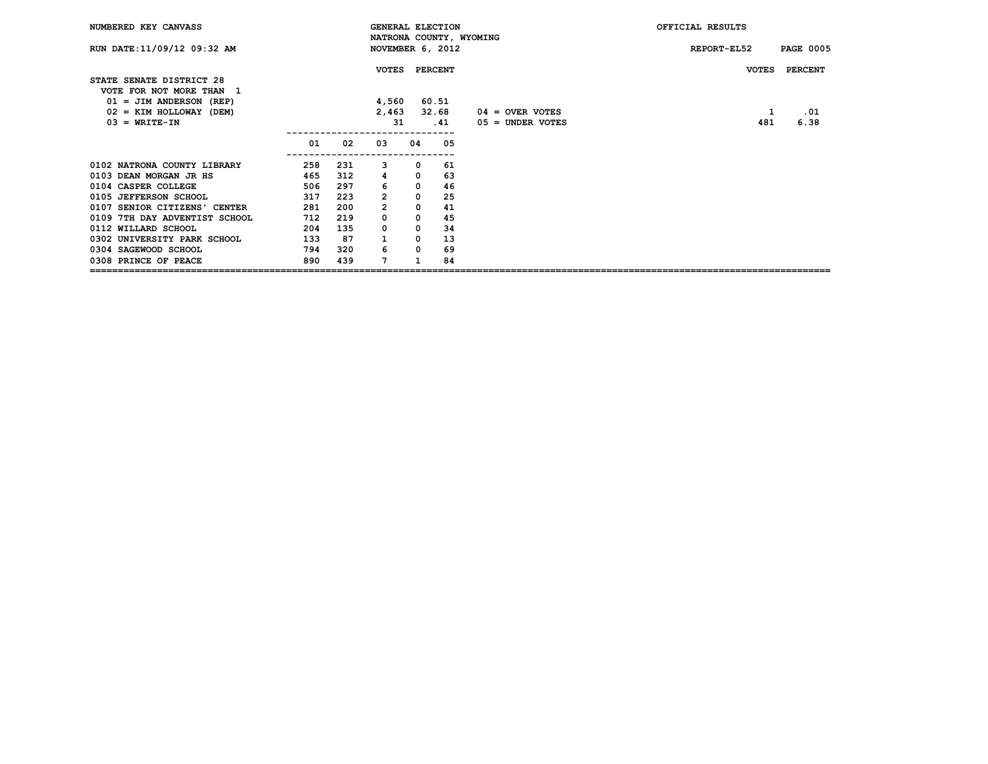| NUMBERED KEY CANVASS                                 |     |     | <b>GENERAL ELECTION</b><br>NATRONA COUNTY, WYOMING |              |         |                    | OFFICIAL RESULTS |                  |
|------------------------------------------------------|-----|-----|----------------------------------------------------|--------------|---------|--------------------|------------------|------------------|
| RUN DATE: 11/09/12 09:32 AM                          |     |     | NOVEMBER 6, 2012                                   |              |         |                    | REPORT-EL52      | <b>PAGE 0005</b> |
| STATE SENATE DISTRICT 28<br>VOTE FOR NOT MORE THAN 1 |     |     | <b>VOTES</b>                                       |              | PERCENT |                    | <b>VOTES</b>     | <b>PERCENT</b>   |
| $01 = JIM ANDERSON (REP)$                            |     |     | 4,560                                              |              | 60.51   |                    |                  |                  |
| $02 = KIM HOLLOWAY (DEM)$                            |     |     | 2,463                                              |              | 32.68   | $04 =$ OVER VOTES  | 1                | .01              |
| $03 = WRITE-TN$                                      |     |     | 31                                                 |              | .41     | $05 =$ UNDER VOTES | 481              | 6.38             |
|                                                      | 01  | 02  | 03                                                 | 04           | 05      |                    |                  |                  |
| 0102 NATRONA COUNTY LIBRARY                          | 258 | 231 | 3                                                  | 0            | 61      |                    |                  |                  |
| 0103 DEAN MORGAN JR HS                               | 465 | 312 | 4                                                  | 0            | 63      |                    |                  |                  |
| 0104 CASPER COLLEGE                                  | 506 | 297 |                                                    | $\mathbf{0}$ | 46      |                    |                  |                  |
| 0105 JEFFERSON SCHOOL                                | 317 | 223 | $\overline{2}$                                     | 0            | 25      |                    |                  |                  |
| 0107 SENIOR CITIZENS' CENTER                         | 281 | 200 | 2                                                  | 0            | 41      |                    |                  |                  |
| 0109 7TH DAY ADVENTIST SCHOOL                        | 712 | 219 | $\Omega$                                           | $\Omega$     | 45      |                    |                  |                  |
| 0112 WILLARD SCHOOL                                  | 204 | 135 | $\Omega$                                           | $\mathbf{0}$ | 34      |                    |                  |                  |
| 0302 UNIVERSITY PARK SCHOOL                          | 133 | 87  |                                                    | $\Omega$     | 13      |                    |                  |                  |
| 0304 SAGEWOOD SCHOOL                                 | 794 | 320 | 6                                                  | $\Omega$     | 69      |                    |                  |                  |
| 0308 PRINCE OF PEACE                                 | 890 | 439 | 7                                                  |              | 84      |                    |                  |                  |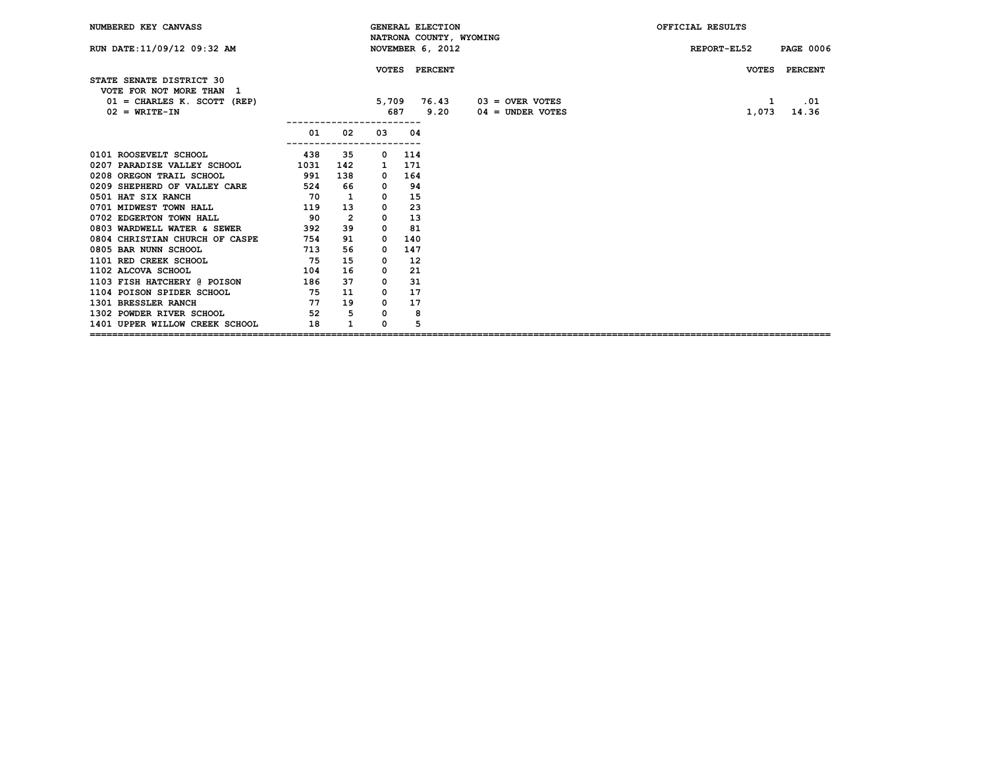| NUMBERED KEY CANVASS                                                                                     |      |                |                                       |               | <b>GENERAL ELECTION</b> |                                         | OFFICIAL RESULTS                                             |
|----------------------------------------------------------------------------------------------------------|------|----------------|---------------------------------------|---------------|-------------------------|-----------------------------------------|--------------------------------------------------------------|
| RUN DATE: 11/09/12 09:32 AM                                                                              |      |                |                                       |               | NOVEMBER 6, 2012        | NATRONA COUNTY, WYOMING                 | REPORT-EL52<br><b>PAGE 0006</b>                              |
| STATE SENATE DISTRICT 30<br>VOTE FOR NOT MORE THAN 1<br>$01 =$ CHARLES K. SCOTT (REP)<br>$02 = WRTTE-TN$ |      |                | 5,709<br>687<br>--------------------- | VOTES PERCENT | 76.43<br>9.20           | $03 =$ OVER VOTES<br>$04 =$ UNDER VOTES | <b>VOTES</b><br><b>PERCENT</b><br>1<br>.01<br>14.36<br>1,073 |
|                                                                                                          | 01   | 02             | 03                                    | 04            |                         |                                         |                                                              |
| 0101 ROOSEVELT SCHOOL                                                                                    | 438  | 35             | 0                                     | 114           |                         |                                         |                                                              |
| 0207 PARADISE VALLEY SCHOOL                                                                              | 1031 | 142            | 1                                     | 171           |                         |                                         |                                                              |
| 0208 OREGON TRAIL SCHOOL                                                                                 | 591  | 138            | 0                                     | 164           |                         |                                         |                                                              |
| 0209 SHEPHERD OF VALLEY CARE                                                                             | 524  | 66             | 0                                     | 94            |                         |                                         |                                                              |
| 0501 HAT SIX RANCH                                                                                       | 70   | 1              | 0                                     | 15            |                         |                                         |                                                              |
| 0701 MIDWEST TOWN HALL                                                                                   | 119  | 13             | 0                                     | 23            |                         |                                         |                                                              |
| 0702 EDGERTON TOWN HALL                                                                                  | 90   | $\overline{2}$ | 0                                     | 13            |                         |                                         |                                                              |
| 0803 WARDWELL WATER & SEWER                                                                              | 392  | 39             | 0                                     | 81            |                         |                                         |                                                              |
| 0804 CHRISTIAN CHURCH OF CASPE                                                                           | 754  | 91             | 0                                     | 140           |                         |                                         |                                                              |
| 0805 BAR NUNN SCHOOL                                                                                     | 713  | 56             | 0                                     | 147           |                         |                                         |                                                              |
| 1101 RED CREEK SCHOOL                                                                                    | 75   | 15             | 0                                     | 12            |                         |                                         |                                                              |
| 1102 ALCOVA SCHOOL                                                                                       | 104  | 16             | 0                                     | 21            |                         |                                         |                                                              |
| 1103 FISH HATCHERY @ POISON                                                                              | 186  | 37             | 0                                     | 31            |                         |                                         |                                                              |
| 1104 POISON SPIDER SCHOOL                                                                                | 75   | 11             | 0                                     | 17            |                         |                                         |                                                              |
| 1301 BRESSLER RANCH                                                                                      | 77   | 19             | $^{\circ}$                            | 17            |                         |                                         |                                                              |
| 1302 POWDER RIVER SCHOOL 52                                                                              |      | 5              | 0                                     | 8             |                         |                                         |                                                              |
| 1401 UPPER WILLOW CREEK SCHOOL                                                                           | 18   | $\mathbf{1}$   | 0                                     | 5             |                         |                                         |                                                              |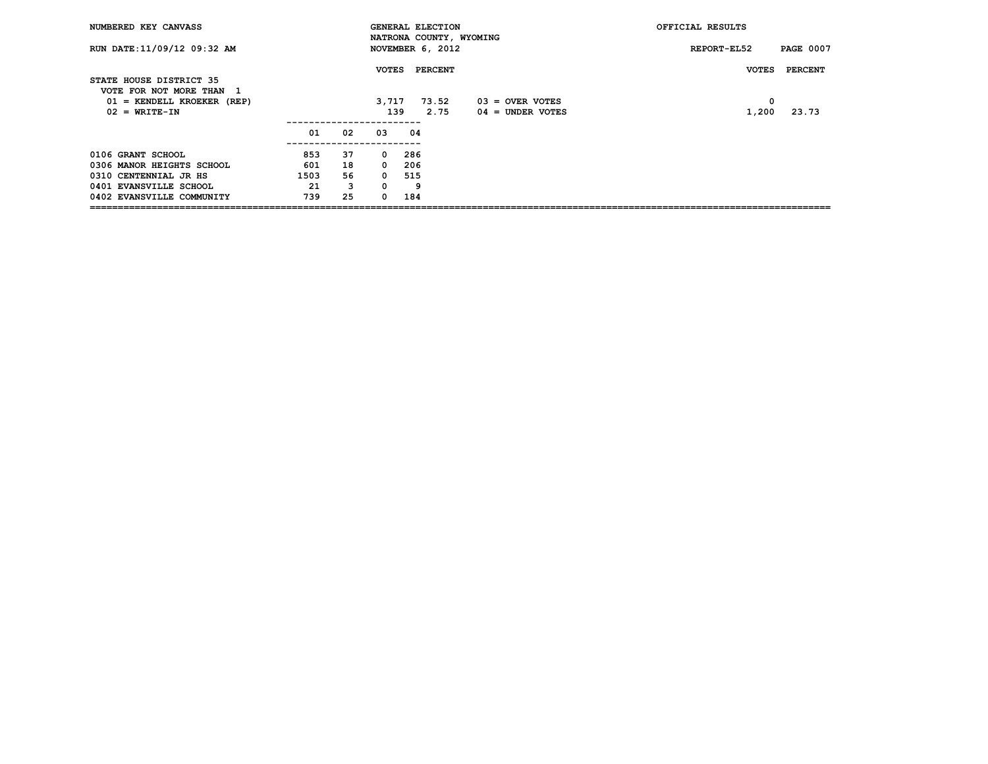| NUMBERED KEY CANVASS                                |      |    |              | <b>GENERAL ELECTION</b><br>NATRONA COUNTY, WYOMING |                    | OFFICIAL RESULTS |                  |
|-----------------------------------------------------|------|----|--------------|----------------------------------------------------|--------------------|------------------|------------------|
| RUN DATE: 11/09/12 09:32 AM                         |      |    |              | NOVEMBER 6, 2012                                   |                    | REPORT-EL52      | <b>PAGE 0007</b> |
| STATE HOUSE DISTRICT 35<br>VOTE FOR NOT MORE THAN 1 |      |    | <b>VOTES</b> | PERCENT                                            |                    | <b>VOTES</b>     | PERCENT          |
| $01$ = KENDELL KROEKER (REP)                        |      |    | 3,717        | 73.52                                              | $03 =$ OVER VOTES  | $^{\circ}$       |                  |
| $02 = WRITE-TN$                                     |      |    |              | 139<br>2.75                                        | $04 =$ UNDER VOTES | 1,200            | 23.73            |
|                                                     | 01   | 02 | 03           | 04                                                 |                    |                  |                  |
| 0106 GRANT SCHOOL                                   | 853  | 37 | $\Omega$     | 286                                                |                    |                  |                  |
| 0306 MANOR HEIGHTS SCHOOL                           | 601  | 18 | $\Omega$     | 206                                                |                    |                  |                  |
| 0310 CENTENNIAL JR HS                               | 1503 | 56 | $\Omega$     | 515                                                |                    |                  |                  |
| 0401 EVANSVILLE SCHOOL                              | 21   | 3  | 0            | 9                                                  |                    |                  |                  |
| 0402 EVANSVILLE COMMUNITY                           | 739  | 25 | <sup>0</sup> | 184                                                |                    |                  |                  |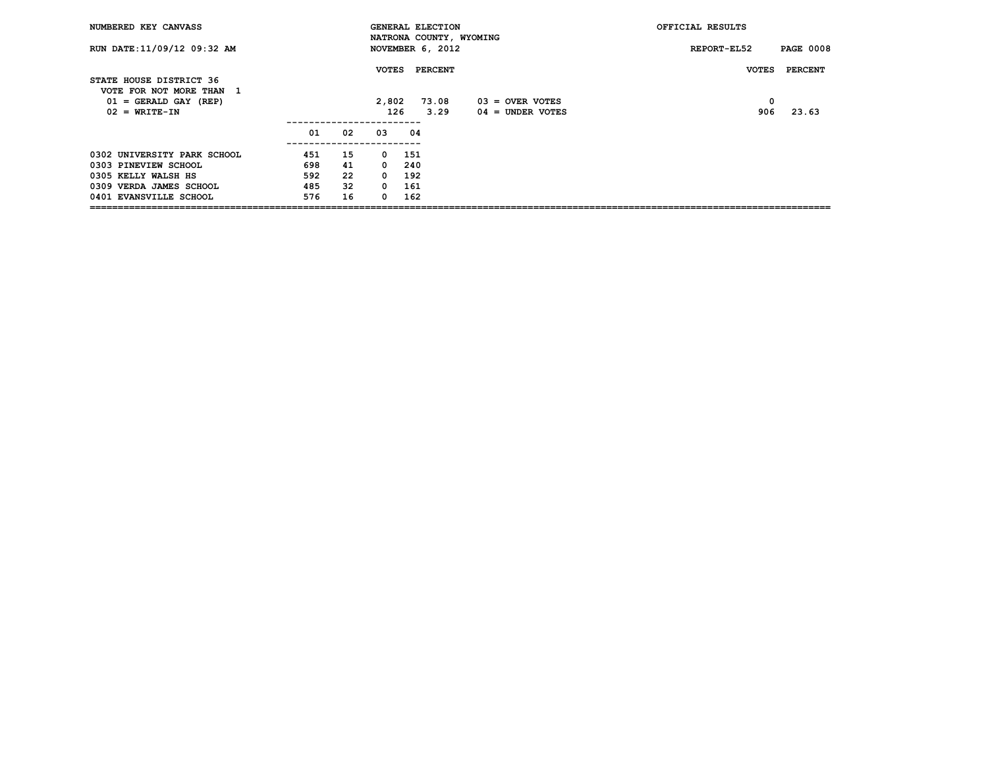| NUMBERED KEY CANVASS                                |     |    |              | <b>GENERAL ELECTION</b> |         | NATRONA COUNTY, WYOMING | OFFICIAL RESULTS |                  |
|-----------------------------------------------------|-----|----|--------------|-------------------------|---------|-------------------------|------------------|------------------|
| RUN DATE: 11/09/12 09:32 AM                         |     |    |              | NOVEMBER 6, 2012        |         |                         | REPORT-EL52      | <b>PAGE 0008</b> |
| STATE HOUSE DISTRICT 36<br>VOTE FOR NOT MORE THAN 1 |     |    | <b>VOTES</b> |                         | PERCENT |                         | <b>VOTES</b>     | <b>PERCENT</b>   |
| $01 = \text{GERALD GAY (REF)}$                      |     |    | 2,802        |                         | 73.08   | $03 =$ OVER VOTES       | 0                |                  |
| $02 = WRTTE-TN$                                     |     |    | 126          |                         | 3.29    | $04 =$ UNDER VOTES      | 906              | 23.63            |
|                                                     | 01  | 02 | 03           | 04                      |         |                         |                  |                  |
| 0302 UNIVERSITY PARK SCHOOL                         | 451 | 15 | $\Omega$     | 151                     |         |                         |                  |                  |
| 0303 PINEVIEW SCHOOL                                | 698 | 41 | $^{\circ}$   | 240                     |         |                         |                  |                  |
| 0305 KELLY WALSH HS                                 | 592 | 22 | $\Omega$     | 192                     |         |                         |                  |                  |
| 0309 VERDA JAMES SCHOOL                             | 485 | 32 | $^{\circ}$   | 161                     |         |                         |                  |                  |
| 0401 EVANSVILLE SCHOOL                              | 576 | 16 | $\Omega$     | 162                     |         |                         |                  |                  |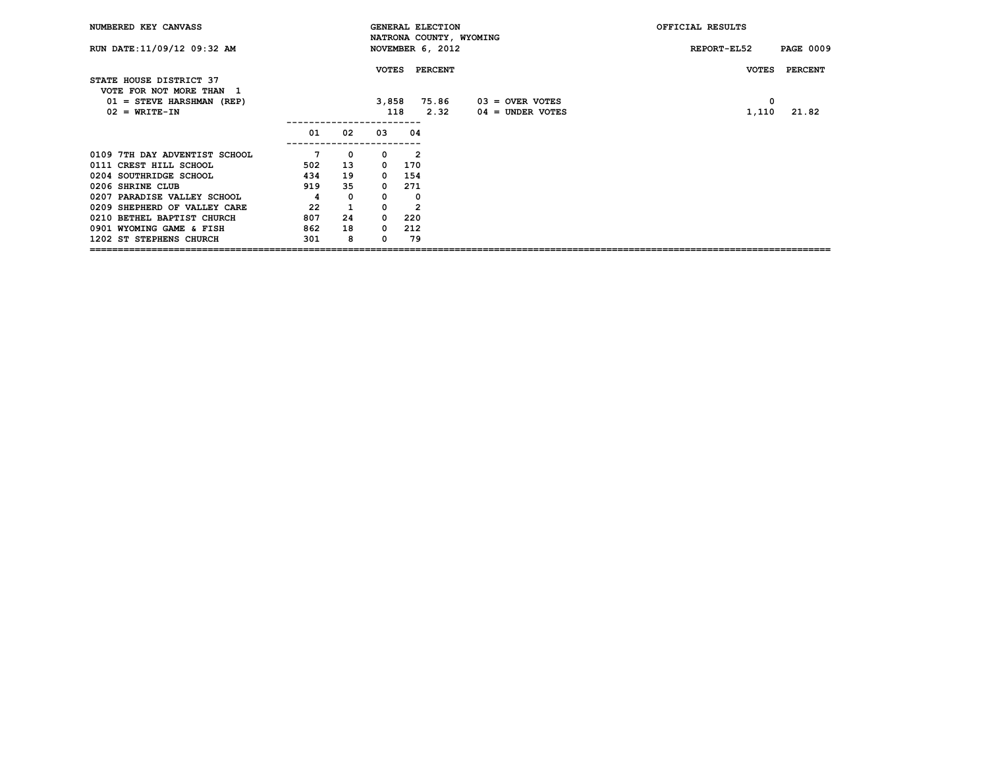| NUMBERED KEY CANVASS                                |     |              |              | <b>GENERAL ELECTION</b> | NATRONA COUNTY, WYOMING | OFFICIAL RESULTS |                  |
|-----------------------------------------------------|-----|--------------|--------------|-------------------------|-------------------------|------------------|------------------|
| RUN DATE: 11/09/12 09:32 AM                         |     |              |              | NOVEMBER 6, 2012        |                         | REPORT-EL52      | <b>PAGE 0009</b> |
| STATE HOUSE DISTRICT 37<br>VOTE FOR NOT MORE THAN 1 |     |              | <b>VOTES</b> | <b>PERCENT</b>          |                         | <b>VOTES</b>     | <b>PERCENT</b>   |
| $01 =$ STEVE HARSHMAN (REP)                         |     |              | 3,858        | 75.86                   | $03 =$ OVER VOTES       | 0                |                  |
| $02 = WRITE-TN$                                     |     |              | 118          | 2.32                    | $04 =$ UNDER VOTES      | 1,110            | 21.82            |
|                                                     | 01  | 02           | 03           | 04                      |                         |                  |                  |
| 0109 7TH DAY ADVENTIST SCHOOL                       | 7   | $\mathbf 0$  | 0            | 2                       |                         |                  |                  |
| 0111 CREST HILL SCHOOL                              | 502 | 13           |              | $0\quad 170$            |                         |                  |                  |
| 0204 SOUTHRIDGE SCHOOL                              | 434 | 19           | $\Omega$     | 154                     |                         |                  |                  |
| 0206 SHRINE CLUB                                    | 919 | 35           | $^{\circ}$   | 271                     |                         |                  |                  |
| 0207 PARADISE VALLEY SCHOOL                         | 4   | $\mathbf 0$  | 0            | $\Omega$                |                         |                  |                  |
| 0209 SHEPHERD OF VALLEY CARE                        | 22  | $\mathbf{1}$ | $\mathbf 0$  | $\overline{2}$          |                         |                  |                  |
| 0210 BETHEL BAPTIST CHURCH                          | 807 | 24           | $^{\circ}$   | 220                     |                         |                  |                  |
| 0901 WYOMING GAME & FISH                            | 862 | 18           | $\mathbf 0$  | 212                     |                         |                  |                  |
| 1202 ST STEPHENS CHURCH                             | 301 | 8            | 0            | 79                      |                         |                  |                  |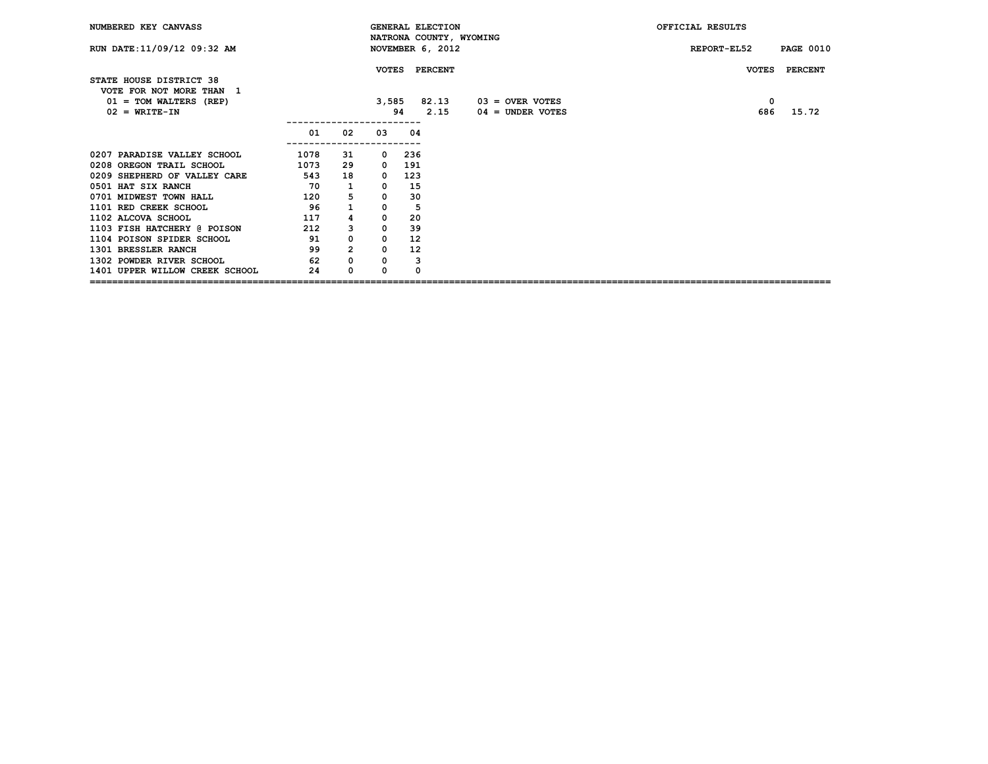| NUMBERED KEY CANVASS                                                                               |           |                |                                         |          | <b>GENERAL ELECTION</b><br>NATRONA COUNTY, WYOMING |                                                 | OFFICIAL RESULTS                                    |  |  |  |  |
|----------------------------------------------------------------------------------------------------|-----------|----------------|-----------------------------------------|----------|----------------------------------------------------|-------------------------------------------------|-----------------------------------------------------|--|--|--|--|
| RUN DATE: 11/09/12 09:32 AM                                                                        |           |                |                                         |          | NOVEMBER 6, 2012                                   |                                                 | REPORT-EL52<br><b>PAGE 0010</b>                     |  |  |  |  |
| STATE HOUSE DISTRICT 38<br>VOTE FOR NOT MORE THAN 1<br>$01 = TOM WALTERS (REF)$<br>$02 = WRTTE-TN$ |           |                | 3,585                                   | 94       | VOTES PERCENT<br>2.15                              | $82.13$ $03 =$ OVER VOTES<br>$04 =$ UNDER VOTES | <b>PERCENT</b><br><b>VOTES</b><br>0<br>15.72<br>686 |  |  |  |  |
|                                                                                                    | 01        | 02             | -----------<br>03                       | -04      |                                                    |                                                 |                                                     |  |  |  |  |
| 0207 PARADISE VALLEY SCHOOL                                                                        | 1078      | 31             | -----------------------<br>$\mathbf{0}$ | 236      |                                                    |                                                 |                                                     |  |  |  |  |
| 0208 OREGON TRAIL SCHOOL                                                                           | 1073      | 29             | $\mathbf{o}$                            | 191      |                                                    |                                                 |                                                     |  |  |  |  |
| 0209 SHEPHERD OF VALLEY CARE                                                                       | 543 18    |                | $\mathbf{0}$                            | 123      |                                                    |                                                 |                                                     |  |  |  |  |
| 0501 HAT SIX RANCH                                                                                 | 70        | 1              | $\mathbf 0$                             | 15       |                                                    |                                                 |                                                     |  |  |  |  |
| 0701 MIDWEST TOWN HALL                                                                             | 120       | 5              | $\mathbf 0$                             | 30       |                                                    |                                                 |                                                     |  |  |  |  |
| 1101 RED CREEK SCHOOL                                                                              | 96        | $\mathbf{1}$   | $\mathbf 0$                             | 5        |                                                    |                                                 |                                                     |  |  |  |  |
| 1102 ALCOVA SCHOOL                                                                                 | 117       | 4              | $\mathbf 0$                             | 20       |                                                    |                                                 |                                                     |  |  |  |  |
| 1103 FISH HATCHERY @ POISON                                                                        | 212       | 3              | $\mathbf 0$                             | 39       |                                                    |                                                 |                                                     |  |  |  |  |
| 1104 POISON SPIDER SCHOOL                                                                          | $\sim$ 91 | $\mathsf{o}\,$ | $\mathbf 0$                             | 12       |                                                    |                                                 |                                                     |  |  |  |  |
| 1301 BRESSLER RANCH                                                                                | 99        | $\overline{2}$ | $\mathbf 0$                             | 12       |                                                    |                                                 |                                                     |  |  |  |  |
| 1302 POWDER RIVER SCHOOL                                                                           | 62        | 0              | 0                                       | 3        |                                                    |                                                 |                                                     |  |  |  |  |
| 1401 UPPER WILLOW CREEK SCHOOL                                                                     | 24        | $\Omega$       | 0                                       | $\Omega$ |                                                    |                                                 |                                                     |  |  |  |  |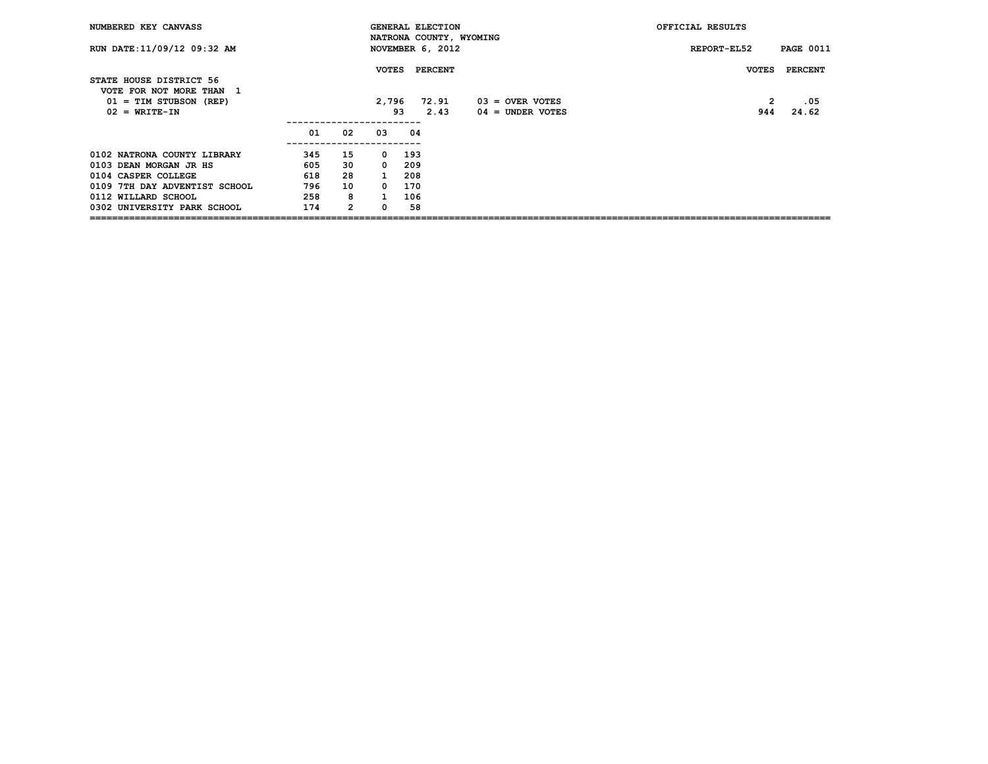| NUMBERED KEY CANVASS                                |     |                |              |     | <b>GENERAL ELECTION</b> | NATRONA COUNTY, WYOMING | OFFICIAL RESULTS |                  |
|-----------------------------------------------------|-----|----------------|--------------|-----|-------------------------|-------------------------|------------------|------------------|
| RUN DATE: 11/09/12 09:32 AM                         |     |                |              |     | NOVEMBER 6, 2012        |                         | REPORT-EL52      | <b>PAGE 0011</b> |
| STATE HOUSE DISTRICT 56<br>VOTE FOR NOT MORE THAN 1 |     |                | <b>VOTES</b> |     | PERCENT                 |                         | <b>VOTES</b>     | PERCENT          |
| $01 = TIM$ STUBSON (REP)                            |     |                | 2,796        |     | 72.91                   | $03 =$ OVER VOTES       | 2                | .05              |
| $02 = WRTTE-TN$                                     |     |                |              | 93  | 2.43                    | $04 =$ UNDER VOTES      | 944              | 24.62            |
|                                                     | 01  | 02             | 03           | 04  |                         |                         |                  |                  |
| 0102 NATRONA COUNTY LIBRARY                         | 345 | 15             | 0            | 193 |                         |                         |                  |                  |
| 0103 DEAN MORGAN JR HS                              | 605 | 30             | $\Omega$     | 209 |                         |                         |                  |                  |
| 0104 CASPER COLLEGE                                 | 618 | 28             | $\mathbf{1}$ | 208 |                         |                         |                  |                  |
| 0109 7TH DAY ADVENTIST SCHOOL                       | 796 | 10             | $\Omega$     | 170 |                         |                         |                  |                  |
| 0112 WILLARD SCHOOL                                 | 258 | 8              |              | 106 |                         |                         |                  |                  |
| 0302 UNIVERSITY PARK SCHOOL                         | 174 | $\overline{2}$ |              | 58  |                         |                         |                  |                  |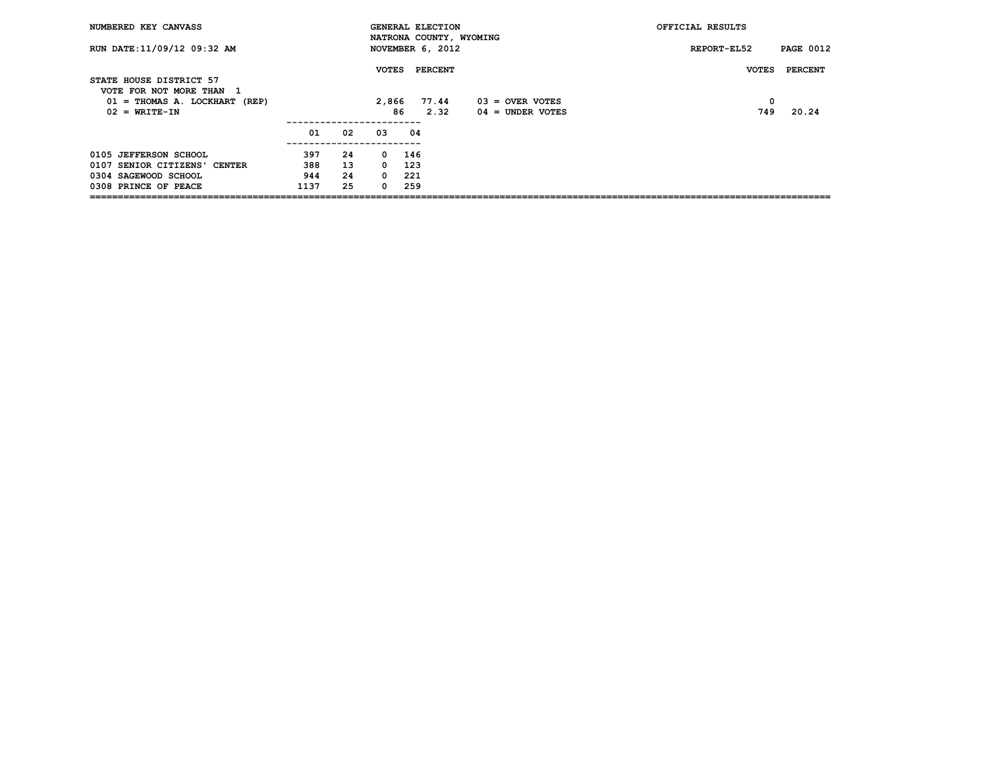| NUMBERED KEY CANVASS                                |      |    |              |              | <b>GENERAL ELECTION</b> | NATRONA COUNTY, WYOMING | OFFICIAL RESULTS |                  |
|-----------------------------------------------------|------|----|--------------|--------------|-------------------------|-------------------------|------------------|------------------|
| RUN DATE: 11/09/12 09:32 AM                         |      |    |              |              | NOVEMBER 6, 2012        |                         | REPORT-EL52      | <b>PAGE 0012</b> |
| STATE HOUSE DISTRICT 57<br>VOTE FOR NOT MORE THAN 1 |      |    | <b>VOTES</b> |              | <b>PERCENT</b>          |                         | <b>VOTES</b>     | PERCENT          |
| $01 = THOMAS A. LOCKHART (REF)$                     |      |    | 2,866        |              | 77.44                   | $03 =$ OVER VOTES       | 0                |                  |
| $02 = WRITE-TN$                                     |      |    |              | 86           | 2.32                    | $04 =$ UNDER VOTES      | 749              | 20.24            |
|                                                     | 01   | 02 | 03           | 04           |                         |                         |                  |                  |
| 0105 JEFFERSON SCHOOL                               | 397  | 24 |              | $0\quad 146$ |                         |                         |                  |                  |
| 0107 SENIOR CITIZENS' CENTER                        | 388  | 13 | $\Omega$     | 123          |                         |                         |                  |                  |
| 0304 SAGEWOOD SCHOOL                                | 944  | 24 | $^{\circ}$   | -221         |                         |                         |                  |                  |
| 0308 PRINCE OF PEACE                                | 1137 | 25 | 0            | 259          |                         |                         |                  |                  |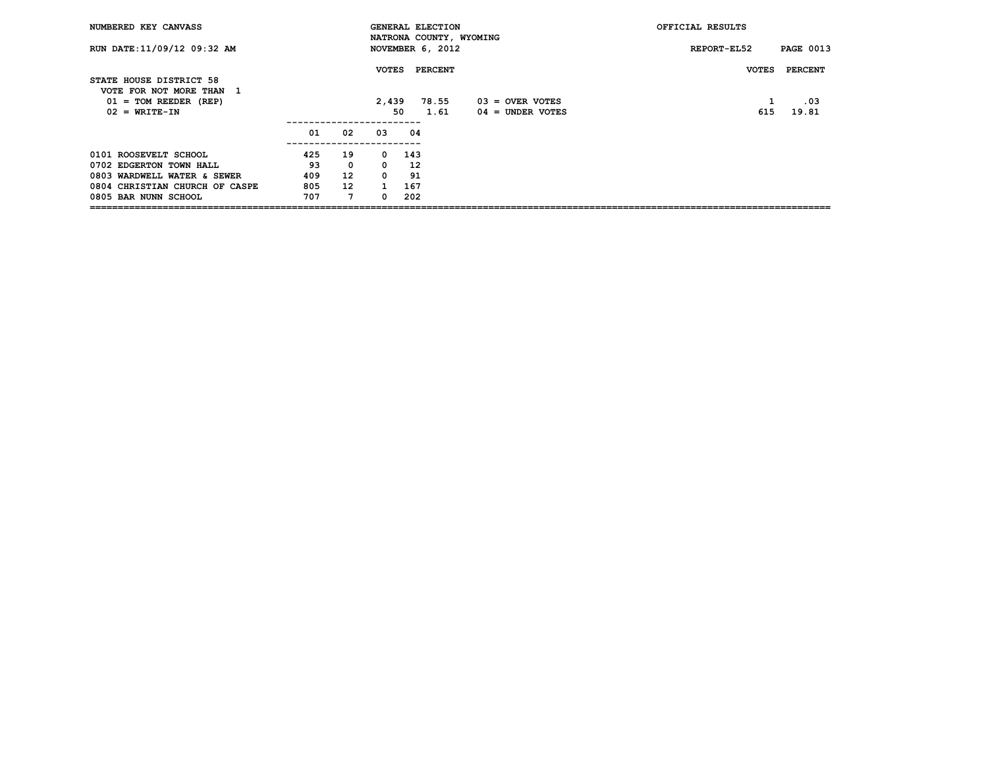| NUMBERED KEY CANVASS                                |     |                   |              |           | <b>GENERAL ELECTION</b> | NATRONA COUNTY, WYOMING | OFFICIAL RESULTS |                  |
|-----------------------------------------------------|-----|-------------------|--------------|-----------|-------------------------|-------------------------|------------------|------------------|
| RUN DATE: 11/09/12 09:32 AM                         |     |                   |              |           | NOVEMBER 6, 2012        |                         | REPORT-EL52      | <b>PAGE 0013</b> |
| STATE HOUSE DISTRICT 58<br>VOTE FOR NOT MORE THAN 1 |     |                   | <b>VOTES</b> |           | <b>PERCENT</b>          |                         | <b>VOTES</b>     | PERCENT          |
| $01 = TOM REEDER (REF)$                             |     |                   | 2,439        |           | 78.55                   | $03 =$ OVER VOTES       |                  | .03              |
| $02 = WRITE-TN$                                     |     |                   |              | 50        | 1.61                    | $04 =$ UNDER VOTES      | 615              | 19.81            |
|                                                     |     |                   |              |           |                         |                         |                  |                  |
|                                                     | 01  | 02                | 03           | 04        |                         |                         |                  |                  |
| 0101 ROOSEVELT SCHOOL                               | 425 | 19                |              | $0 \t143$ |                         |                         |                  |                  |
| 0702 EDGERTON TOWN HALL                             | 93  | $^{\circ}$        | $\Omega$     | 12        |                         |                         |                  |                  |
| 0803 WARDWELL WATER & SEWER                         | 409 | $12 \overline{ }$ | $\mathbf{0}$ | 91        |                         |                         |                  |                  |
| 0804 CHRISTIAN CHURCH OF CASPE                      | 805 | 12 <sup>2</sup>   | $\mathbf{1}$ | 167       |                         |                         |                  |                  |
| 0805 BAR NUNN SCHOOL                                | 707 | 7                 | 0            | 202       |                         |                         |                  |                  |
|                                                     |     |                   |              |           |                         |                         |                  |                  |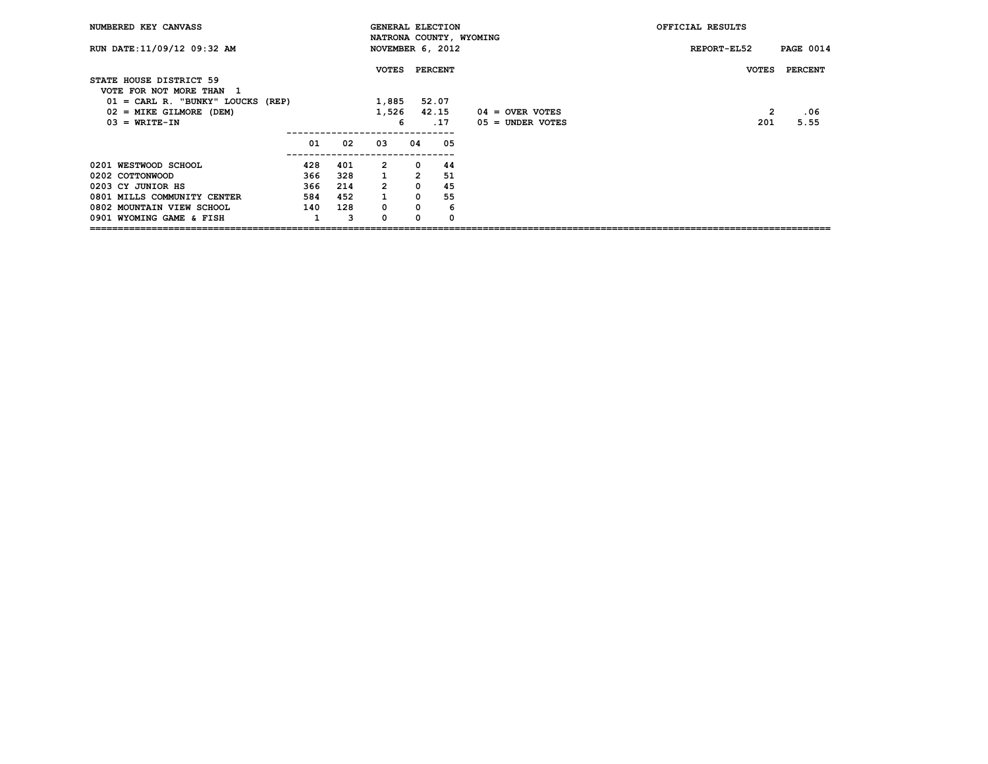| NUMBERED KEY CANVASS                                |     |     |                |                | <b>GENERAL ELECTION</b> | NATRONA COUNTY, WYOMING | OFFICIAL RESULTS |                  |
|-----------------------------------------------------|-----|-----|----------------|----------------|-------------------------|-------------------------|------------------|------------------|
| RUN DATE: 11/09/12 09:32 AM                         |     |     |                |                | NOVEMBER 6, 2012        |                         | REPORT-EL52      | <b>PAGE 0014</b> |
| STATE HOUSE DISTRICT 59<br>VOTE FOR NOT MORE THAN 1 |     |     | <b>VOTES</b>   |                | <b>PERCENT</b>          |                         | <b>VOTES</b>     | <b>PERCENT</b>   |
| $01 = CARL R.$ "BUNKY" LOUCKS (REP)                 |     |     | 1,885          |                | 52.07                   |                         |                  |                  |
| $02 =$ MIKE GILMORE (DEM)                           |     |     | 1,526          |                | 42.15                   | $04 =$ OVER VOTES       | 2                | .06              |
| $03 = WRITE-TN$                                     |     |     |                | 6              | .17                     | 05 = UNDER VOTES        | 201              | 5.55             |
|                                                     | 01  | 02  | 03             | 04             | 05                      |                         |                  |                  |
| 0201 WESTWOOD SCHOOL                                | 428 | 401 | $\overline{2}$ | $^{\circ}$     | 44                      |                         |                  |                  |
| 0202 COTTONWOOD                                     | 366 | 328 | $\mathbf{1}$   | $\overline{2}$ | 51                      |                         |                  |                  |
| 0203 CY JUNIOR HS                                   | 366 | 214 | $\overline{2}$ | $\overline{0}$ | 45                      |                         |                  |                  |
| 0801 MILLS COMMUNITY CENTER                         | 584 | 452 | $\mathbf{1}$   | $\mathbf 0$    | 55                      |                         |                  |                  |
| 0802 MOUNTAIN VIEW SCHOOL                           | 140 | 128 | $\mathbf 0$    | $\mathbf 0$    | 6                       |                         |                  |                  |
| 0901 WYOMING GAME & FISH                            |     | 3   | 0              | 0              | 0                       |                         |                  |                  |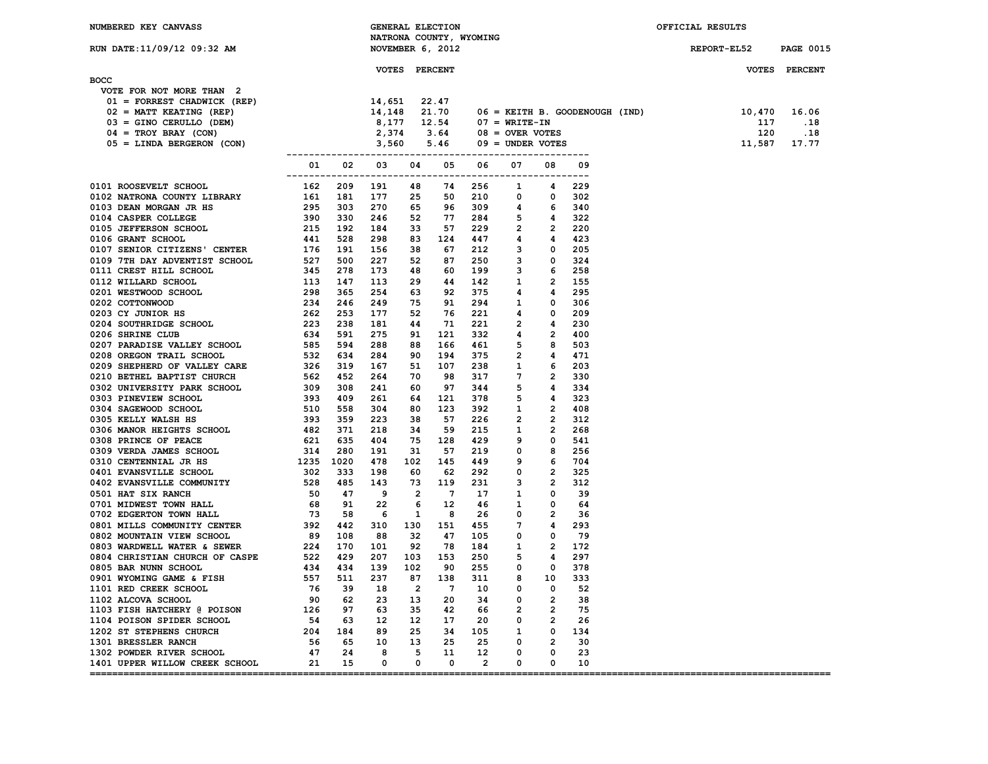| NUMBERED KEY CANVASS |
|----------------------|

|  | MA CC-00 C11/00/12 שחות החזם |  |  |
|--|------------------------------|--|--|

| NUMBERED KEY CANVASS        |              | GENERAL ELECTION<br>NATRONA COUNTY, WYOMING | OFFICIAL RESULTS |                  |
|-----------------------------|--------------|---------------------------------------------|------------------|------------------|
| RUN DATE: 11/09/12 09:32 AM |              | NOVEMBER 6, 2012                            | REPORT-EL52      | <b>PAGE 0015</b> |
| <b>BOCC</b>                 | <b>VOTES</b> | PERCENT                                     | <b>VOTES</b>     | PERCENT          |

| <b>BOCC</b>                      |                                                                                                                                                |                   |  |                |                                                            |                          |                                |                                    |                       |          |  |
|----------------------------------|------------------------------------------------------------------------------------------------------------------------------------------------|-------------------|--|----------------|------------------------------------------------------------|--------------------------|--------------------------------|------------------------------------|-----------------------|----------|--|
| VOTE FOR NOT MORE THAN 2         |                                                                                                                                                |                   |  |                |                                                            |                          |                                |                                    |                       |          |  |
| $01$ = FORREST CHADWICK (REP)    |                                                                                                                                                |                   |  |                |                                                            |                          |                                |                                    |                       |          |  |
| $02 = \text{MATT}$ KEATING (REP) |                                                                                                                                                |                   |  |                |                                                            |                          | 06 = KEITH B. GOODENOUGH (IND) | 10,470 16.06                       |                       |          |  |
| $03 =$ GINO CERULLO (DEM)        |                                                                                                                                                |                   |  |                |                                                            |                          |                                |                                    | 117                   | $\ldots$ |  |
| $04 = TROY BRAY (CON)$           |                                                                                                                                                |                   |  |                |                                                            |                          |                                |                                    |                       |          |  |
| 05 = LINDA BERGERON (CON)        | P)<br>14,651 22.47<br>14,148 21.70 06 = KEITH B. GOO<br>8,177 12.54 07 = WRITE-IN<br>2,374 3.64 08 = OVER VOTES<br>3,560 5.46 09 = UNDER VOTES |                   |  |                |                                                            |                          |                                |                                    | $120$<br>11,587 17.77 |          |  |
|                                  |                                                                                                                                                |                   |  |                |                                                            |                          |                                |                                    |                       |          |  |
|                                  |                                                                                                                                                | 01 02 03 04 05 06 |  |                | 07                                                         | 08                       | 09                             |                                    |                       |          |  |
|                                  |                                                                                                                                                |                   |  |                | 1                                                          | 4                        | 229                            |                                    |                       |          |  |
|                                  |                                                                                                                                                |                   |  |                | $\mathbf 0$                                                | $\mathbf{0}$             | 302                            |                                    |                       |          |  |
|                                  |                                                                                                                                                |                   |  |                | 4                                                          | 6 340                    |                                |                                    |                       |          |  |
|                                  |                                                                                                                                                |                   |  |                | $\overline{\phantom{0}}$                                   | $\overline{\mathbf{4}}$  | 322                            |                                    |                       |          |  |
|                                  |                                                                                                                                                |                   |  |                | 33 57 229 2 2                                              |                          | 220                            |                                    |                       |          |  |
|                                  |                                                                                                                                                |                   |  |                | 4                                                          | 4 423                    |                                |                                    |                       |          |  |
|                                  |                                                                                                                                                |                   |  |                |                                                            |                          | 205                            |                                    |                       |          |  |
|                                  |                                                                                                                                                |                   |  |                |                                                            |                          | 324                            |                                    |                       |          |  |
|                                  |                                                                                                                                                |                   |  | 60 199 3       |                                                            | $6\overline{6}$          | 258                            |                                    |                       |          |  |
|                                  |                                                                                                                                                |                   |  |                | $\overline{\mathbf{1}}$                                    | $\overline{\phantom{a}}$ | 155                            |                                    |                       |          |  |
|                                  |                                                                                                                                                |                   |  |                | 63 92 375 4 4                                              |                          | 295                            |                                    |                       |          |  |
|                                  |                                                                                                                                                |                   |  |                | $\overline{\mathbf{1}}$                                    | $\overline{\mathbf{0}}$  | 306                            |                                    |                       |          |  |
|                                  |                                                                                                                                                |                   |  | 76 221 4       |                                                            | $\overline{\mathbf{0}}$  | 209                            |                                    |                       |          |  |
|                                  |                                                                                                                                                |                   |  | 221 2          |                                                            | $\overline{4}$           | 230                            |                                    |                       |          |  |
|                                  |                                                                                                                                                |                   |  |                | 332 4                                                      | $\overline{\mathbf{2}}$  | 400                            |                                    |                       |          |  |
|                                  |                                                                                                                                                |                   |  | 88 166 461 5   |                                                            | $\overline{\mathbf{8}}$  | 503                            |                                    |                       |          |  |
|                                  |                                                                                                                                                |                   |  | 375 2          |                                                            | $\overline{\mathbf{4}}$  | 471                            |                                    |                       |          |  |
|                                  |                                                                                                                                                |                   |  |                |                                                            | - 6                      | 203                            |                                    |                       |          |  |
|                                  |                                                                                                                                                |                   |  | 238 1<br>317 7 |                                                            | $\overline{\mathbf{2}}$  | 330                            |                                    |                       |          |  |
|                                  |                                                                                                                                                |                   |  | 97 344 5       |                                                            | $\overline{\mathbf{4}}$  | 334                            |                                    |                       |          |  |
|                                  |                                                                                                                                                |                   |  | 378 5          |                                                            | $\overline{\mathbf{4}}$  | 323                            |                                    |                       |          |  |
|                                  |                                                                                                                                                |                   |  | 392 1          |                                                            | $\overline{\mathbf{2}}$  | 408                            |                                    |                       |          |  |
|                                  |                                                                                                                                                |                   |  | 226 2          |                                                            | $\overline{2}$           | 312                            |                                    |                       |          |  |
|                                  |                                                                                                                                                |                   |  | 59 215 1       |                                                            | $\overline{\mathbf{2}}$  | 268                            |                                    |                       |          |  |
|                                  |                                                                                                                                                |                   |  | 429 9          |                                                            | $\Omega$                 | 541                            |                                    |                       |          |  |
|                                  |                                                                                                                                                |                   |  |                | $^{\circ}$                                                 | 8                        | 256                            |                                    |                       |          |  |
|                                  |                                                                                                                                                |                   |  |                | 449 9 6                                                    |                          | 704                            |                                    |                       |          |  |
|                                  |                                                                                                                                                |                   |  |                | $\mathbf{0}$                                               | $\overline{\mathbf{2}}$  | 325                            |                                    |                       |          |  |
|                                  |                                                                                                                                                |                   |  |                | 231 3                                                      | $\overline{\phantom{a}}$ | 312                            |                                    |                       |          |  |
|                                  |                                                                                                                                                |                   |  |                | $\begin{array}{cccc} 17 & 1 & 0 \\ 46 & 1 & 0 \end{array}$ |                          | -39                            |                                    |                       |          |  |
|                                  |                                                                                                                                                |                   |  |                |                                                            |                          | 64                             |                                    |                       |          |  |
|                                  |                                                                                                                                                |                   |  |                | 26 0                                                       | $\overline{\mathbf{2}}$  | 36                             |                                    |                       |          |  |
|                                  |                                                                                                                                                |                   |  |                | 455 7 4                                                    |                          | 293                            |                                    |                       |          |  |
|                                  |                                                                                                                                                |                   |  |                | $\mathbf 0$                                                | $\overline{\mathbf{0}}$  | - 79                           |                                    |                       |          |  |
|                                  |                                                                                                                                                |                   |  |                | $\overline{\mathbf{1}}$                                    | $\overline{\phantom{a}}$ | 172                            |                                    |                       |          |  |
|                                  |                                                                                                                                                |                   |  |                | 5                                                          | 4                        | 297                            |                                    |                       |          |  |
|                                  |                                                                                                                                                |                   |  |                | $\mathbf 0$                                                | $\mathbf{0}$             | 378                            |                                    |                       |          |  |
|                                  |                                                                                                                                                |                   |  |                | 8                                                          | 10                       | 333                            |                                    |                       |          |  |
|                                  |                                                                                                                                                |                   |  |                | $\mathbf{0}$                                               | $\overline{\phantom{0}}$ | 52                             |                                    |                       |          |  |
|                                  |                                                                                                                                                |                   |  |                | $\mathbf{0}$                                               | $\overline{\phantom{a}}$ | 38                             |                                    |                       |          |  |
|                                  |                                                                                                                                                |                   |  |                | $\overline{\mathbf{a}}$                                    | $\overline{\phantom{a}}$ | 75                             |                                    |                       |          |  |
|                                  |                                                                                                                                                |                   |  |                | $\mathbf 0$                                                | $\overline{\mathbf{2}}$  | 26                             |                                    |                       |          |  |
|                                  |                                                                                                                                                |                   |  |                | 34 105 1 0                                                 |                          | 134                            |                                    |                       |          |  |
|                                  |                                                                                                                                                |                   |  |                | $\mathbf 0$                                                | $\overline{\mathbf{2}}$  | 30                             |                                    |                       |          |  |
|                                  |                                                                                                                                                |                   |  |                |                                                            | $0\qquad 0$              | 23                             |                                    |                       |          |  |
|                                  |                                                                                                                                                |                   |  |                | $\Omega$                                                   | $\overline{\phantom{0}}$ | 10                             |                                    |                       |          |  |
|                                  |                                                                                                                                                |                   |  |                |                                                            |                          |                                | .================================= |                       |          |  |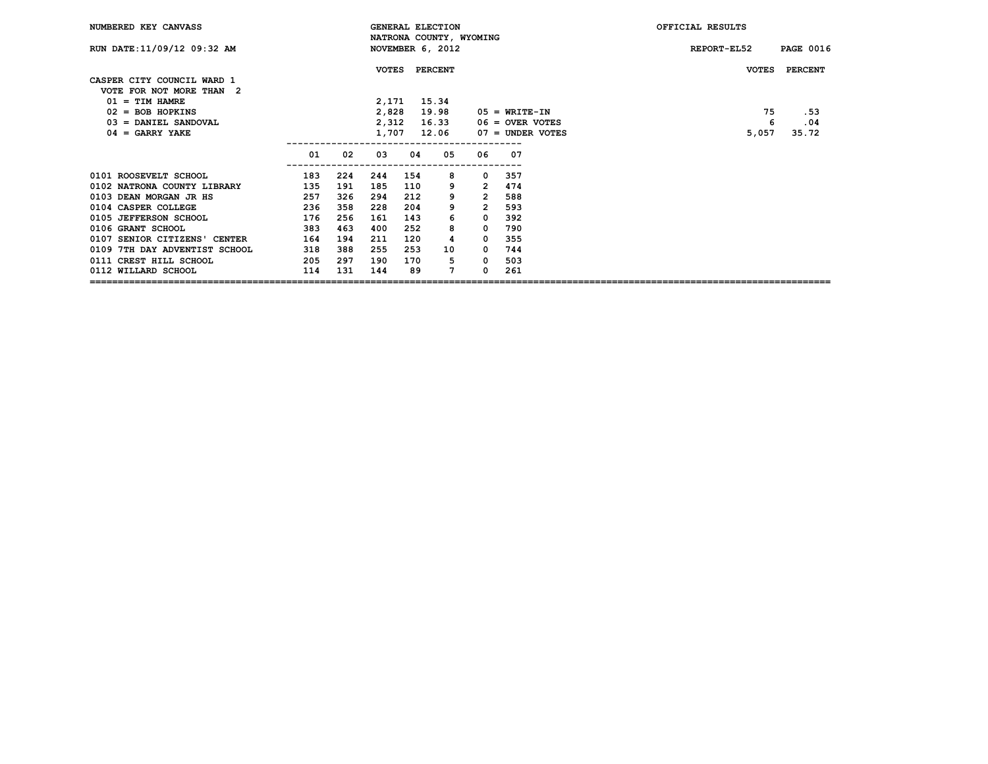| NUMBERED KEY CANVASS                                   |     |     |              |     | <b>GENERAL ELECTION</b><br>NATRONA COUNTY, WYOMING |                |                    | OFFICIAL RESULTS |                  |
|--------------------------------------------------------|-----|-----|--------------|-----|----------------------------------------------------|----------------|--------------------|------------------|------------------|
| RUN DATE: 11/09/12 09:32 AM                            |     |     |              |     | NOVEMBER 6, 2012                                   |                |                    | REPORT-EL52      | <b>PAGE 0016</b> |
| CASPER CITY COUNCIL WARD 1<br>VOTE FOR NOT MORE THAN 2 |     |     | <b>VOTES</b> |     | <b>PERCENT</b>                                     |                |                    | <b>VOTES</b>     | <b>PERCENT</b>   |
| $01 = TIM HAMRE$                                       |     |     | 2,171        |     | 15.34                                              |                |                    |                  |                  |
| $02 = BOB HOPKINS$                                     |     |     | 2,828        |     | 19.98                                              |                | $05 = WRTTE-TN$    | 75               | .53              |
| $03 =$ DANIEL SANDOVAL                                 |     |     | 2,312        |     | 16.33                                              |                | $06 =$ OVER VOTES  | 6                | .04              |
| $04 = GARRY YAKE$                                      |     |     | 1,707        |     | 12.06                                              |                | $07 =$ UNDER VOTES | 5,057            | 35.72            |
|                                                        | 01  | 02  | 03           | 04  | 05                                                 | 06             | 07                 |                  |                  |
| 0101 ROOSEVELT SCHOOL                                  | 183 | 224 | 244          | 154 | 8                                                  | 0              | 357                |                  |                  |
| 0102 NATRONA COUNTY LIBRARY                            | 135 | 191 | 185          | 110 | 9                                                  | $\overline{2}$ | 474                |                  |                  |
| 0103 DEAN MORGAN JR HS                                 | 257 | 326 | 294          | 212 | 9                                                  | $\overline{2}$ | 588                |                  |                  |
| 0104 CASPER COLLEGE                                    | 236 | 358 | 228          | 204 | 9                                                  | $\overline{2}$ | 593                |                  |                  |
| 0105 JEFFERSON SCHOOL                                  | 176 | 256 | 161          | 143 | 6                                                  | $^{\circ}$     | 392                |                  |                  |
| 0106 GRANT SCHOOL                                      | 383 | 463 | 400          | 252 | 8                                                  | 0              | 790                |                  |                  |
| 0107 SENIOR CITIZENS' CENTER                           | 164 | 194 | 211          | 120 | 4                                                  | $\Omega$       | 355                |                  |                  |
| 0109 7TH DAY ADVENTIST SCHOOL                          | 318 | 388 | 255          | 253 | 10                                                 | $^{\circ}$     | 744                |                  |                  |
| 0111 CREST HILL SCHOOL                                 | 205 | 297 | 190          | 170 | 5                                                  | 0              | 503                |                  |                  |
| 0112 WILLARD SCHOOL                                    | 114 | 131 | 144          | 89  | 7                                                  | <sup>n</sup>   | 261                |                  |                  |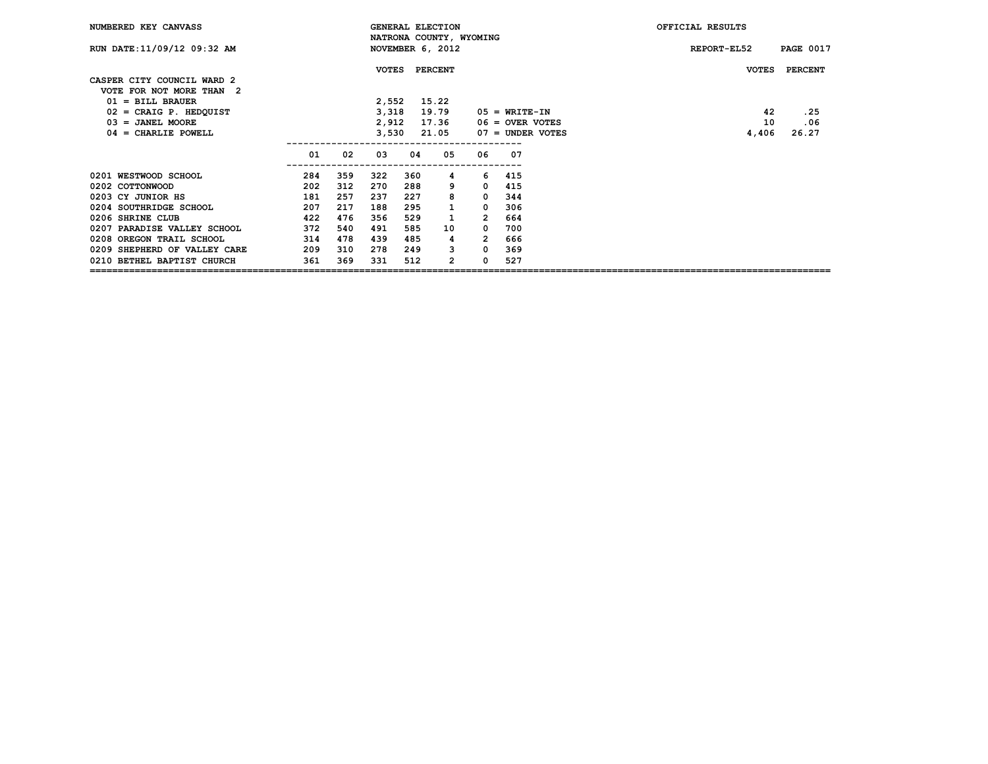| NUMBERED KEY CANVASS                        |     |     |              |     | <b>GENERAL ELECTION</b><br>NATRONA COUNTY, WYOMING |                |                                         | OFFICIAL RESULTS |                  |
|---------------------------------------------|-----|-----|--------------|-----|----------------------------------------------------|----------------|-----------------------------------------|------------------|------------------|
| RUN DATE: 11/09/12 09:32 AM                 |     |     |              |     | NOVEMBER 6, 2012                                   |                |                                         | REPORT-EL52      | <b>PAGE 0017</b> |
|                                             |     |     | <b>VOTES</b> |     | <b>PERCENT</b>                                     |                |                                         | <b>VOTES</b>     | <b>PERCENT</b>   |
| CASPER CITY COUNCIL WARD 2                  |     |     |              |     |                                                    |                |                                         |                  |                  |
| VOTE FOR NOT MORE THAN 2                    |     |     |              |     |                                                    |                |                                         |                  |                  |
| $01 = \text{BILL}$ BRAUER                   |     |     | 2,552        |     | 15.22                                              |                |                                         | 42               |                  |
| $02$ = CRAIG P. HEDQUIST                    |     |     | 3,318        |     | 19.79                                              |                | $05 = WRTTE-TN$                         |                  | .25              |
| $03 = JANEL MOORE$<br>$04 =$ CHARLIE POWELL |     |     | 2,912        |     | 17.36                                              |                | $06 =$ OVER VOTES<br>$07 =$ UNDER VOTES | 10               | .06<br>26.27     |
|                                             |     |     | 3,530        |     | 21.05                                              |                |                                         | 4,406            |                  |
|                                             | 01  | 02  | 03           | 04  | 05                                                 | 06             | 07                                      |                  |                  |
| 0201 WESTWOOD SCHOOL                        | 284 | 359 | 322          | 360 | 4                                                  | 6              | 415                                     |                  |                  |
| 0202 COTTONWOOD                             | 202 | 312 | 270          | 288 | 9                                                  | $^{\circ}$     | 415                                     |                  |                  |
| 0203 CY JUNIOR HS                           | 181 | 257 | 237          | 227 | 8                                                  | $^{\circ}$     | 344                                     |                  |                  |
| 0204 SOUTHRIDGE SCHOOL                      | 207 | 217 | 188          | 295 | $\mathbf{1}$                                       | $\Omega$       | 306                                     |                  |                  |
| 0206 SHRINE CLUB                            | 422 | 476 | 356          | 529 | 1                                                  | $\overline{2}$ | 664                                     |                  |                  |
| 0207 PARADISE VALLEY SCHOOL                 | 372 | 540 | 491          | 585 | 10                                                 | 0              | 700                                     |                  |                  |
| 0208 OREGON TRAIL SCHOOL                    | 314 | 478 | 439          | 485 | 4                                                  | 2              | 666                                     |                  |                  |
| 0209 SHEPHERD OF VALLEY CARE                | 209 | 310 | 278          | 249 | 3                                                  | $\Omega$       | 369                                     |                  |                  |
| 0210 BETHEL BAPTIST CHURCH                  | 361 | 369 | 331          | 512 | 2                                                  | <sup>n</sup>   | 527                                     |                  |                  |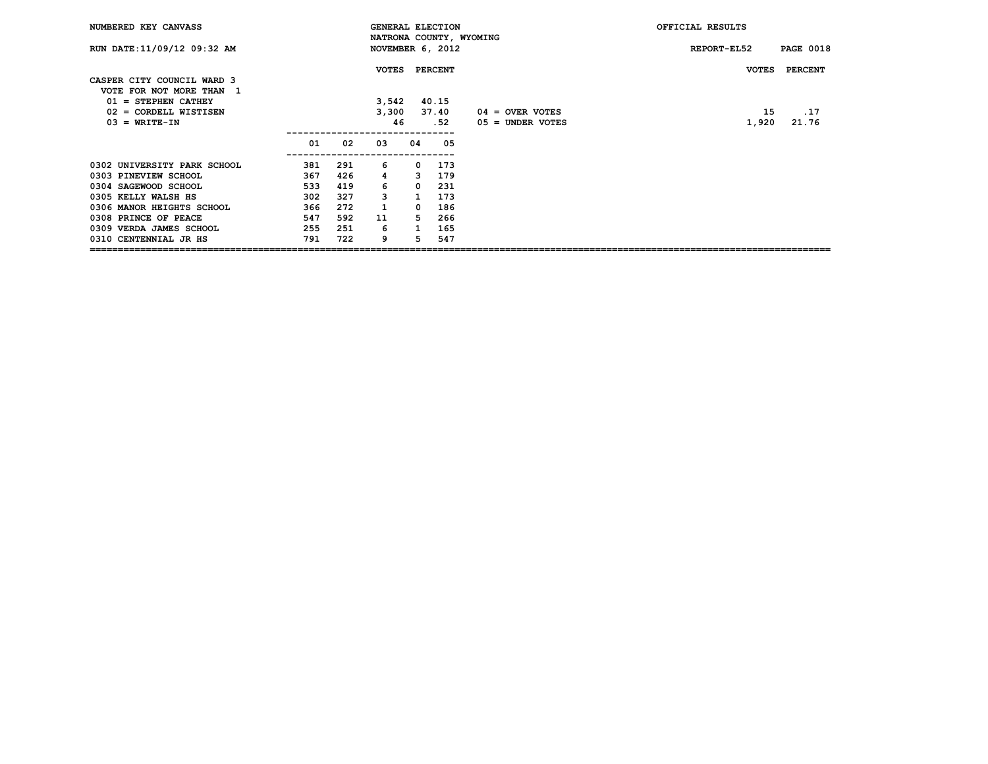| NUMBERED KEY CANVASS                                   |     |     |              | <b>GENERAL ELECTION</b> |                  | OFFICIAL RESULTS        |              |                  |
|--------------------------------------------------------|-----|-----|--------------|-------------------------|------------------|-------------------------|--------------|------------------|
| RUN DATE: 11/09/12 09:32 AM                            |     |     |              |                         | NOVEMBER 6, 2012 | NATRONA COUNTY, WYOMING | REPORT-EL52  | <b>PAGE 0018</b> |
| CASPER CITY COUNCIL WARD 3<br>VOTE FOR NOT MORE THAN 1 |     |     | <b>VOTES</b> |                         | <b>PERCENT</b>   |                         | <b>VOTES</b> | <b>PERCENT</b>   |
| $01 =$ STEPHEN CATHEY                                  |     |     | 3,542        |                         | 40.15            |                         |              |                  |
| 02 = CORDELL WISTISEN                                  |     |     | 3,300        |                         | 37.40            | $04 =$ OVER VOTES       | 15           | .17              |
| $03 = WRITE-TN$                                        |     |     | 46           |                         | . 52             | $05 =$ UNDER VOTES      | 1,920        | 21.76            |
|                                                        | 01  | 02  | 03           | 04                      | 05               |                         |              |                  |
| 0302 UNIVERSITY PARK SCHOOL                            | 381 | 291 | 6            | 0                       | 173              |                         |              |                  |
| 0303 PINEVIEW SCHOOL                                   | 367 | 426 | 4            | 3                       | 179              |                         |              |                  |
| 0304 SAGEWOOD SCHOOL                                   | 533 | 419 | 6            | 0                       | 231              |                         |              |                  |
| 0305 KELLY WALSH HS                                    | 302 | 327 | 3            |                         | 173              |                         |              |                  |
| 0306 MANOR HEIGHTS SCHOOL                              | 366 | 272 |              | 0                       | 186              |                         |              |                  |
| 0308 PRINCE OF PEACE                                   | 547 | 592 | 11           | 5.                      | 266              |                         |              |                  |
| 0309 VERDA JAMES SCHOOL                                | 255 | 251 | 6            |                         | 165              |                         |              |                  |
| 0310 CENTENNIAL JR HS                                  | 791 | 722 | 9            | 5                       | 547              |                         |              |                  |

**====================================================================================================================================**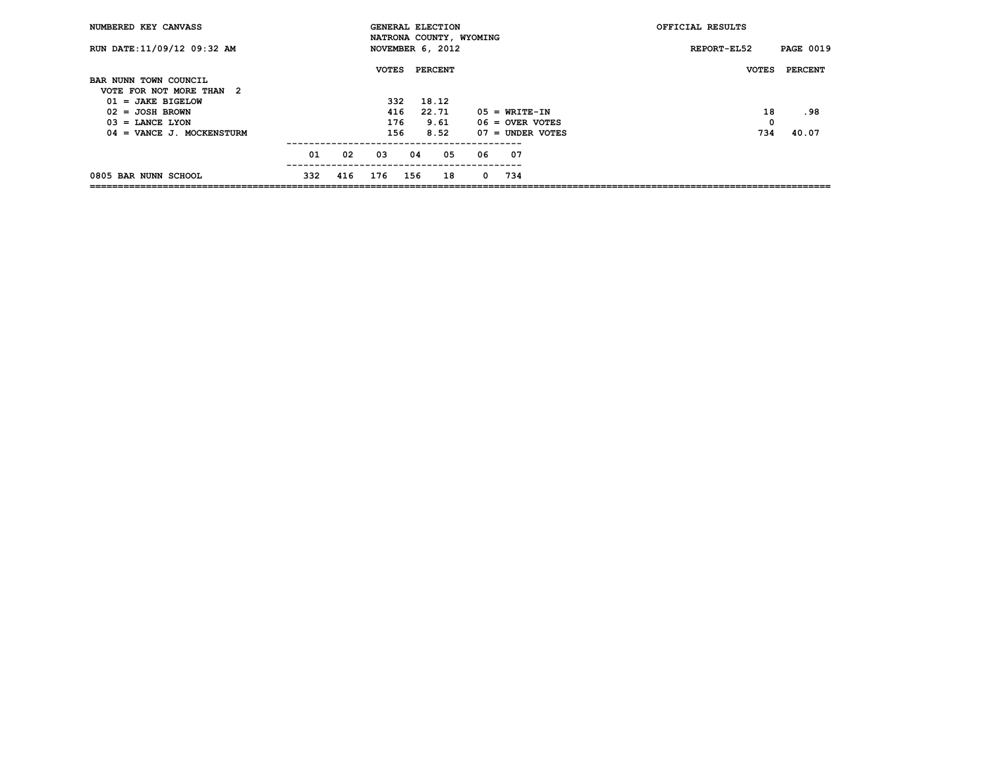| NUMBERED KEY CANVASS        |     |     | <b>GENERAL ELECTION</b> |     |                | NATRONA COUNTY, WYOMING |    |                    | OFFICIAL RESULTS |                |
|-----------------------------|-----|-----|-------------------------|-----|----------------|-------------------------|----|--------------------|------------------|----------------|
| RUN DATE: 11/09/12 09:32 AM |     |     | NOVEMBER 6, 2012        |     |                |                         |    | REPORT-EL52        | <b>PAGE 0019</b> |                |
| BAR NUNN TOWN COUNCIL       |     |     | <b>VOTES</b>            |     | <b>PERCENT</b> |                         |    |                    | <b>VOTES</b>     | <b>PERCENT</b> |
| VOTE FOR NOT MORE THAN 2    |     |     |                         |     |                |                         |    |                    |                  |                |
| $01 = JAKE BIGELOW$         |     |     | 332                     |     | 18.12          |                         |    |                    |                  |                |
| $02 = J$ OSH BROWN          |     |     | 416                     |     | 22.71          |                         |    | $05 = WRTTE-TN$    | 18               | .98            |
| $03$ = LANCE LYON           |     |     |                         | 176 | 9.61           |                         |    | $06 =$ OVER VOTES  | 0                |                |
| $04 =$ VANCE J. MOCKENSTURM |     |     | 156                     |     | 8.52           |                         |    | $07 =$ UNDER VOTES | 734              | 40.07          |
|                             | 01  | 02  | 03                      | 04  |                | 05                      | 06 | 07                 |                  |                |
| 0805 BAR NUNN SCHOOL        | 332 | 416 | 176                     | 156 |                | 18                      | 0  | 734                |                  |                |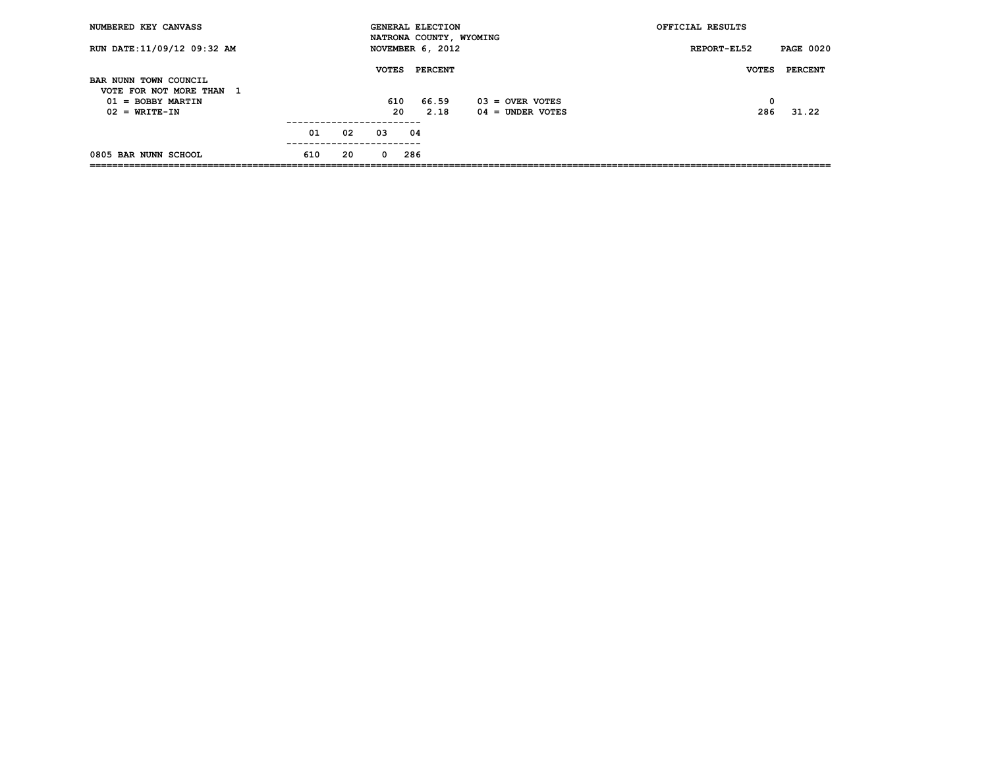| NUMBERED KEY CANVASS                              |     |    | <b>GENERAL ELECTION</b>                     |         |      |                                         | OFFICIAL RESULTS |                  |
|---------------------------------------------------|-----|----|---------------------------------------------|---------|------|-----------------------------------------|------------------|------------------|
| RUN DATE: 11/09/12 09:32 AM                       |     |    | NATRONA COUNTY, WYOMING<br>NOVEMBER 6, 2012 |         |      |                                         | REPORT-EL52      | <b>PAGE 0020</b> |
| BAR NUNN TOWN COUNCIL<br>VOTE FOR NOT MORE THAN 1 |     |    | <b>VOTES</b>                                | PERCENT |      |                                         | <b>VOTES</b>     | PERCENT          |
| $01 = BOBBY MARTIN$<br>$02 = WRTTE-TN$            |     |    | 610<br>20                                   | 66.59   | 2.18 | $03 =$ OVER VOTES<br>$04 =$ UNDER VOTES | 0<br>286         | 31.22            |
|                                                   | 01  | 02 | 03                                          | 04      |      |                                         |                  |                  |
| 0805 BAR NUNN SCHOOL                              | 610 | 20 | $\Omega$                                    | 286     |      |                                         |                  |                  |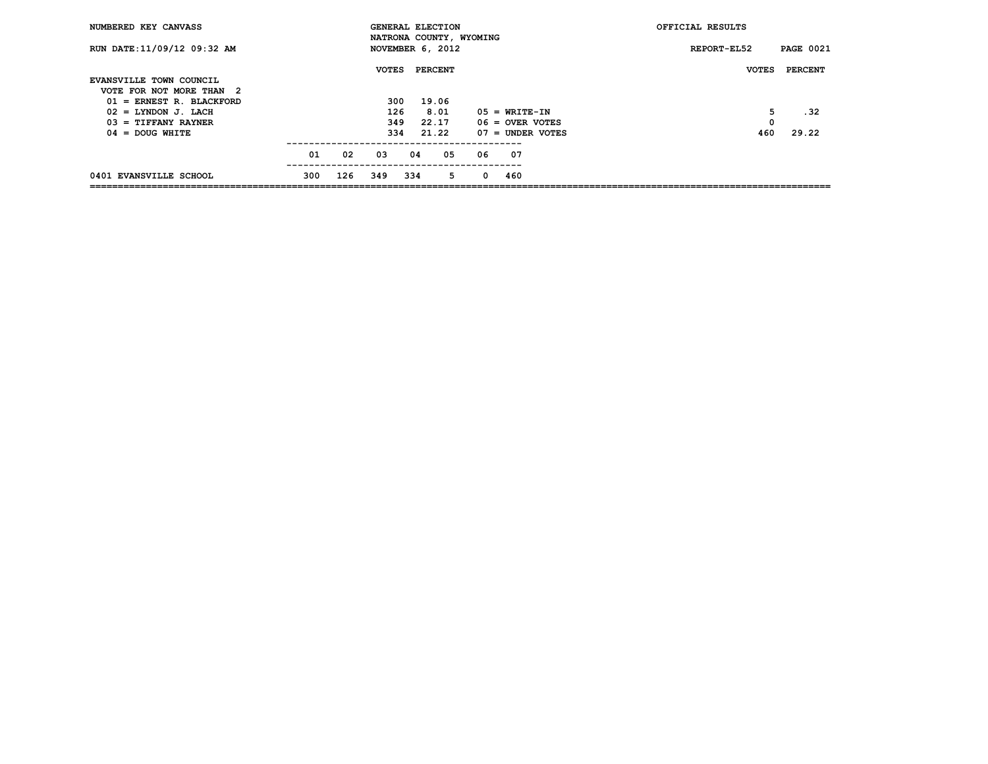| NUMBERED KEY CANVASS                                |     |     | <b>GENERAL ELECTION</b><br>NATRONA COUNTY, WYOMING |     |                |    |          |                                      | OFFICIAL RESULTS |                  |
|-----------------------------------------------------|-----|-----|----------------------------------------------------|-----|----------------|----|----------|--------------------------------------|------------------|------------------|
| RUN DATE: 11/09/12 09:32 AM                         |     |     | NOVEMBER 6, 2012                                   |     |                |    |          |                                      | REPORT-EL52      | <b>PAGE 0021</b> |
| EVANSVILLE TOWN COUNCIL<br>VOTE FOR NOT MORE THAN 2 |     |     | <b>VOTES</b>                                       |     | <b>PERCENT</b> |    |          |                                      | <b>VOTES</b>     | <b>PERCENT</b>   |
| $01$ = ERNEST R. BLACKFORD                          |     |     | 300                                                |     | 19.06          |    |          |                                      |                  |                  |
| $02 = LYNDOM J. LACH$<br>$03$ = TIFFANY RAYNER      |     |     | 126<br>349                                         |     | 8.01<br>22.17  |    |          | $05 = WRTTE-TN$<br>$06 =$ OVER VOTES | 5<br>0           | .32              |
| $04 = DOUG WHICH$                                   |     |     | 334                                                |     | 21.22          |    |          | $07 =$ UNDER VOTES                   | 460              | 29.22            |
|                                                     | 01  | 02  | 03                                                 | 04  |                | 05 | 06       | 07                                   |                  |                  |
| 0401 EVANSVILLE SCHOOL                              | 300 | 126 | 349                                                | 334 |                | 5  | $\Omega$ | 460                                  |                  |                  |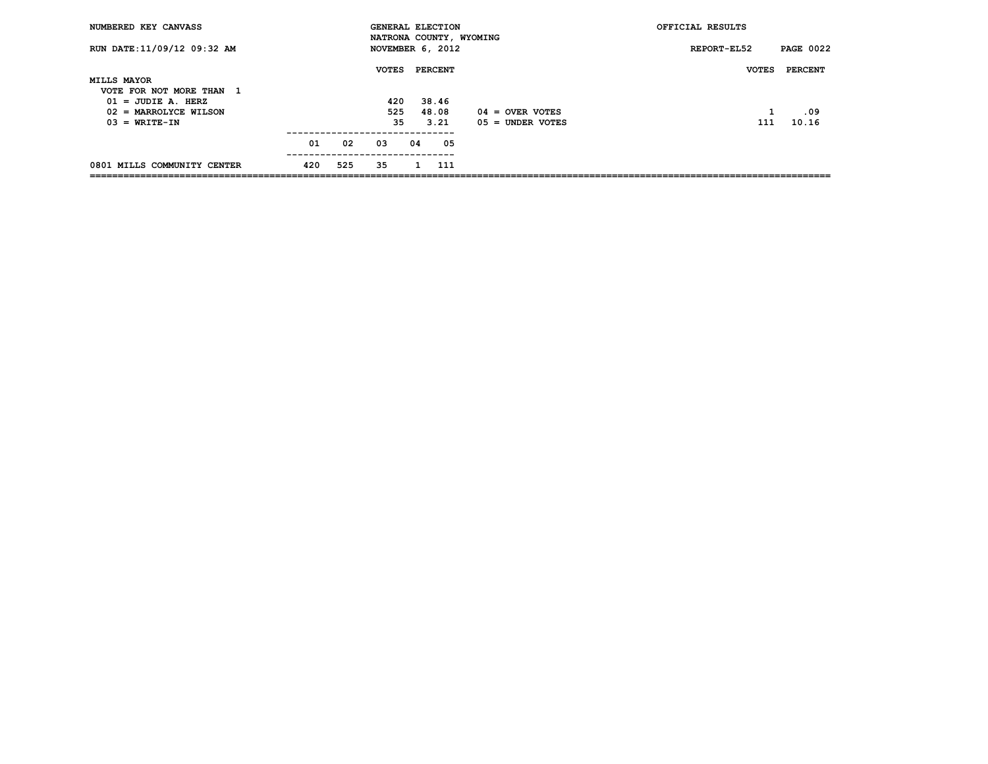| NUMBERED KEY CANVASS                             |     |            | <b>GENERAL ELECTION</b> |    |                |     |                         | OFFICIAL RESULTS |                  |
|--------------------------------------------------|-----|------------|-------------------------|----|----------------|-----|-------------------------|------------------|------------------|
| RUN DATE: 11/09/12 09:32 AM                      |     |            | NOVEMBER 6, 2012        |    |                |     | NATRONA COUNTY, WYOMING | REPORT-EL52      | <b>PAGE 0022</b> |
|                                                  |     |            | <b>VOTES</b>            |    | <b>PERCENT</b> |     |                         | <b>VOTES</b>     | PERCENT          |
| <b>MILLS MAYOR</b>                               |     |            |                         |    |                |     |                         |                  |                  |
| VOTE FOR NOT MORE THAN 1<br>$01 = JUDIE A. HERZ$ |     |            | 420                     |    | 38.46          |     |                         |                  |                  |
| $02$ = MARROLYCE WILSON                          |     |            | 525                     |    | 48.08          |     | $04 =$ OVER VOTES       |                  | .09              |
| $03 = WRITE-IN$                                  |     |            | 35                      |    | 3.21           |     | $05 =$ UNDER VOTES      | 111              | 10.16            |
|                                                  |     | ---------- |                         |    |                |     |                         |                  |                  |
|                                                  | 01  | 02         | 03                      | 04 |                | 05  |                         |                  |                  |
| 0801 MILLS COMMUNITY CENTER                      | 420 | 525        | 35                      |    |                | 111 |                         |                  |                  |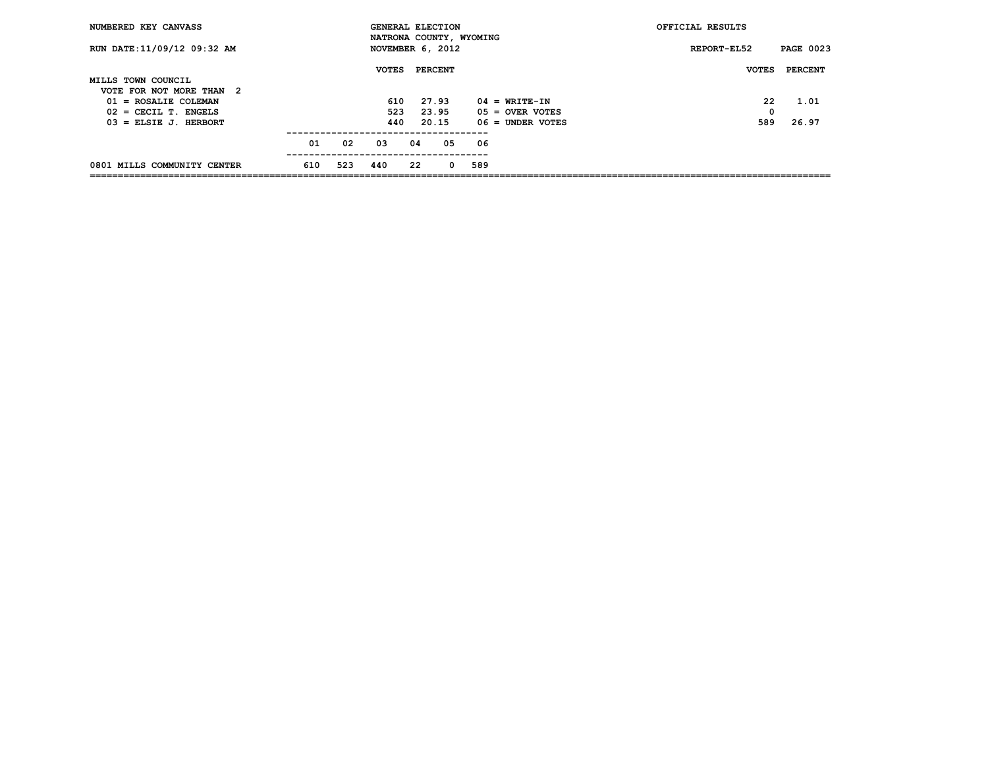| NUMBERED KEY CANVASS        |     |     | <b>GENERAL ELECTION</b>                     |    |                |    |     |                    | OFFICIAL RESULTS |                  |
|-----------------------------|-----|-----|---------------------------------------------|----|----------------|----|-----|--------------------|------------------|------------------|
| RUN DATE: 11/09/12 09:32 AM |     |     | NATRONA COUNTY, WYOMING<br>NOVEMBER 6, 2012 |    |                |    |     |                    | REPORT-EL52      | <b>PAGE 0023</b> |
|                             |     |     | <b>VOTES</b>                                |    | <b>PERCENT</b> |    |     |                    | <b>VOTES</b>     | PERCENT          |
| MILLS TOWN COUNCIL          |     |     |                                             |    |                |    |     |                    |                  |                  |
| VOTE FOR NOT MORE THAN 2    |     |     |                                             |    |                |    |     |                    |                  |                  |
| $01 = ROSALIE COLEMAN$      |     |     | 610                                         |    | 27.93          |    |     | $04 = WRTTE-TN$    | 22               | 1.01             |
| $02$ = CECIL T. ENGELS      |     |     | 523                                         |    | 23.95          |    |     | $05 =$ OVER VOTES  | 0                |                  |
| $03$ = ELSIE J. HERBORT     |     |     | 440                                         |    | 20.15          |    |     | $06 =$ UNDER VOTES | 589              | 26.97            |
|                             | 01  | 02  | 03                                          | 04 |                | 05 | 06  |                    |                  |                  |
|                             |     |     |                                             |    |                |    |     |                    |                  |                  |
| 0801 MILLS COMMUNITY CENTER | 610 | 523 | 440                                         | 22 |                | 0  | 589 |                    |                  |                  |
|                             |     |     |                                             |    |                |    |     |                    |                  |                  |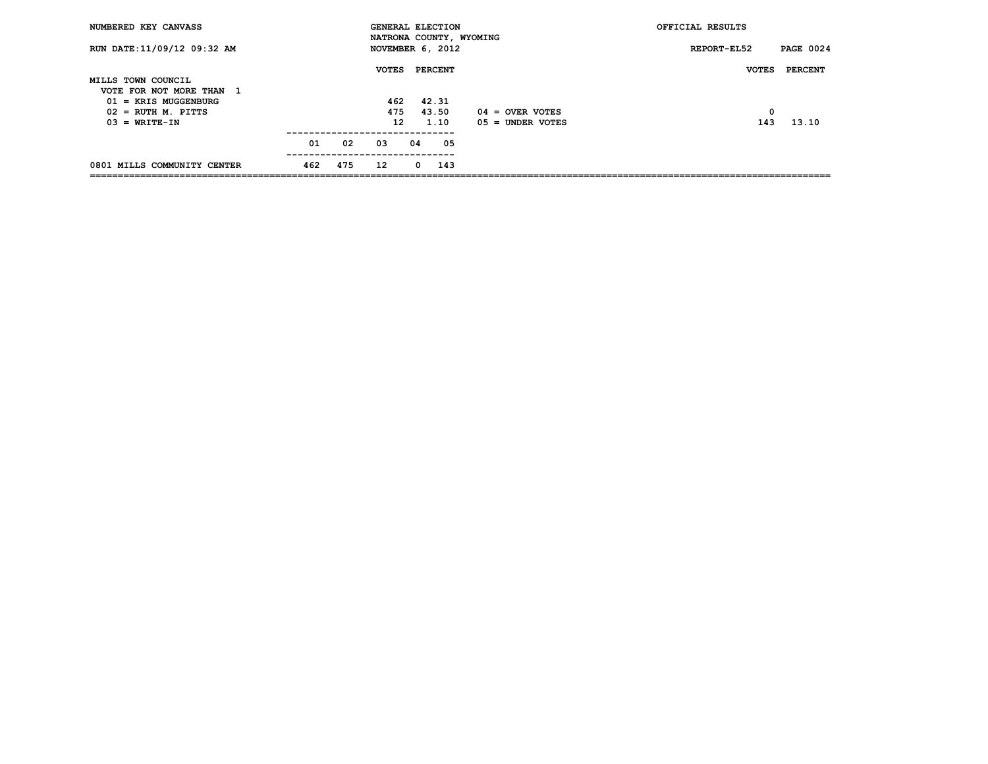| NUMBERED KEY CANVASS                                  |     |     | <b>GENERAL ELECTION</b> |    |                |     |                         | OFFICIAL RESULTS |                  |
|-------------------------------------------------------|-----|-----|-------------------------|----|----------------|-----|-------------------------|------------------|------------------|
| RUN DATE: 11/09/12 09:32 AM                           |     |     | NOVEMBER 6, 2012        |    |                |     | NATRONA COUNTY, WYOMING | REPORT-EL52      | <b>PAGE 0024</b> |
|                                                       |     |     | <b>VOTES</b>            |    | <b>PERCENT</b> |     |                         | <b>VOTES</b>     | PERCENT          |
| MILLS TOWN COUNCIL                                    |     |     |                         |    |                |     |                         |                  |                  |
| VOTE FOR NOT MORE THAN<br>ı<br>$01 =$ KRIS MUGGENBURG |     |     | 462                     |    | 42.31          |     |                         |                  |                  |
| $02 = RUTH$ M. PITTS                                  |     |     | 475                     |    | 43.50          |     | $04 =$ OVER VOTES       | 0                |                  |
| $03 = WRITE-IN$                                       |     |     | 12 <sup>2</sup>         |    | 1.10           |     | $05 =$ UNDER VOTES      | 143              | 13.10            |
|                                                       | 01  | 02  | 03                      | 04 |                | 05  |                         |                  |                  |
| 0801 MILLS COMMUNITY CENTER                           | 462 | 475 | 12 <sup>2</sup>         | 0  |                | 143 |                         |                  |                  |
|                                                       |     |     |                         |    |                |     |                         |                  |                  |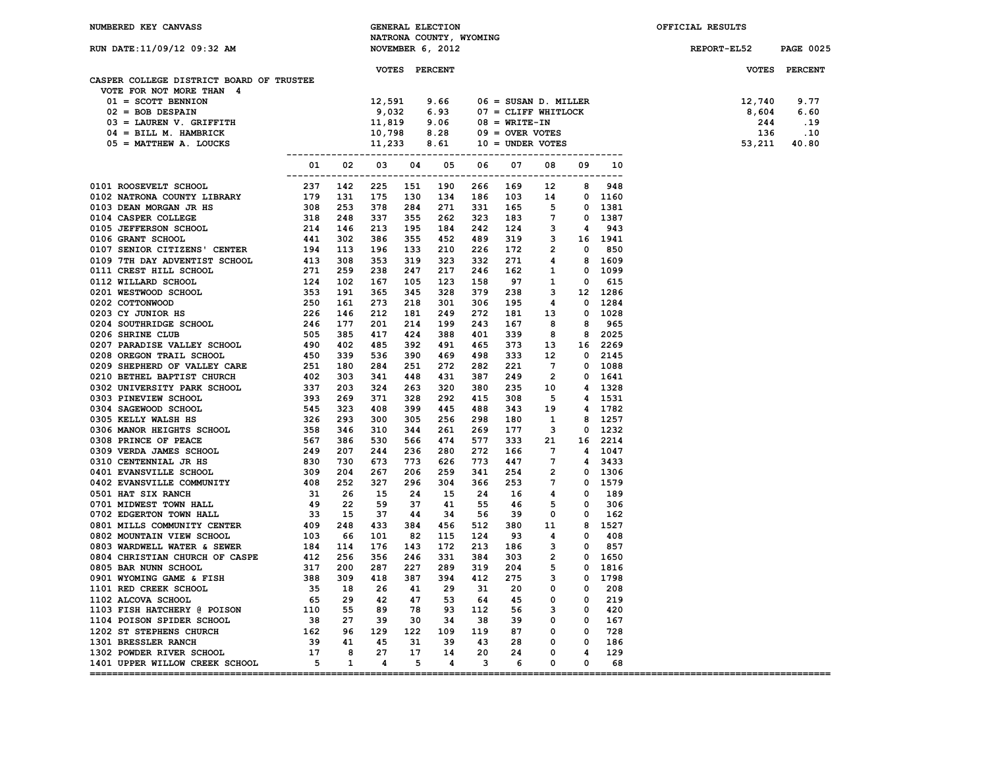| NUMBERED KEY CANVASS                                                                                                                                                                                                                                 |     |    |     |     | GENERAL ELECTION        |     |    |   |   |     | OFFICIAL RESULTS                                                                                                                       |                  |
|------------------------------------------------------------------------------------------------------------------------------------------------------------------------------------------------------------------------------------------------------|-----|----|-----|-----|-------------------------|-----|----|---|---|-----|----------------------------------------------------------------------------------------------------------------------------------------|------------------|
|                                                                                                                                                                                                                                                      |     |    |     |     | NATRONA COUNTY, WYOMING |     |    |   |   |     |                                                                                                                                        |                  |
| RUN DATE: 11/09/12 09:32 AM                                                                                                                                                                                                                          |     |    |     |     | NOVEMBER 6, 2012        |     |    |   |   |     | REPORT-EL52                                                                                                                            | <b>PAGE 0025</b> |
|                                                                                                                                                                                                                                                      |     |    |     |     |                         |     |    |   |   |     |                                                                                                                                        |                  |
|                                                                                                                                                                                                                                                      |     |    |     |     | VOTES PERCENT           |     |    |   |   |     |                                                                                                                                        | VOTES PERCENT    |
| CASPER COLLEGE DISTRICT BOARD OF TRUSTEE                                                                                                                                                                                                             |     |    |     |     |                         |     |    |   |   |     |                                                                                                                                        |                  |
| VOTE FOR NOT MORE THAN 4                                                                                                                                                                                                                             |     |    |     |     |                         |     |    |   |   |     |                                                                                                                                        |                  |
|                                                                                                                                                                                                                                                      |     |    |     |     |                         |     |    |   |   |     | 12,740                                                                                                                                 | 9.77             |
|                                                                                                                                                                                                                                                      |     |    |     |     |                         |     |    |   |   |     | 8,604                                                                                                                                  | 6.60             |
|                                                                                                                                                                                                                                                      |     |    |     |     |                         |     |    |   |   |     | 244                                                                                                                                    | .19              |
|                                                                                                                                                                                                                                                      |     |    |     |     |                         |     |    |   |   |     | 136                                                                                                                                    | $\ldots$         |
| VOTE FOR NOT MORE THAN<br>01 = SCOTT BENNICON<br>02 = BOB DESPAIN<br>02 = BOB DESPAIN<br>03 = LAUREN V. GRIFFITH<br>04 = BILL M. HAMBRICK<br>05 = MATTHEW A. LOUCKS<br>11,233 8.61<br>05 = MATTHEW A. LOUCKS<br>11,233 8.61<br>06 = OVER VOTES<br>11 |     |    |     |     |                         |     |    |   |   |     | 9.66 06 = SUSAN D. MILLER<br>6.93 07 = CLIFF WHITLOCK<br>9.06 08 = WRITE-IN<br>8.28 09 = OVER VOTES<br>8.61 10 = UNDER VOTES<br>53,211 | 40.80            |
|                                                                                                                                                                                                                                                      |     |    |     |     |                         |     |    |   |   |     |                                                                                                                                        |                  |
|                                                                                                                                                                                                                                                      |     |    |     |     |                         |     |    |   |   |     |                                                                                                                                        |                  |
|                                                                                                                                                                                                                                                      |     |    |     |     |                         |     |    |   |   |     |                                                                                                                                        |                  |
|                                                                                                                                                                                                                                                      |     |    |     |     |                         |     |    |   |   |     |                                                                                                                                        |                  |
|                                                                                                                                                                                                                                                      |     |    |     |     |                         |     |    |   |   |     |                                                                                                                                        |                  |
|                                                                                                                                                                                                                                                      |     |    |     |     |                         |     |    |   |   |     |                                                                                                                                        |                  |
|                                                                                                                                                                                                                                                      |     |    |     |     |                         |     |    |   |   |     |                                                                                                                                        |                  |
|                                                                                                                                                                                                                                                      |     |    |     |     |                         |     |    |   |   |     |                                                                                                                                        |                  |
|                                                                                                                                                                                                                                                      |     |    |     |     |                         |     |    |   |   |     |                                                                                                                                        |                  |
|                                                                                                                                                                                                                                                      |     |    |     |     |                         |     |    |   |   |     |                                                                                                                                        |                  |
|                                                                                                                                                                                                                                                      |     |    |     |     |                         |     |    |   |   |     |                                                                                                                                        |                  |
|                                                                                                                                                                                                                                                      |     |    |     |     |                         |     |    |   |   |     |                                                                                                                                        |                  |
|                                                                                                                                                                                                                                                      |     |    |     |     |                         |     |    |   |   |     |                                                                                                                                        |                  |
|                                                                                                                                                                                                                                                      |     |    |     |     |                         |     |    |   |   |     |                                                                                                                                        |                  |
|                                                                                                                                                                                                                                                      |     |    |     |     |                         |     |    |   |   |     |                                                                                                                                        |                  |
|                                                                                                                                                                                                                                                      |     |    |     |     |                         |     |    |   |   |     |                                                                                                                                        |                  |
|                                                                                                                                                                                                                                                      |     |    |     |     |                         |     |    |   |   |     |                                                                                                                                        |                  |
|                                                                                                                                                                                                                                                      |     |    |     |     |                         |     |    |   |   |     |                                                                                                                                        |                  |
|                                                                                                                                                                                                                                                      |     |    |     |     |                         |     |    |   |   |     |                                                                                                                                        |                  |
|                                                                                                                                                                                                                                                      |     |    |     |     |                         |     |    |   |   |     |                                                                                                                                        |                  |
|                                                                                                                                                                                                                                                      |     |    |     |     |                         |     |    |   |   |     |                                                                                                                                        |                  |
|                                                                                                                                                                                                                                                      |     |    |     |     |                         |     |    |   |   |     |                                                                                                                                        |                  |
|                                                                                                                                                                                                                                                      |     |    |     |     |                         |     |    |   |   |     |                                                                                                                                        |                  |
|                                                                                                                                                                                                                                                      |     |    |     |     |                         |     |    |   |   |     |                                                                                                                                        |                  |
|                                                                                                                                                                                                                                                      |     |    |     |     |                         |     |    |   |   |     |                                                                                                                                        |                  |
|                                                                                                                                                                                                                                                      |     |    |     |     |                         |     |    |   |   |     |                                                                                                                                        |                  |
|                                                                                                                                                                                                                                                      |     |    |     |     |                         |     |    |   |   |     |                                                                                                                                        |                  |
|                                                                                                                                                                                                                                                      |     |    |     |     |                         |     |    |   |   |     |                                                                                                                                        |                  |
|                                                                                                                                                                                                                                                      |     |    |     |     |                         |     |    |   |   |     |                                                                                                                                        |                  |
|                                                                                                                                                                                                                                                      |     |    |     |     |                         |     |    |   |   |     |                                                                                                                                        |                  |
|                                                                                                                                                                                                                                                      |     |    |     |     |                         |     |    |   |   |     |                                                                                                                                        |                  |
|                                                                                                                                                                                                                                                      |     |    |     |     |                         |     |    |   |   |     |                                                                                                                                        |                  |
|                                                                                                                                                                                                                                                      |     |    |     |     |                         |     |    |   |   |     |                                                                                                                                        |                  |
|                                                                                                                                                                                                                                                      |     |    |     |     |                         |     |    |   |   |     |                                                                                                                                        |                  |
|                                                                                                                                                                                                                                                      |     |    |     |     |                         |     |    |   |   |     |                                                                                                                                        |                  |
|                                                                                                                                                                                                                                                      |     |    |     |     |                         |     |    |   |   |     |                                                                                                                                        |                  |
|                                                                                                                                                                                                                                                      |     |    |     |     |                         |     |    |   |   |     |                                                                                                                                        |                  |
|                                                                                                                                                                                                                                                      |     |    |     |     |                         |     |    |   |   |     |                                                                                                                                        |                  |
|                                                                                                                                                                                                                                                      |     |    |     |     |                         |     |    |   |   |     |                                                                                                                                        |                  |
|                                                                                                                                                                                                                                                      |     |    |     |     |                         |     |    |   |   |     |                                                                                                                                        |                  |
|                                                                                                                                                                                                                                                      |     |    |     |     |                         |     |    |   |   |     |                                                                                                                                        |                  |
| 1101 RED CREEK SCHOOL                                                                                                                                                                                                                                | 35  | 18 | 26  | 41  | 29                      | 31  | 20 | 0 | 0 | 208 |                                                                                                                                        |                  |
| 1102 ALCOVA SCHOOL                                                                                                                                                                                                                                   | 65  | 29 | 42  | 47  | 53                      | 64  | 45 | 0 | 0 | 219 |                                                                                                                                        |                  |
| 1103 FISH HATCHERY @ POISON                                                                                                                                                                                                                          | 110 | 55 | 89  | 78  | 93                      | 112 | 56 | з |   | 420 |                                                                                                                                        |                  |
| 1104 POISON SPIDER SCHOOL                                                                                                                                                                                                                            | 38  | 27 | 39  | 30  | 34                      | 38  | 39 | 0 | 0 | 167 |                                                                                                                                        |                  |
| 1202 ST STEPHENS CHURCH                                                                                                                                                                                                                              | 162 | 96 | 129 | 122 | 109                     | 119 | 87 | 0 | 0 | 728 |                                                                                                                                        |                  |
| 1301 BRESSLER RANCH                                                                                                                                                                                                                                  | 39  | 41 | 45  | 31  | 39                      | 43  | 28 | 0 | 0 | 186 |                                                                                                                                        |                  |
| 1302 POWDER RIVER SCHOOL                                                                                                                                                                                                                             | 17  | 8  | 27  | 17  | 14                      | 20  | 24 | 0 | 4 | 129 |                                                                                                                                        |                  |
| 1401 UPPER WILLOW CREEK SCHOOL                                                                                                                                                                                                                       | 5   | 1  | 4   | 5   | 4                       | з   | 6  | 0 | 0 | 68  |                                                                                                                                        |                  |
|                                                                                                                                                                                                                                                      |     |    |     |     |                         |     |    |   |   |     |                                                                                                                                        |                  |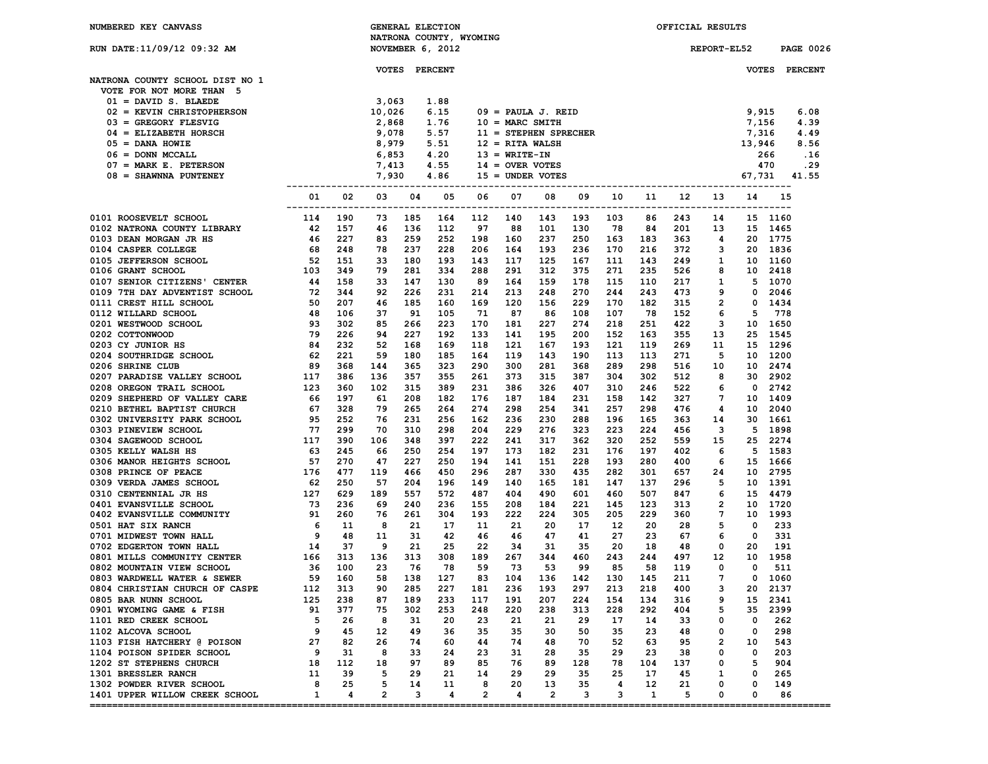| <b>NUMBERED KEY CANVASS</b>                                   |                                     |            |                 |            | <b>GENERAL ELECTION</b>                     |            |                          |                |            |            |              | OFFICIAL RESULTS |                |                  |                  |
|---------------------------------------------------------------|-------------------------------------|------------|-----------------|------------|---------------------------------------------|------------|--------------------------|----------------|------------|------------|--------------|------------------|----------------|------------------|------------------|
| RUN DATE:11/09/12 09:32 AM                                    |                                     |            |                 |            | NATRONA COUNTY, WYOMING<br>NOVEMBER 6, 2012 |            |                          |                |            |            |              |                  | REPORT-EL52    |                  | <b>PAGE 0026</b> |
|                                                               |                                     |            |                 |            |                                             |            |                          |                |            |            |              |                  |                |                  |                  |
|                                                               |                                     |            | <b>VOTES</b>    |            | <b>PERCENT</b>                              |            |                          |                |            |            |              |                  |                | <b>VOTES</b>     | <b>PERCENT</b>   |
| NATRONA COUNTY SCHOOL DIST NO 1                               |                                     |            |                 |            |                                             |            |                          |                |            |            |              |                  |                |                  |                  |
| VOTE FOR NOT MORE THAN 5                                      |                                     |            |                 |            |                                             |            |                          |                |            |            |              |                  |                |                  |                  |
| $01 =$ DAVID S. BLAEDE<br>02 = KEVIN CHRISTOPHERSON           |                                     |            | 3,063<br>10,026 |            | 1.88<br>6.15                                |            | $09 =$ PAULA J. REID     |                |            |            |              |                  |                | 9,915            | 6.08             |
| $03 =$ GREGORY FLESVIG                                        |                                     |            | 2,868           |            | 1.76                                        |            | $10 = \text{MARC}$ SMITH |                |            |            |              |                  |                | 7,156            | 4.39             |
| $04$ = ELIZABETH HORSCH                                       |                                     |            | 9,078           |            | 5.57                                        |            | 11 = STEPHEN SPRECHER    |                |            |            |              |                  |                | 7,316            | 4.49             |
| $05 =$ DANA HOWIE                                             |                                     |            | 8,979           |            | 5.51                                        |            | $12$ = RITA WALSH        |                |            |            |              |                  |                | 13,946           | 8.56             |
| $06 =$ DONN MCCALL                                            |                                     |            | 6,853           |            | 4.20                                        |            | $13 = WRTTE-IN$          |                |            |            |              |                  |                |                  | 266<br>.16       |
| $07 = MARK E$ . PETERSON                                      |                                     |            | 7,413           |            | 4.55                                        |            | $14 =$ OVER VOTES        |                |            |            |              |                  |                |                  | 470<br>.29       |
| 08 = SHAWNNA PUNTENEY                                         |                                     |            | 7,930           |            | 4.86                                        |            | $15 =$ UNDER VOTES       |                |            |            |              |                  |                | 67,731           | 41.55            |
|                                                               |                                     |            |                 |            |                                             |            |                          |                |            |            |              |                  |                |                  |                  |
|                                                               | 01<br>--------------                | 02         | 03              | 04         | 05                                          | 06         | 07                       | 08             | 09         | 10         | 11           | 12               | 13             | 14<br>---------- | 15               |
| 0101 ROOSEVELT SCHOOL                                         | 114                                 | 190        | 73              | 185        | 164                                         | 112        | 140                      | 143            | 193        | 103        | 86           | 243              | 14             |                  | 15 1160          |
| 0102 NATRONA COUNTY LIBRARY                                   | 42                                  | 157        | 46              | 136        | 112                                         | 97         | 88                       | 101            | 130        | 78         | 84           | 201              | 13             | 15               | 1465             |
| 0103 DEAN MORGAN JR HS                                        | 46                                  | 227        | 83              | 259        | 252                                         | 198        | 160                      | 237            | 250        | 163        | 183          | 363              | 4              | 20               | 1775             |
| <b>0104 CASPER COLLEGE</b>                                    | 68                                  | 248        | 78              | 237        | 228                                         | 206        | 164                      | 193            | 236        | 170        | 216          | 372              | з              | 20               | 1836             |
| 0105 JEFFERSON SCHOOL                                         | 52                                  | 151        | 33              | 180        | 193                                         | 143        | 117                      | 125            | 167        | 111        | 143          | 249              | 1              | 10               | 1160             |
| 0106 GRANT SCHOOL                                             | 103                                 | 349        | 79              | 281        | 334                                         | 288        | 291                      | 312            | 375        | 271        | 235          | 526              | 8              | 10               | 2418             |
| 0107 SENIOR CITIZENS' CENTER<br>0109 7TH DAY ADVENTIST SCHOOL | 44<br>72                            | 158<br>344 | 33<br>92        | 147<br>226 | 130<br>231                                  | 89<br>214  | 164<br>213               | 159<br>248     | 178<br>270 | 115<br>244 | 110<br>243   | 217<br>473       | 1<br>9         | 5<br>0           | 1070<br>2046     |
| 0111 CREST HILL SCHOOL                                        | 50                                  | 207        | 46              | 185        | 160                                         | 169        | 120                      | 156            | 229        | 170        | 182          | 315              | $\overline{2}$ | 0                | 1434             |
| 0112 WILLARD SCHOOL                                           | 48                                  | 106        | 37              | 91         | 105                                         | 71         | 87                       | 86             | 108        | 107        | 78           | 152              | 6              | 5                | 778              |
| 0201 WESTWOOD SCHOOL                                          | 93                                  | 302        | 85              | 266        | 223                                         | 170        | 181                      | 227            | 274        | 218        | 251          | 422              | 3              | 10               | 1650             |
| 0202 COTTONWOOD                                               | 79                                  | 226        | 94              | 227        | 192                                         | 133        | 141                      | 195            | 200        | 152        | 163          | 355              | 13             | 25               | 1545             |
| 0203 CY JUNIOR HS                                             | 84                                  | 232        | 52              | 168        | 169                                         | 118        | 121                      | 167            | 193        | 121        | 119          | 269              | 11             | 15               | 1296             |
| 0204 SOUTHRIDGE SCHOOL                                        | 62                                  | 221        | 59              | 180        | 185                                         | 164        | 119                      | 143            | 190        | 113        | 113          | 271              | 5              | 10               | 1200             |
| 0206 SHRINE CLUB                                              | 89                                  | 368        | 144             | 365        | 323                                         | 290        | 300                      | 281            | 368        | 289        | 298          | 516              | 10             | 10               | 2474             |
| 0207 PARADISE VALLEY SCHOOL                                   | 117                                 | 386        | 136             | 357        | 355                                         | 261        | 373                      | 315            | 387        | 304        | 302          | 512              | 8              | 30               | 2902             |
| 0208 OREGON TRAIL SCHOOL                                      | 123                                 | 360        | 102             | 315        | 389                                         | 231        | 386                      | 326            | 407        | 310        | 246          | 522              | 6              | 0                | 2742             |
| 0209 SHEPHERD OF VALLEY CARE                                  | 66                                  | 197        | 61              | 208        | 182                                         | 176        | 187                      | 184            | 231        | 158        | 142          | 327              | 7              | 10               | 1409             |
| 0210 BETHEL BAPTIST CHURCH                                    | 67                                  | 328        | 79              | 265        | 264                                         | 274        | 298                      | 254            | 341        | 257        | 298          | 476              | 4              | 10               | 2040             |
| 0302 UNIVERSITY PARK SCHOOL                                   | 95                                  | 252        | 76              | 231        | 256                                         | 162        | 236                      | 230            | 288        | 196        | 165          | 363              | 14             | 30               | 1661             |
| 0303 PINEVIEW SCHOOL                                          | 77                                  | 299        | 70              | 310        | 298                                         | 204        | 229                      | 276            | 323        | 223        | 224          | 456              | 3              | 5                | 1898             |
| 0304 SAGEWOOD SCHOOL<br>0305 KELLY WALSH HS                   | 117                                 | 390        | 106             | 348<br>250 | 397<br>254                                  | 222<br>197 | 241<br>173               | 317<br>182     | 362<br>231 | 320        | 252          | 559<br>402       | 15             | 25<br>5          | 2274<br>1583     |
| 0306 MANOR HEIGHTS SCHOOL                                     | 63<br>57                            | 245<br>270 | 66<br>47        | 227        | 250                                         | 194        | 141                      | 151            | 228        | 176<br>193 | 197<br>280   | 400              | 6<br>6         | 15               | 1666             |
| 0308 PRINCE OF PEACE                                          | 176                                 | 477        | 119             | 466        | 450                                         | 296        | 287                      | 330            | 435        | 282        | 301          | 657              | 24             | 10               | 2795             |
| 0309 VERDA JAMES SCHOOL                                       | 62                                  | 250        | 57              | 204        | 196                                         | 149        | 140                      | 165            | 181        | 147        | 137          | 296              | 5              | 10               | 1391             |
| 0310 CENTENNIAL JR HS                                         | 127                                 | 629        | 189             | 557        | 572                                         | 487        | 404                      | 490            | 601        | 460        | 507          | 847              | 6              | 15               | 4479             |
| 0401 EVANSVILLE SCHOOL                                        | 73                                  | 236        | 69              | 240        | 236                                         | 155        | 208                      | 184            | 221        | 145        | 123          | 313              | 2              | 10               | 1720             |
| 0402 EVANSVILLE COMMUNITY                                     |                                     | 260        | 76              | 261        | 304                                         | 193        | 222                      | 224            | 305        | 205        | 229          | 360              | 7              | 10               | 1993             |
| <b>0501 HAT SIX RANCH</b>                                     | $91$<br>$6$<br>$9$<br>$14$<br>$166$ | 11         | 8               | 21         | 17                                          | 11         | 21                       | 20             | 17         | 12         | 20           | 28               | 5              | 0                | 233              |
| 0701 MIDWEST TOWN HALL                                        |                                     | 48         | 11              | 31         | 42                                          | 46         | 46                       | 47             | 41         | 27         | 23           | 67               | 6              | 0                | 331              |
| 0702 EDGERTON TOWN HALL                                       |                                     | 37         | 9               | 21         | 25                                          | 22         | 34                       | 31             | 35         | 20         | 18           | 48               | 0              | 20               | 191              |
| 0801 MILLS COMMUNITY CENTER                                   |                                     | 313        | 136             | 313        | 308                                         | 189        | 267                      | 344            | 460        | 243        | 244          | 497              | 12             | 10               | 1958             |
| 0802 MOUNTAIN VIEW SCHOOL                                     | 36                                  | 100        | 23              | 76         | 78                                          | 59         | 73                       | 53             | 99         | 85         | 58           | 119              | 0              | 0                | 511              |
| 0803 WARDWELL WATER & SEWER                                   | 59                                  | 160        | 58              | 138        | 127                                         | 83         | 104                      | 136            | 142        | 130        | 145          | 211              | 7              | $\Omega$         | 1060             |
| 0804 CHRISTIAN CHURCH OF CASPE                                | 112                                 | 313        | 90              | 285        | 227                                         | 181        | 236                      | 193            | 297        | 213        | 218          | 400              | з              | 20               | 2137             |
| 0805 BAR NUNN SCHOOL                                          | 125                                 | 238        | 87              | 189        | 233                                         | 117        | 191                      | 207            | 224        | 154        | 134          | 316              | 9              |                  | 15 2341<br>2399  |
| 0901 WYOMING GAME & FISH<br>1101 RED CREEK SCHOOL             | 91<br>5                             | 377<br>26  | 75<br>8         | 302<br>31  | 253<br>20                                   | 248        | 220<br>21                | 238<br>21      | 313        | 228        | 292<br>14    | 404<br>33        | 5<br>0         | 35<br>0          | 262              |
| 1102 ALCOVA SCHOOL                                            | 9                                   | 45         | 12              | 49         | 36                                          | 23<br>35   | 35                       | 30             | 29<br>50   | 17<br>35   | 23           | 48               | 0              | 0                | 298              |
| 1103 FISH HATCHERY @ POISON                                   | 27                                  | 82         | 26              | 74         | 60                                          | 44         | 74                       | 48             | 70         | 52         | 63           | 95               | 2              | 10               | 543              |
| 1104 POISON SPIDER SCHOOL                                     | 9                                   | 31         | 8               | 33         | 24                                          | 23         | 31                       | 28             | 35         | 29         | 23           | 38               | 0              | 0                | 203              |
| 1202 ST STEPHENS CHURCH                                       | 18                                  | 112        | 18              | 97         | 89                                          | 85         | 76                       | 89             | 128        | 78         | 104          | 137              | 0              | 5                | 904              |
| 1301 BRESSLER RANCH                                           | 11                                  | 39         | 5               | 29         | 21                                          | 14         | 29                       | 29             | 35         | 25         | 17           | 45               | 1              | 0                | 265              |
| 1302 POWDER RIVER SCHOOL                                      | 8                                   | 25         | 5               | 14         | 11                                          | 8          | 20                       | 13             | 35         | 4          | 12           | 21               | 0              | 0                | 149              |
| 1401 UPPER WILLOW CREEK SCHOOL                                | 1                                   | 4          | $\overline{2}$  | 3          | 4                                           | 2          | 4                        | $\overline{a}$ | 3          | з          | $\mathbf{1}$ | 5                | 0              | 0                | 86               |

**====================================================================================================================================**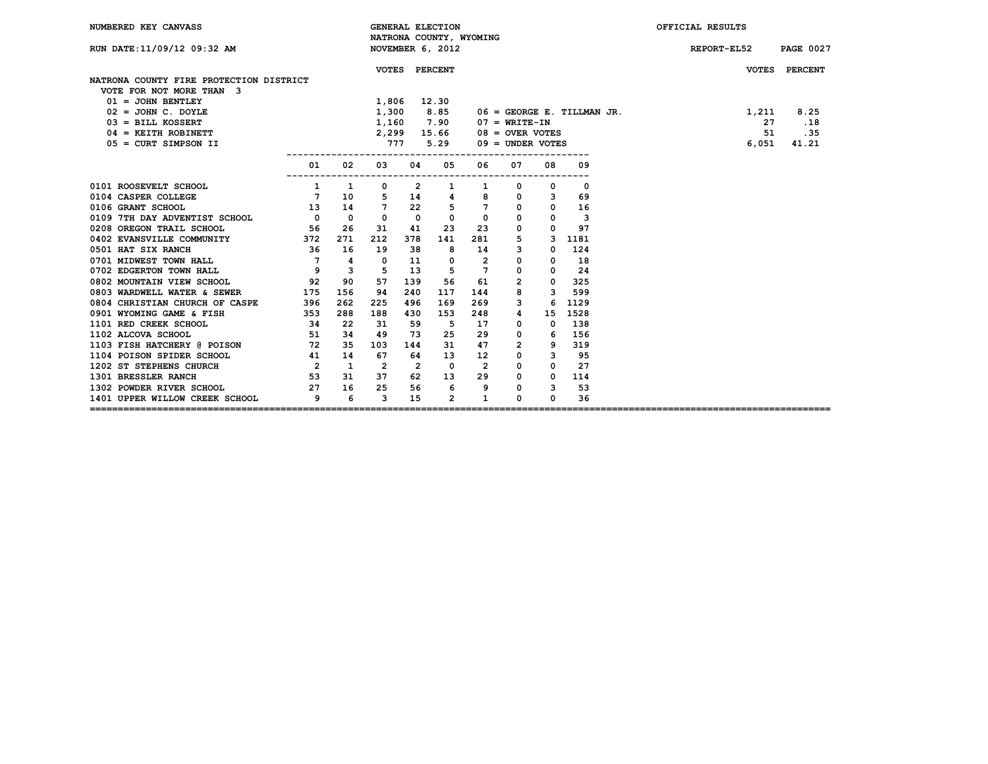| NUMBERED KEY CANVASS                    |                          |          |                 |                         | <b>GENERAL ELECTION</b>                     |                |                    |             |                              | OFFICIAL RESULTS                |  |
|-----------------------------------------|--------------------------|----------|-----------------|-------------------------|---------------------------------------------|----------------|--------------------|-------------|------------------------------|---------------------------------|--|
| RUN DATE: 11/09/12 09:32 AM             |                          |          |                 |                         | NATRONA COUNTY, WYOMING<br>NOVEMBER 6, 2012 |                |                    |             |                              | REPORT-EL52<br><b>PAGE 0027</b> |  |
|                                         |                          |          |                 | VOTES PERCENT           |                                             |                |                    |             |                              | VOTES PERCENT                   |  |
| NATRONA COUNTY FIRE PROTECTION DISTRICT |                          |          |                 |                         |                                             |                |                    |             |                              |                                 |  |
| VOTE FOR NOT MORE THAN 3                |                          |          |                 |                         |                                             |                |                    |             |                              |                                 |  |
| $01 = JOHN$ BENTLEY                     |                          |          | 1,806           |                         | 12.30                                       |                |                    |             |                              |                                 |  |
| $02 = JOHN C. DOYLE$                    |                          |          | 1,300           |                         | 8.85                                        |                |                    |             | $06 =$ GEORGE E. TILLMAN JR. | 8.25<br>1,211                   |  |
| $03 = \text{BILL KOSSERT}$              |                          |          | 1,160           |                         | 7.90                                        |                | 07 = WRITE-IN      |             |                              | 27<br>.18                       |  |
| $04$ = KEITH ROBINETT                   |                          |          | 2,299           |                         | 15.66                                       |                | $08 =$ OVER VOTES  |             |                              | 51<br>.35                       |  |
| $05 = CURT$ SIMPSON II                  |                          |          | 777             |                         | 5.29                                        |                | $09 =$ UNDER VOTES |             |                              | 41.21<br>6,051                  |  |
|                                         | 01                       | 02       | 03              | 04                      | 05                                          | 06             | 07                 | 08          | 09                           |                                 |  |
| 0101 ROOSEVELT SCHOOL                   | 1                        | 1        | 0               | $\mathbf{2}$            | 1                                           |                | 0                  | 0           | 0                            |                                 |  |
| 0104 CASPER COLLEGE                     | $\overline{7}$           | 10       | 5               | 14                      | 4                                           | 8              | $^{\circ}$         | 3           | 69                           |                                 |  |
| 0106 GRANT SCHOOL                       | 13                       | 14       | $7\phantom{.0}$ | 22                      | 5                                           | 7              | $^{\circ}$         | 0           | 16                           |                                 |  |
| 0109 7TH DAY ADVENTIST SCHOOL           | $\overline{\phantom{a}}$ | $\Omega$ | $^{\circ}$      | $\overline{\mathbf{0}}$ | $\mathbf 0$                                 | 0              | 0                  | 0           | 3                            |                                 |  |
| 0208 OREGON TRAIL SCHOOL                | 56                       | 26       | 31              | 41                      | 23                                          | 23             | $^{\circ}$         | $^{\circ}$  | 97                           |                                 |  |
| 0402 EVANSVILLE COMMUNITY               | 372                      | 271      | 212             | 378                     | 141                                         | 281            | 5                  | 3           | 1181                         |                                 |  |
| 0501 HAT SIX RANCH                      | 36                       | 16       | 19              | 38                      | 8                                           | 14             | 3                  | 0           | 124                          |                                 |  |
| 0701 MIDWEST TOWN HALL                  | $\overline{7}$           | 4        | $^{\circ}$      | 11                      | 0                                           | $\overline{2}$ | $\Omega$           | 0           | 18                           |                                 |  |
| 0702 EDGERTON TOWN HALL                 | $\overline{9}$           | 3        | 5               | 13                      | 5                                           | $7^{\circ}$    | 0                  | 0           | 24                           |                                 |  |
| 0802 MOUNTAIN VIEW SCHOOL               | 92                       | 90       | 57              | 139                     | 56                                          | 61             | $\overline{2}$     | $\mathbf 0$ | 325                          |                                 |  |
| 0803 WARDWELL WATER & SEWER             | 175                      | 156      | 94              | 240                     | 117                                         | 144            |                    | 3           | 599                          |                                 |  |
| 0804 CHRISTIAN CHURCH OF CASPE          | 396                      | 262      | 225             | 496                     | 169                                         | 269            | 3                  | 6           | 1129                         |                                 |  |
| 0901 WYOMING GAME & FISH                | 353                      | 288      | 188             | 430                     | 153                                         | 248            | 4                  | 15          | 1528                         |                                 |  |
| 1101 RED CREEK SCHOOL                   | 34                       | 22       | 31              | 59                      | 5                                           | 17             | 0                  | 0           | 138                          |                                 |  |
| 1102 ALCOVA SCHOOL                      | 51                       | 34       | 49              | 73                      | 25                                          | 29             | 0                  | 6           | 156                          |                                 |  |
| 1103 FISH HATCHERY @ POISON             | $\frac{72}{41}$          | 35       | 103             | 144                     | 31                                          | 47             | $\overline{2}$     | 9           | 319                          |                                 |  |
| 1104 POISON SPIDER SCHOOL               |                          | 14       | 67              | 64                      | 13                                          | 12             | 0                  | 3           | 95                           |                                 |  |
| 1202 ST STEPHENS CHURCH                 | $\overline{\mathbf{a}}$  | 1        | $\overline{2}$  | $\overline{2}$          | $\mathbf 0$                                 | $\overline{2}$ | 0                  | 0           | 27                           |                                 |  |
| 1301 BRESSLER RANCH                     | 53                       | 31       | 37              | 62                      | 13                                          | 29             | 0                  | 0           | 114                          |                                 |  |
| 1302 POWDER RIVER SCHOOL                | 27                       | 16       | 25              | 56                      | 6                                           | 9              | $\Omega$           | 3           | 53                           |                                 |  |
| 1401 UPPER WILLOW CREEK SCHOOL          | 9                        | 6        | 3               | 15                      | $\mathbf{2}$                                | 1              | O                  | 0           | 36                           |                                 |  |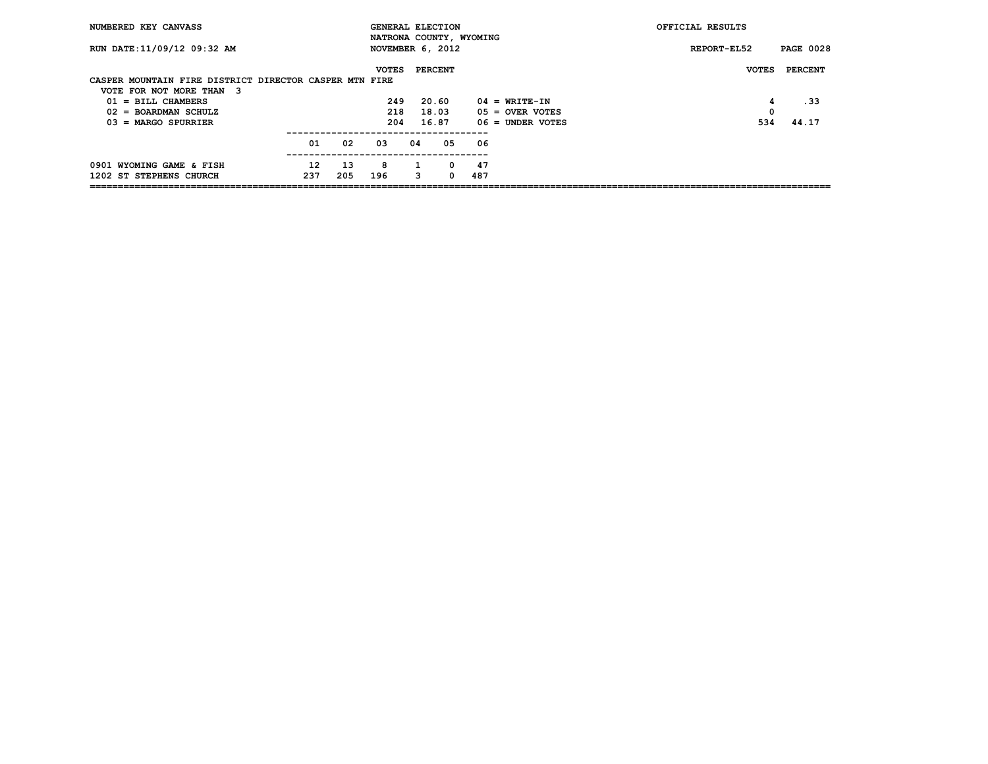| NUMBERED KEY CANVASS                                   |     |     |              |    |                         |     |                    | OFFICIAL RESULTS |                  |
|--------------------------------------------------------|-----|-----|--------------|----|-------------------------|-----|--------------------|------------------|------------------|
|                                                        |     |     |              |    | NATRONA COUNTY, WYOMING |     |                    |                  |                  |
| RUN DATE: 11/09/12 09:32 AM                            |     |     |              |    | NOVEMBER 6, 2012        |     |                    | REPORT-EL52      | <b>PAGE 0028</b> |
|                                                        |     |     |              |    |                         |     |                    |                  |                  |
|                                                        |     |     | <b>VOTES</b> |    | <b>PERCENT</b>          |     |                    | <b>VOTES</b>     | <b>PERCENT</b>   |
| CASPER MOUNTAIN FIRE DISTRICT DIRECTOR CASPER MTN FIRE |     |     |              |    |                         |     |                    |                  |                  |
| VOTE FOR NOT MORE THAN 3                               |     |     |              |    |                         |     |                    |                  |                  |
| $01 = \text{BILL}$ CHAMBERS                            |     |     | 249          |    | 20.60                   |     | $04 = WRTTE-TN$    | 4                | . 33             |
| $02 = BOARDMAN SCHULZ$                                 |     |     | 218          |    | 18.03                   |     | $05 =$ OVER VOTES  | 0                |                  |
| $03$ = MARGO SPURRIER                                  |     |     | 204          |    | 16.87                   |     | $06 =$ UNDER VOTES | 534              | 44.17            |
|                                                        |     |     |              |    |                         |     |                    |                  |                  |
|                                                        | 01  | 02  | 03           | 04 | 05                      | 06  |                    |                  |                  |
|                                                        | 12  |     | 8            |    |                         | 47  |                    |                  |                  |
| 0901 WYOMING GAME & FISH                               |     | 13  |              |    | 0                       |     |                    |                  |                  |
| 1202 ST STEPHENS CHURCH                                | 237 | 205 | 196          | 3  | 0                       | 487 |                    |                  |                  |
|                                                        |     |     |              |    |                         |     |                    |                  |                  |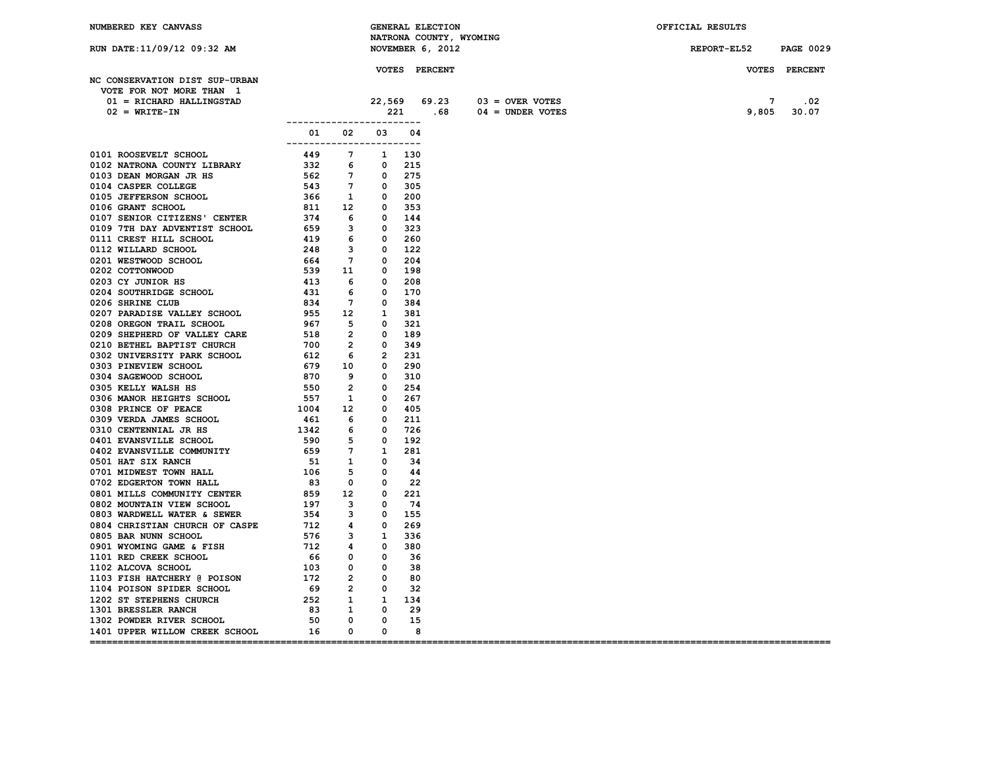| NUMBERED KEY CANVASS                                                                                                                                                                                                                        |                           |  | <b>GENERAL ELECTION</b>    |                              | OFFICIAL RESULTS      |               |
|---------------------------------------------------------------------------------------------------------------------------------------------------------------------------------------------------------------------------------------------|---------------------------|--|----------------------------|------------------------------|-----------------------|---------------|
|                                                                                                                                                                                                                                             |                           |  | NATRONA COUNTY, WYOMING    |                              |                       |               |
| RUN DATE:11/09/12 09:32 AM                                                                                                                                                                                                                  |                           |  | NOVEMBER 6, 2012           |                              | REPORT-EL52 PAGE 0029 |               |
|                                                                                                                                                                                                                                             |                           |  |                            |                              |                       |               |
|                                                                                                                                                                                                                                             |                           |  | <b>VOTES PERCENT</b>       |                              |                       | VOTES PERCENT |
| NC CONSERVATION DIST SUP-URBAN                                                                                                                                                                                                              |                           |  |                            |                              |                       |               |
| VOTE FOR NOT MORE THAN 1                                                                                                                                                                                                                    |                           |  |                            |                              |                       |               |
| 01 = RICHARD HALLINGSTAD                                                                                                                                                                                                                    |                           |  |                            | 22,569 69.23 03 = OVER VOTES | 7                     | .02           |
| 01 = RICHARD HALLINGSTAD $02$ = WRITE-IN 221<br>02 = WRITE-IN 221                                                                                                                                                                           |                           |  |                            | 221 .68 04 = UNDER VOTES     |                       | 9,805 30.07   |
|                                                                                                                                                                                                                                             |                           |  |                            |                              |                       |               |
|                                                                                                                                                                                                                                             | 01 02 03 04               |  |                            |                              |                       |               |
| 0101 ROOSTVELT SCHOOL 1002 33 0 102<br>0102 NATRONA COUNTY LIBRARY 1410 7 1002<br>0102 NATRONA COUNTY LIBRARY 1410 7 100<br>0100 CASNE WASHAU ARE 162<br>0104 CASPER COLLEGE IS<br>0104 CASPER COLLEGE IS<br>0104 CASPER COLLEGE IS<br>0106 | ------------------------- |  |                            |                              |                       |               |
|                                                                                                                                                                                                                                             |                           |  |                            |                              |                       |               |
|                                                                                                                                                                                                                                             |                           |  |                            |                              |                       |               |
|                                                                                                                                                                                                                                             |                           |  |                            |                              |                       |               |
|                                                                                                                                                                                                                                             |                           |  |                            |                              |                       |               |
|                                                                                                                                                                                                                                             |                           |  |                            |                              |                       |               |
|                                                                                                                                                                                                                                             |                           |  |                            |                              |                       |               |
|                                                                                                                                                                                                                                             |                           |  |                            |                              |                       |               |
|                                                                                                                                                                                                                                             |                           |  |                            |                              |                       |               |
|                                                                                                                                                                                                                                             |                           |  |                            |                              |                       |               |
|                                                                                                                                                                                                                                             |                           |  |                            |                              |                       |               |
|                                                                                                                                                                                                                                             |                           |  |                            |                              |                       |               |
|                                                                                                                                                                                                                                             |                           |  |                            |                              |                       |               |
|                                                                                                                                                                                                                                             |                           |  |                            |                              |                       |               |
|                                                                                                                                                                                                                                             |                           |  |                            |                              |                       |               |
|                                                                                                                                                                                                                                             |                           |  |                            |                              |                       |               |
|                                                                                                                                                                                                                                             |                           |  |                            |                              |                       |               |
|                                                                                                                                                                                                                                             |                           |  |                            |                              |                       |               |
|                                                                                                                                                                                                                                             |                           |  |                            |                              |                       |               |
|                                                                                                                                                                                                                                             |                           |  |                            |                              |                       |               |
|                                                                                                                                                                                                                                             |                           |  |                            |                              |                       |               |
|                                                                                                                                                                                                                                             |                           |  |                            |                              |                       |               |
|                                                                                                                                                                                                                                             |                           |  |                            |                              |                       |               |
|                                                                                                                                                                                                                                             |                           |  |                            |                              |                       |               |
|                                                                                                                                                                                                                                             |                           |  |                            |                              |                       |               |
|                                                                                                                                                                                                                                             |                           |  |                            |                              |                       |               |
|                                                                                                                                                                                                                                             |                           |  |                            |                              |                       |               |
|                                                                                                                                                                                                                                             |                           |  |                            |                              |                       |               |
|                                                                                                                                                                                                                                             |                           |  |                            |                              |                       |               |
|                                                                                                                                                                                                                                             |                           |  |                            |                              |                       |               |
|                                                                                                                                                                                                                                             |                           |  |                            |                              |                       |               |
|                                                                                                                                                                                                                                             |                           |  |                            |                              |                       |               |
|                                                                                                                                                                                                                                             |                           |  |                            |                              |                       |               |
|                                                                                                                                                                                                                                             |                           |  |                            |                              |                       |               |
|                                                                                                                                                                                                                                             |                           |  |                            |                              |                       |               |
|                                                                                                                                                                                                                                             |                           |  |                            |                              |                       |               |
|                                                                                                                                                                                                                                             |                           |  |                            |                              |                       |               |
|                                                                                                                                                                                                                                             |                           |  |                            |                              |                       |               |
|                                                                                                                                                                                                                                             |                           |  |                            |                              |                       |               |
|                                                                                                                                                                                                                                             |                           |  |                            |                              |                       |               |
|                                                                                                                                                                                                                                             |                           |  |                            |                              |                       |               |
|                                                                                                                                                                                                                                             |                           |  |                            |                              |                       |               |
|                                                                                                                                                                                                                                             |                           |  |                            |                              |                       |               |
|                                                                                                                                                                                                                                             |                           |  |                            |                              |                       |               |
|                                                                                                                                                                                                                                             |                           |  |                            |                              |                       |               |
| 1401 UPPER WILLOW CREEK SCHOOL 16 0 0                                                                                                                                                                                                       |                           |  |                            |                              |                       |               |
|                                                                                                                                                                                                                                             |                           |  | $\overline{\phantom{a}}$ 8 |                              |                       |               |
|                                                                                                                                                                                                                                             |                           |  |                            |                              |                       |               |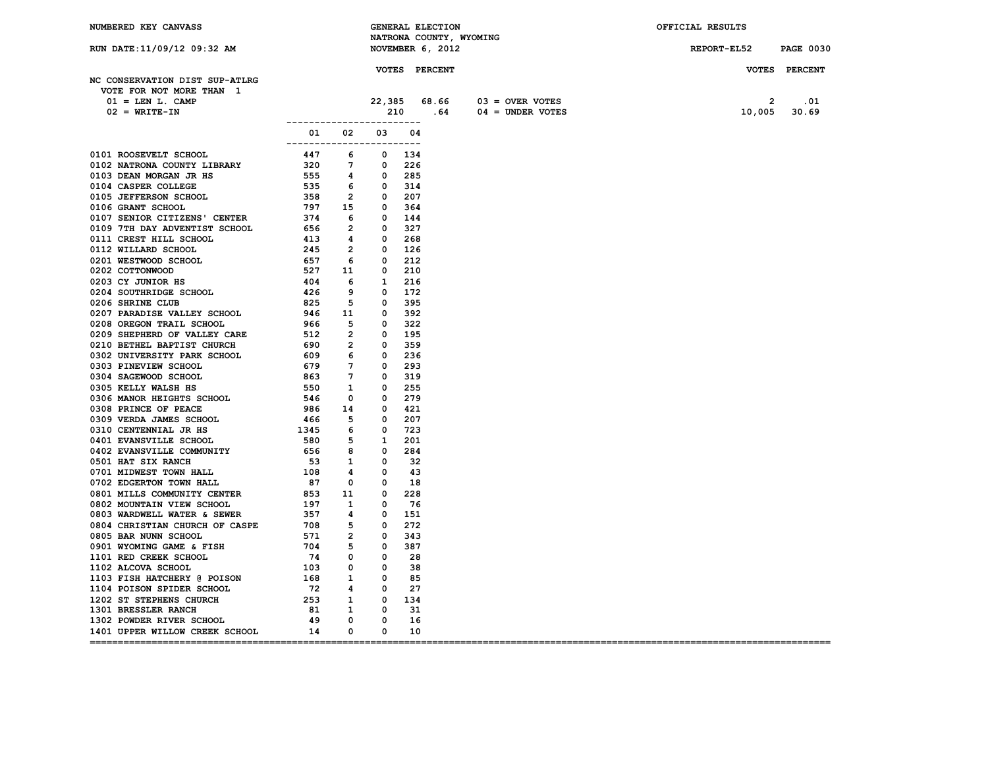| NUMBERED KEY CANVASS                  |                             |  | GENERAL ELECTION        |                                | OFFICIAL RESULTS      |               |
|---------------------------------------|-----------------------------|--|-------------------------|--------------------------------|-----------------------|---------------|
|                                       |                             |  | NATRONA COUNTY, WYOMING |                                |                       |               |
| RUN DATE: 11/09/12 09:32 AM           |                             |  | NOVEMBER 6, 2012        |                                | REPORT-EL52 PAGE 0030 |               |
|                                       |                             |  |                         |                                |                       |               |
|                                       |                             |  | <b>VOTES PERCENT</b>    |                                |                       | VOTES PERCENT |
| NC CONSERVATION DIST SUP-ATLRG        |                             |  |                         |                                |                       |               |
| VOTE FOR NOT MORE THAN 1              |                             |  |                         |                                |                       |               |
| $01 =$ LEN L. CAMP                    |                             |  |                         | $22,385$ 68.66 03 = OVER VOTES | $\mathbf{2}$          | .01           |
| $02 = \text{WRTTE}-\text{IN}$         |                             |  |                         | 210 64 04 = UNDER VOTES        | 10,005 30.69          |               |
|                                       | ___________________________ |  |                         |                                |                       |               |
|                                       | 01 02 03 04                 |  |                         |                                |                       |               |
|                                       | -------------------------   |  |                         |                                |                       |               |
|                                       |                             |  |                         |                                |                       |               |
|                                       |                             |  |                         |                                |                       |               |
|                                       |                             |  |                         |                                |                       |               |
|                                       |                             |  |                         |                                |                       |               |
|                                       |                             |  |                         |                                |                       |               |
|                                       |                             |  |                         |                                |                       |               |
|                                       |                             |  |                         |                                |                       |               |
|                                       |                             |  |                         |                                |                       |               |
|                                       |                             |  |                         |                                |                       |               |
|                                       |                             |  |                         |                                |                       |               |
|                                       |                             |  |                         |                                |                       |               |
|                                       |                             |  |                         |                                |                       |               |
|                                       |                             |  |                         |                                |                       |               |
|                                       |                             |  |                         |                                |                       |               |
|                                       |                             |  |                         |                                |                       |               |
|                                       |                             |  |                         |                                |                       |               |
|                                       |                             |  |                         |                                |                       |               |
|                                       |                             |  |                         |                                |                       |               |
|                                       |                             |  |                         |                                |                       |               |
|                                       |                             |  |                         |                                |                       |               |
|                                       |                             |  |                         |                                |                       |               |
|                                       |                             |  |                         |                                |                       |               |
|                                       |                             |  |                         |                                |                       |               |
|                                       |                             |  |                         |                                |                       |               |
|                                       |                             |  |                         |                                |                       |               |
|                                       |                             |  |                         |                                |                       |               |
|                                       |                             |  |                         |                                |                       |               |
|                                       |                             |  |                         |                                |                       |               |
|                                       |                             |  |                         |                                |                       |               |
|                                       |                             |  |                         |                                |                       |               |
|                                       |                             |  |                         |                                |                       |               |
|                                       |                             |  |                         |                                |                       |               |
|                                       |                             |  |                         |                                |                       |               |
|                                       |                             |  |                         |                                |                       |               |
|                                       |                             |  |                         |                                |                       |               |
|                                       |                             |  |                         |                                |                       |               |
|                                       |                             |  |                         |                                |                       |               |
|                                       |                             |  |                         |                                |                       |               |
|                                       |                             |  |                         |                                |                       |               |
|                                       |                             |  |                         |                                |                       |               |
|                                       |                             |  |                         |                                |                       |               |
|                                       |                             |  |                         |                                |                       |               |
|                                       |                             |  |                         |                                |                       |               |
|                                       |                             |  |                         |                                |                       |               |
| 1401 UPPER WILLOW CREEK SCHOOL 14 0 0 |                             |  | 10                      |                                |                       |               |
|                                       |                             |  |                         |                                |                       |               |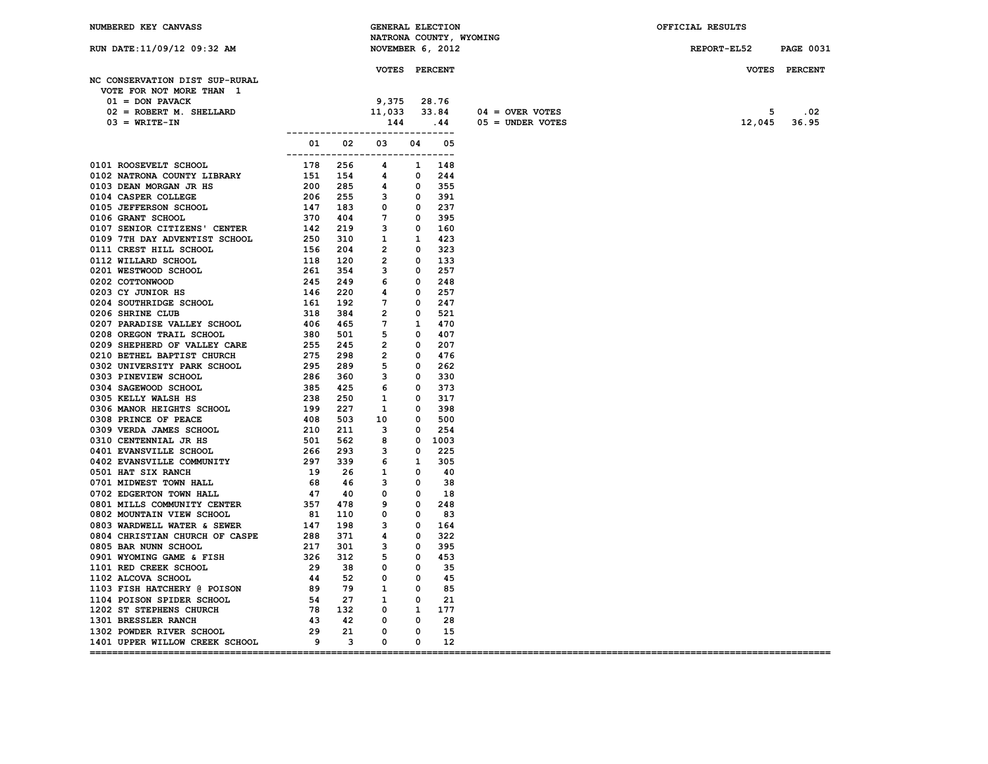| NUMBERED KEY CANVASS                                                                                                                                                                                                                                                             |                                 | GENERAL ELECTION                       |            |    |                         | OFFICIAL RESULTS |                  |
|----------------------------------------------------------------------------------------------------------------------------------------------------------------------------------------------------------------------------------------------------------------------------------|---------------------------------|----------------------------------------|------------|----|-------------------------|------------------|------------------|
|                                                                                                                                                                                                                                                                                  |                                 |                                        |            |    | NATRONA COUNTY, WYOMING |                  |                  |
| RUN DATE:11/09/12 09:32 AM                                                                                                                                                                                                                                                       |                                 | NOVEMBER 6, 2012                       |            |    |                         | REPORT-EL52      | <b>PAGE 0031</b> |
|                                                                                                                                                                                                                                                                                  |                                 |                                        |            |    |                         |                  |                  |
|                                                                                                                                                                                                                                                                                  |                                 | <b>VOTES PERCENT</b>                   |            |    |                         |                  | VOTES PERCENT    |
| NC CONSERVATION DIST SUP-RURAL                                                                                                                                                                                                                                                   |                                 |                                        |            |    |                         |                  |                  |
| VOTE FOR NOT MORE THAN 1                                                                                                                                                                                                                                                         |                                 |                                        |            |    |                         |                  |                  |
| $01 =$ DON PAVACK                                                                                                                                                                                                                                                                |                                 |                                        |            |    |                         |                  |                  |
| 02 = ROBERT M. SHELLARD                                                                                                                                                                                                                                                          |                                 | 9,375 28.76<br>11,033 33.84<br>144 .44 |            |    | $04 =$ OVER VOTES       |                  | $5 \qquad .02$   |
| $03 = \text{WRITE} - \text{IN}$                                                                                                                                                                                                                                                  |                                 |                                        |            |    | $05 =$ UNDER VOTES      |                  | 12,045 36.95     |
|                                                                                                                                                                                                                                                                                  | ------------------------------- |                                        |            |    |                         |                  |                  |
|                                                                                                                                                                                                                                                                                  |                                 | 01 02 03 04 05                         |            |    |                         |                  |                  |
|                                                                                                                                                                                                                                                                                  |                                 |                                        |            |    |                         |                  |                  |
|                                                                                                                                                                                                                                                                                  |                                 |                                        |            |    |                         |                  |                  |
|                                                                                                                                                                                                                                                                                  |                                 |                                        |            |    |                         |                  |                  |
|                                                                                                                                                                                                                                                                                  |                                 |                                        |            |    |                         |                  |                  |
|                                                                                                                                                                                                                                                                                  |                                 |                                        |            |    |                         |                  |                  |
|                                                                                                                                                                                                                                                                                  |                                 |                                        |            |    |                         |                  |                  |
|                                                                                                                                                                                                                                                                                  |                                 |                                        |            |    |                         |                  |                  |
|                                                                                                                                                                                                                                                                                  |                                 |                                        |            |    |                         |                  |                  |
|                                                                                                                                                                                                                                                                                  |                                 |                                        |            |    |                         |                  |                  |
|                                                                                                                                                                                                                                                                                  |                                 |                                        |            |    |                         |                  |                  |
|                                                                                                                                                                                                                                                                                  |                                 |                                        |            |    |                         |                  |                  |
|                                                                                                                                                                                                                                                                                  |                                 |                                        |            |    |                         |                  |                  |
|                                                                                                                                                                                                                                                                                  |                                 |                                        |            |    |                         |                  |                  |
|                                                                                                                                                                                                                                                                                  |                                 |                                        |            |    |                         |                  |                  |
|                                                                                                                                                                                                                                                                                  |                                 |                                        |            |    |                         |                  |                  |
|                                                                                                                                                                                                                                                                                  |                                 |                                        |            |    |                         |                  |                  |
|                                                                                                                                                                                                                                                                                  |                                 |                                        |            |    |                         |                  |                  |
|                                                                                                                                                                                                                                                                                  |                                 |                                        |            |    |                         |                  |                  |
|                                                                                                                                                                                                                                                                                  |                                 |                                        |            |    |                         |                  |                  |
|                                                                                                                                                                                                                                                                                  |                                 |                                        |            |    |                         |                  |                  |
|                                                                                                                                                                                                                                                                                  |                                 |                                        |            |    |                         |                  |                  |
|                                                                                                                                                                                                                                                                                  |                                 |                                        |            |    |                         |                  |                  |
|                                                                                                                                                                                                                                                                                  |                                 |                                        |            |    |                         |                  |                  |
|                                                                                                                                                                                                                                                                                  |                                 |                                        |            |    |                         |                  |                  |
|                                                                                                                                                                                                                                                                                  |                                 |                                        |            |    |                         |                  |                  |
|                                                                                                                                                                                                                                                                                  |                                 |                                        |            |    |                         |                  |                  |
|                                                                                                                                                                                                                                                                                  |                                 |                                        |            |    |                         |                  |                  |
|                                                                                                                                                                                                                                                                                  |                                 |                                        |            |    |                         |                  |                  |
|                                                                                                                                                                                                                                                                                  |                                 |                                        |            |    |                         |                  |                  |
|                                                                                                                                                                                                                                                                                  |                                 |                                        |            |    |                         |                  |                  |
|                                                                                                                                                                                                                                                                                  |                                 |                                        |            |    |                         |                  |                  |
|                                                                                                                                                                                                                                                                                  |                                 |                                        |            |    |                         |                  |                  |
|                                                                                                                                                                                                                                                                                  |                                 |                                        |            |    |                         |                  |                  |
|                                                                                                                                                                                                                                                                                  |                                 |                                        |            |    |                         |                  |                  |
|                                                                                                                                                                                                                                                                                  |                                 |                                        |            |    |                         |                  |                  |
|                                                                                                                                                                                                                                                                                  |                                 |                                        |            |    |                         |                  |                  |
|                                                                                                                                                                                                                                                                                  |                                 |                                        |            |    |                         |                  |                  |
|                                                                                                                                                                                                                                                                                  |                                 |                                        |            |    |                         |                  |                  |
|                                                                                                                                                                                                                                                                                  |                                 |                                        |            |    |                         |                  |                  |
|                                                                                                                                                                                                                                                                                  |                                 |                                        |            |    |                         |                  |                  |
|                                                                                                                                                                                                                                                                                  |                                 |                                        |            |    |                         |                  |                  |
|                                                                                                                                                                                                                                                                                  |                                 |                                        |            |    |                         |                  |                  |
|                                                                                                                                                                                                                                                                                  |                                 |                                        |            |    |                         |                  |                  |
|                                                                                                                                                                                                                                                                                  |                                 |                                        |            |    |                         |                  |                  |
|                                                                                                                                                                                                                                                                                  |                                 |                                        |            |    |                         |                  |                  |
|                                                                                                                                                                                                                                                                                  |                                 |                                        |            |    |                         |                  |                  |
| 0804 CHRISTIAN CHURCH OF CASPE 288 371 4 0 322<br>0805 BAR NUNN SCROL 21 301 3 0 395<br>101 RED CREEK SCHOOL 29 38 0 0 45<br>1102 ALCOVA SCHOOL 29 38 0 0 45<br>1103 FISH HATCHERY @ POISON 89 79 1 0 85<br>1104 POISON SPIDER SCHOOL 54<br>1401 UPPER WILLOW CREEK SCHOOL 9 3 0 |                                 |                                        |            |    |                         |                  |                  |
|                                                                                                                                                                                                                                                                                  |                                 |                                        | $^{\circ}$ | 12 |                         |                  |                  |
|                                                                                                                                                                                                                                                                                  |                                 |                                        |            |    |                         |                  |                  |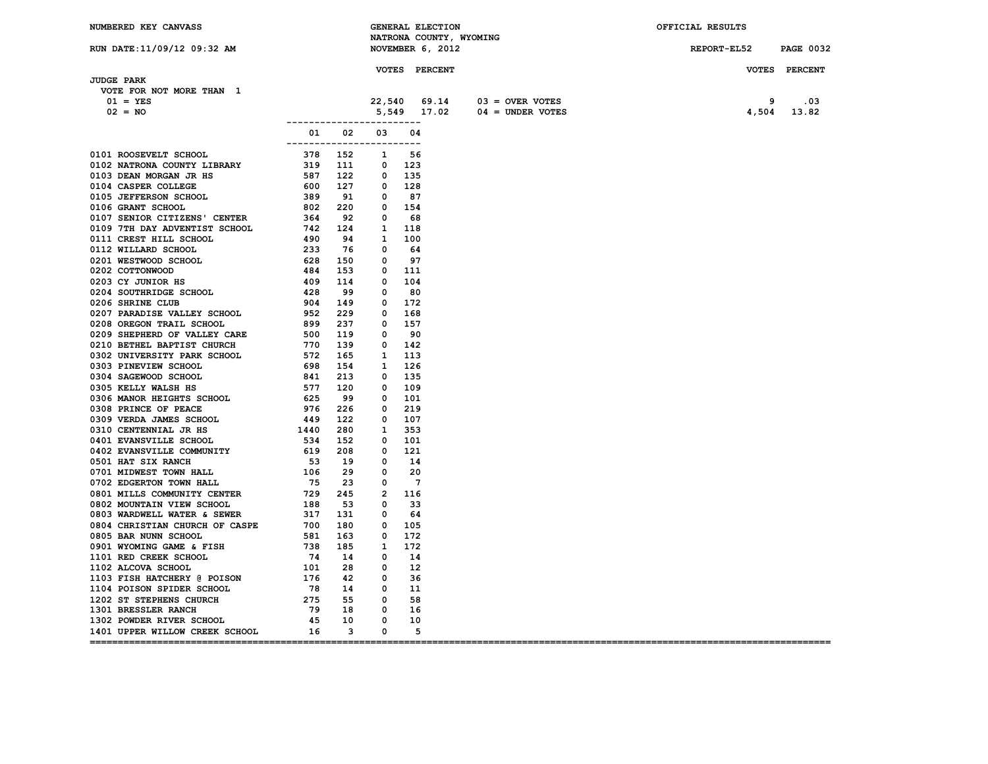| NUMBERED KEY CANVASS                                                                                                                                                                                                          |                                         |  | <b>GENERAL ELECTION</b> | NATRONA COUNTY, WYOMING        | OFFICIAL RESULTS      |               |
|-------------------------------------------------------------------------------------------------------------------------------------------------------------------------------------------------------------------------------|-----------------------------------------|--|-------------------------|--------------------------------|-----------------------|---------------|
| RUN DATE:11/09/12 09:32 AM                                                                                                                                                                                                    |                                         |  | NOVEMBER 6, 2012        |                                | REPORT-EL52 PAGE 0032 |               |
|                                                                                                                                                                                                                               |                                         |  |                         |                                |                       |               |
| <b>JUDGE PARK</b>                                                                                                                                                                                                             |                                         |  | <b>VOTES PERCENT</b>    |                                |                       | VOTES PERCENT |
| VOTE FOR NOT MORE THAN 1                                                                                                                                                                                                      |                                         |  |                         |                                |                       |               |
| $01 = YES$                                                                                                                                                                                                                    |                                         |  |                         | $22,540$ 69.14 03 = OVER VOTES | 9                     | .03           |
| $02 = NO$                                                                                                                                                                                                                     |                                         |  |                         | $5,549$ 17.02 04 = UNDER VOTES |                       | 4,504 13.82   |
|                                                                                                                                                                                                                               | -------------------------               |  |                         |                                |                       |               |
| 0101 ROOSWENT SCHOOL CONTRAINS CHOOL 2003 000 2012 0000 ANNOUNCEMENT SCHOOL 2003 0000 DEREVERS CHOOL 2003 0000 DEREVERS CHOOL 270 0000 DEREVERS CHOOL 2003 0000 SERVERS CHOOL 223 00000 DEREVERS CHOOL 223 00000 DEREVERS CHO | 01 02 03 04<br>------------------------ |  |                         |                                |                       |               |
|                                                                                                                                                                                                                               |                                         |  |                         |                                |                       |               |
|                                                                                                                                                                                                                               |                                         |  |                         |                                |                       |               |
|                                                                                                                                                                                                                               |                                         |  |                         |                                |                       |               |
|                                                                                                                                                                                                                               |                                         |  |                         |                                |                       |               |
|                                                                                                                                                                                                                               |                                         |  |                         |                                |                       |               |
|                                                                                                                                                                                                                               |                                         |  |                         |                                |                       |               |
|                                                                                                                                                                                                                               |                                         |  |                         |                                |                       |               |
|                                                                                                                                                                                                                               |                                         |  |                         |                                |                       |               |
|                                                                                                                                                                                                                               |                                         |  |                         |                                |                       |               |
|                                                                                                                                                                                                                               |                                         |  |                         |                                |                       |               |
|                                                                                                                                                                                                                               |                                         |  |                         |                                |                       |               |
|                                                                                                                                                                                                                               |                                         |  |                         |                                |                       |               |
|                                                                                                                                                                                                                               |                                         |  |                         |                                |                       |               |
|                                                                                                                                                                                                                               |                                         |  |                         |                                |                       |               |
|                                                                                                                                                                                                                               |                                         |  |                         |                                |                       |               |
|                                                                                                                                                                                                                               |                                         |  |                         |                                |                       |               |
|                                                                                                                                                                                                                               |                                         |  |                         |                                |                       |               |
|                                                                                                                                                                                                                               |                                         |  |                         |                                |                       |               |
|                                                                                                                                                                                                                               |                                         |  |                         |                                |                       |               |
|                                                                                                                                                                                                                               |                                         |  |                         |                                |                       |               |
|                                                                                                                                                                                                                               |                                         |  |                         |                                |                       |               |
|                                                                                                                                                                                                                               |                                         |  |                         |                                |                       |               |
|                                                                                                                                                                                                                               |                                         |  |                         |                                |                       |               |
|                                                                                                                                                                                                                               |                                         |  |                         |                                |                       |               |
|                                                                                                                                                                                                                               |                                         |  |                         |                                |                       |               |
|                                                                                                                                                                                                                               |                                         |  |                         |                                |                       |               |
|                                                                                                                                                                                                                               |                                         |  |                         |                                |                       |               |
|                                                                                                                                                                                                                               |                                         |  |                         |                                |                       |               |
|                                                                                                                                                                                                                               |                                         |  |                         |                                |                       |               |
|                                                                                                                                                                                                                               |                                         |  |                         |                                |                       |               |
|                                                                                                                                                                                                                               |                                         |  |                         |                                |                       |               |
|                                                                                                                                                                                                                               |                                         |  |                         |                                |                       |               |
|                                                                                                                                                                                                                               |                                         |  |                         |                                |                       |               |
|                                                                                                                                                                                                                               |                                         |  |                         |                                |                       |               |
|                                                                                                                                                                                                                               |                                         |  |                         |                                |                       |               |
|                                                                                                                                                                                                                               |                                         |  |                         |                                |                       |               |
|                                                                                                                                                                                                                               |                                         |  |                         |                                |                       |               |
|                                                                                                                                                                                                                               |                                         |  |                         |                                |                       |               |
|                                                                                                                                                                                                                               |                                         |  |                         |                                |                       |               |
|                                                                                                                                                                                                                               |                                         |  |                         |                                |                       |               |
|                                                                                                                                                                                                                               |                                         |  |                         |                                |                       |               |
|                                                                                                                                                                                                                               |                                         |  |                         |                                |                       |               |
|                                                                                                                                                                                                                               |                                         |  |                         |                                |                       |               |
|                                                                                                                                                                                                                               |                                         |  |                         |                                |                       |               |
| 1401 UPPER WILLOW CREEK SCHOOL 16 3 0                                                                                                                                                                                         |                                         |  | $-5$                    |                                |                       |               |
|                                                                                                                                                                                                                               |                                         |  |                         |                                |                       |               |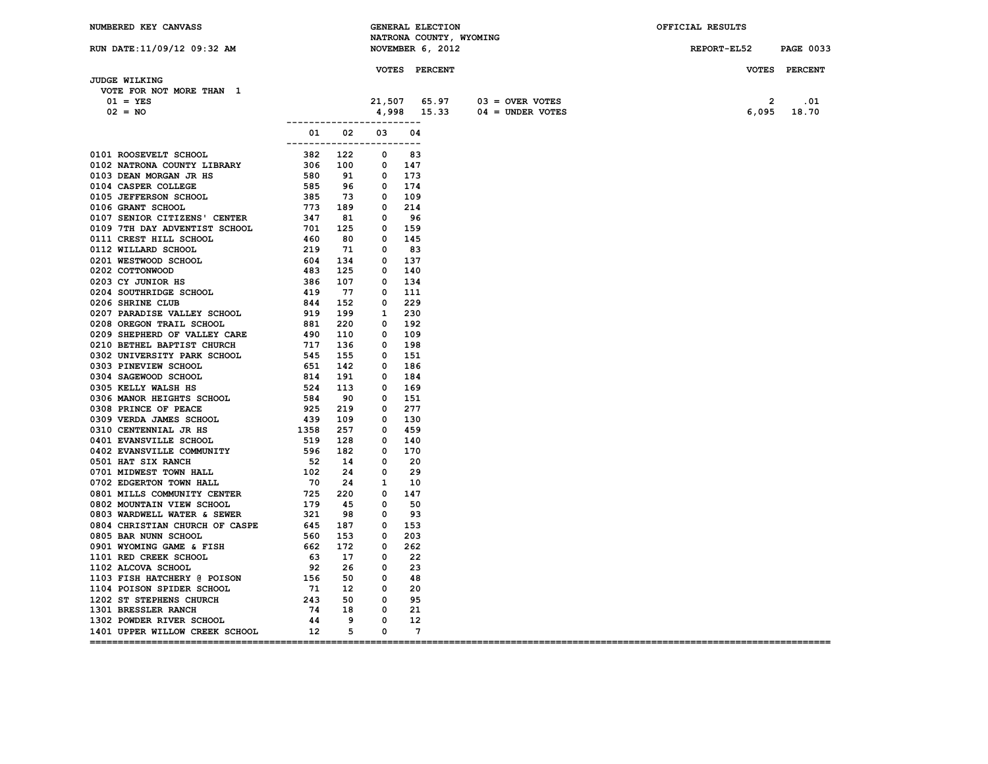| NUMBERED KEY CANVASS                  |                                         |  | <b>GENERAL ELECTION</b><br>NATRONA COUNTY, WYOMING |                                | OFFICIAL RESULTS      |               |
|---------------------------------------|-----------------------------------------|--|----------------------------------------------------|--------------------------------|-----------------------|---------------|
| RUN DATE:11/09/12 09:32 AM            |                                         |  | NOVEMBER 6, 2012                                   |                                | REPORT-EL52 PAGE 0033 |               |
|                                       |                                         |  |                                                    |                                |                       |               |
|                                       |                                         |  | <b>VOTES PERCENT</b>                               |                                |                       | VOTES PERCENT |
| <b>JUDGE WILKING</b>                  |                                         |  |                                                    |                                |                       |               |
| VOTE FOR NOT MORE THAN 1              |                                         |  |                                                    |                                |                       |               |
| $01 = YES$                            |                                         |  |                                                    | $21,507$ 65.97 03 = OVER VOTES | $\overline{2}$        | .01           |
| $02 = NO$                             |                                         |  |                                                    | $4,998$ 15.33 04 = UNDER VOTES |                       | 6,095 18.70   |
|                                       | -------------------------               |  |                                                    |                                |                       |               |
|                                       | 01 02 03 04<br>------------------------ |  |                                                    |                                |                       |               |
|                                       |                                         |  |                                                    |                                |                       |               |
|                                       |                                         |  |                                                    |                                |                       |               |
|                                       |                                         |  |                                                    |                                |                       |               |
|                                       |                                         |  |                                                    |                                |                       |               |
|                                       |                                         |  |                                                    |                                |                       |               |
|                                       |                                         |  |                                                    |                                |                       |               |
|                                       |                                         |  |                                                    |                                |                       |               |
|                                       |                                         |  |                                                    |                                |                       |               |
|                                       |                                         |  |                                                    |                                |                       |               |
|                                       |                                         |  |                                                    |                                |                       |               |
|                                       |                                         |  |                                                    |                                |                       |               |
|                                       |                                         |  |                                                    |                                |                       |               |
|                                       |                                         |  |                                                    |                                |                       |               |
|                                       |                                         |  |                                                    |                                |                       |               |
|                                       |                                         |  |                                                    |                                |                       |               |
|                                       |                                         |  |                                                    |                                |                       |               |
|                                       |                                         |  |                                                    |                                |                       |               |
|                                       |                                         |  |                                                    |                                |                       |               |
|                                       |                                         |  |                                                    |                                |                       |               |
|                                       |                                         |  |                                                    |                                |                       |               |
|                                       |                                         |  |                                                    |                                |                       |               |
|                                       |                                         |  |                                                    |                                |                       |               |
|                                       |                                         |  |                                                    |                                |                       |               |
|                                       |                                         |  |                                                    |                                |                       |               |
|                                       |                                         |  |                                                    |                                |                       |               |
|                                       |                                         |  |                                                    |                                |                       |               |
|                                       |                                         |  |                                                    |                                |                       |               |
|                                       |                                         |  |                                                    |                                |                       |               |
|                                       |                                         |  |                                                    |                                |                       |               |
|                                       |                                         |  |                                                    |                                |                       |               |
|                                       |                                         |  |                                                    |                                |                       |               |
|                                       |                                         |  |                                                    |                                |                       |               |
|                                       |                                         |  |                                                    |                                |                       |               |
|                                       |                                         |  |                                                    |                                |                       |               |
|                                       |                                         |  |                                                    |                                |                       |               |
|                                       |                                         |  |                                                    |                                |                       |               |
|                                       |                                         |  |                                                    |                                |                       |               |
|                                       |                                         |  |                                                    |                                |                       |               |
|                                       |                                         |  |                                                    |                                |                       |               |
|                                       |                                         |  |                                                    |                                |                       |               |
|                                       |                                         |  |                                                    |                                |                       |               |
|                                       |                                         |  |                                                    |                                |                       |               |
|                                       |                                         |  |                                                    |                                |                       |               |
|                                       |                                         |  |                                                    |                                |                       |               |
| 1401 UPPER WILLOW CREEK SCHOOL 12 5 0 |                                         |  | $\overline{7}$                                     |                                |                       |               |
|                                       |                                         |  |                                                    |                                |                       |               |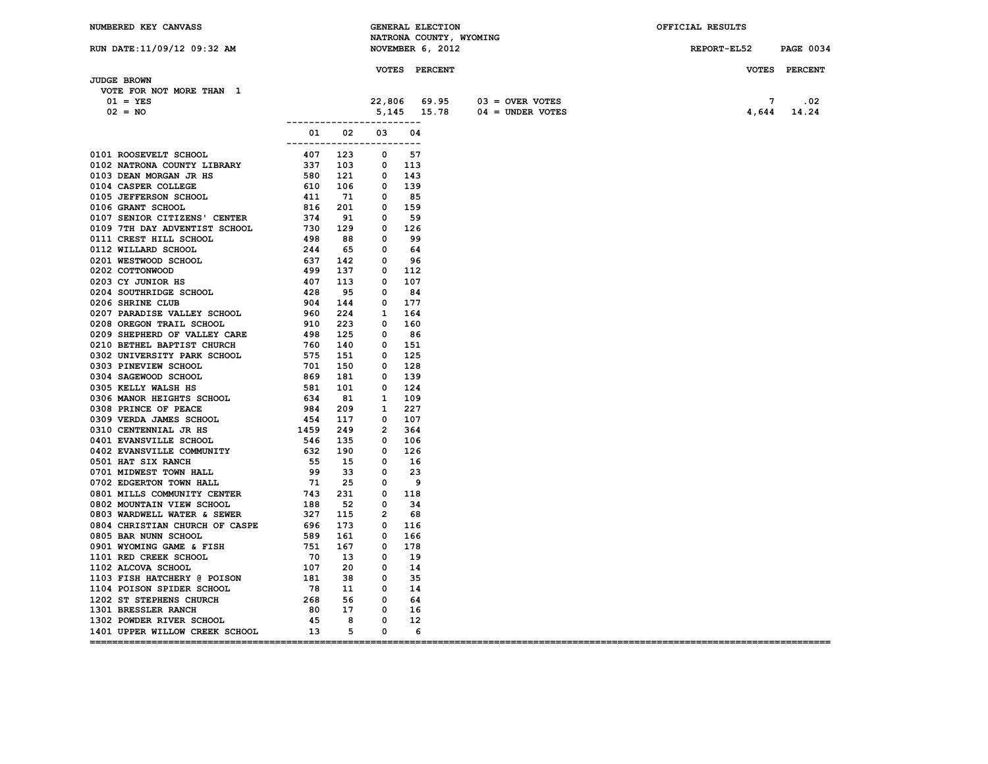| NUMBERED KEY CANVASS                                                                                                                                                                                                          |                           |  | <b>GENERAL ELECTION</b> |                                | OFFICIAL RESULTS      |               |
|-------------------------------------------------------------------------------------------------------------------------------------------------------------------------------------------------------------------------------|---------------------------|--|-------------------------|--------------------------------|-----------------------|---------------|
|                                                                                                                                                                                                                               |                           |  | NATRONA COUNTY, WYOMING |                                |                       |               |
| RUN DATE:11/09/12 09:32 AM                                                                                                                                                                                                    |                           |  | NOVEMBER 6, 2012        |                                | REPORT-EL52 PAGE 0034 |               |
|                                                                                                                                                                                                                               |                           |  | <b>VOTES PERCENT</b>    |                                |                       | VOTES PERCENT |
| JUDGE BROWN                                                                                                                                                                                                                   |                           |  |                         |                                |                       |               |
| VOTE FOR NOT MORE THAN 1                                                                                                                                                                                                      |                           |  |                         |                                |                       |               |
| $01 = YES$                                                                                                                                                                                                                    |                           |  |                         | $22,806$ 69.95 03 = OVER VOTES | 7                     | .02           |
| $02 = NO$                                                                                                                                                                                                                     |                           |  |                         | $5,145$ 15.78 04 = UNDER VOTES |                       | 4,644 14.24   |
|                                                                                                                                                                                                                               | ------------------------- |  |                         |                                |                       |               |
|                                                                                                                                                                                                                               | 01 02 03 04               |  |                         |                                |                       |               |
|                                                                                                                                                                                                                               | ------------------------- |  |                         |                                |                       |               |
|                                                                                                                                                                                                                               |                           |  |                         |                                |                       |               |
|                                                                                                                                                                                                                               |                           |  |                         |                                |                       |               |
|                                                                                                                                                                                                                               |                           |  |                         |                                |                       |               |
|                                                                                                                                                                                                                               |                           |  |                         |                                |                       |               |
|                                                                                                                                                                                                                               |                           |  |                         |                                |                       |               |
|                                                                                                                                                                                                                               |                           |  |                         |                                |                       |               |
|                                                                                                                                                                                                                               |                           |  |                         |                                |                       |               |
|                                                                                                                                                                                                                               |                           |  |                         |                                |                       |               |
|                                                                                                                                                                                                                               |                           |  |                         |                                |                       |               |
|                                                                                                                                                                                                                               |                           |  |                         |                                |                       |               |
|                                                                                                                                                                                                                               |                           |  |                         |                                |                       |               |
|                                                                                                                                                                                                                               |                           |  |                         |                                |                       |               |
|                                                                                                                                                                                                                               |                           |  |                         |                                |                       |               |
|                                                                                                                                                                                                                               |                           |  |                         |                                |                       |               |
|                                                                                                                                                                                                                               |                           |  |                         |                                |                       |               |
|                                                                                                                                                                                                                               |                           |  |                         |                                |                       |               |
|                                                                                                                                                                                                                               |                           |  |                         |                                |                       |               |
|                                                                                                                                                                                                                               |                           |  |                         |                                |                       |               |
|                                                                                                                                                                                                                               |                           |  |                         |                                |                       |               |
|                                                                                                                                                                                                                               |                           |  |                         |                                |                       |               |
|                                                                                                                                                                                                                               |                           |  |                         |                                |                       |               |
|                                                                                                                                                                                                                               |                           |  |                         |                                |                       |               |
|                                                                                                                                                                                                                               |                           |  |                         |                                |                       |               |
|                                                                                                                                                                                                                               |                           |  |                         |                                |                       |               |
|                                                                                                                                                                                                                               |                           |  |                         |                                |                       |               |
|                                                                                                                                                                                                                               |                           |  |                         |                                |                       |               |
|                                                                                                                                                                                                                               |                           |  |                         |                                |                       |               |
|                                                                                                                                                                                                                               |                           |  |                         |                                |                       |               |
|                                                                                                                                                                                                                               |                           |  |                         |                                |                       |               |
|                                                                                                                                                                                                                               |                           |  |                         |                                |                       |               |
|                                                                                                                                                                                                                               |                           |  |                         |                                |                       |               |
|                                                                                                                                                                                                                               |                           |  |                         |                                |                       |               |
|                                                                                                                                                                                                                               |                           |  |                         |                                |                       |               |
|                                                                                                                                                                                                                               |                           |  |                         |                                |                       |               |
|                                                                                                                                                                                                                               |                           |  |                         |                                |                       |               |
|                                                                                                                                                                                                                               |                           |  |                         |                                |                       |               |
|                                                                                                                                                                                                                               |                           |  |                         |                                |                       |               |
|                                                                                                                                                                                                                               |                           |  |                         |                                |                       |               |
|                                                                                                                                                                                                                               |                           |  |                         |                                |                       |               |
|                                                                                                                                                                                                                               |                           |  |                         |                                |                       |               |
|                                                                                                                                                                                                                               |                           |  |                         |                                |                       |               |
|                                                                                                                                                                                                                               |                           |  |                         |                                |                       |               |
|                                                                                                                                                                                                                               |                           |  |                         |                                |                       |               |
|                                                                                                                                                                                                                               |                           |  |                         |                                |                       |               |
|                                                                                                                                                                                                                               |                           |  |                         |                                |                       |               |
| 1401 UPPER WILLOW CREEK SCHOOL 13 5 0                                                                                                                                                                                         |                           |  | $6\overline{6}$         |                                |                       |               |
| 0101 ROOSWENT SCHOOL CONTRAINS CHOOL 2003 000 2013 000 2013 0000 2014 0000 2014 0000 2014 0000 2014 0000 2014 0000 2014 0000 2014 0000 2014 0000 2014 0000 2014 0000 2014 0000 2014 0000 2014 0000 2014 0000 2014 0000 2014 0 |                           |  |                         |                                |                       |               |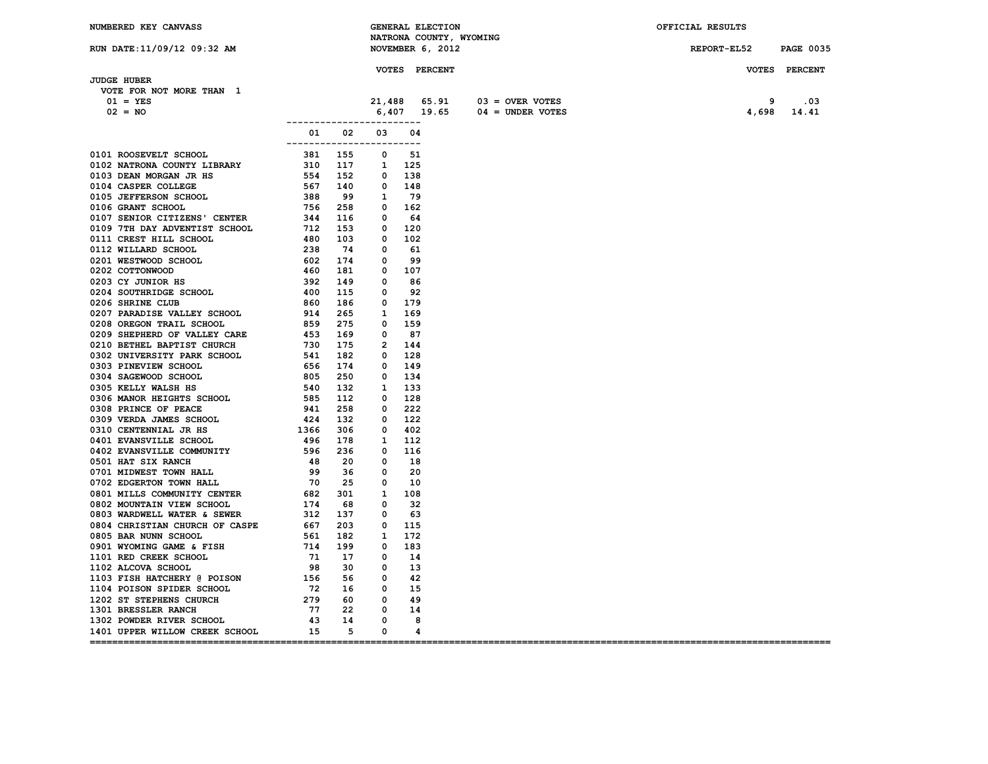| NUMBERED KEY CANVASS                  |                             |  | <b>GENERAL ELECTION</b> |                                    | OFFICIAL RESULTS |                  |
|---------------------------------------|-----------------------------|--|-------------------------|------------------------------------|------------------|------------------|
|                                       |                             |  | NATRONA COUNTY, WYOMING |                                    |                  |                  |
| RUN DATE:11/09/12 09:32 AM            |                             |  | NOVEMBER 6, 2012        |                                    | REPORT-EL52      | <b>PAGE 0035</b> |
|                                       |                             |  |                         |                                    |                  |                  |
| <b>JUDGE HUBER</b>                    |                             |  | <b>VOTES PERCENT</b>    |                                    |                  | VOTES PERCENT    |
| VOTE FOR NOT MORE THAN 1              |                             |  |                         |                                    |                  |                  |
| $01 = YES$                            |                             |  |                         | $21,488$ $65.91$ $03 =$ OVER VOTES | 9                | .03              |
| $02 = NO$                             |                             |  |                         | $6,407$ 19.65 04 = UNDER VOTES     | 4,698            | 14.41            |
|                                       | ___________________________ |  |                         |                                    |                  |                  |
|                                       | 01 02 03 04                 |  |                         |                                    |                  |                  |
|                                       | ------------------------    |  |                         |                                    |                  |                  |
|                                       |                             |  |                         |                                    |                  |                  |
|                                       |                             |  |                         |                                    |                  |                  |
|                                       |                             |  |                         |                                    |                  |                  |
|                                       |                             |  |                         |                                    |                  |                  |
|                                       |                             |  |                         |                                    |                  |                  |
|                                       |                             |  |                         |                                    |                  |                  |
|                                       |                             |  |                         |                                    |                  |                  |
|                                       |                             |  |                         |                                    |                  |                  |
|                                       |                             |  |                         |                                    |                  |                  |
|                                       |                             |  |                         |                                    |                  |                  |
|                                       |                             |  |                         |                                    |                  |                  |
|                                       |                             |  |                         |                                    |                  |                  |
|                                       |                             |  |                         |                                    |                  |                  |
|                                       |                             |  |                         |                                    |                  |                  |
|                                       |                             |  |                         |                                    |                  |                  |
|                                       |                             |  |                         |                                    |                  |                  |
|                                       |                             |  |                         |                                    |                  |                  |
|                                       |                             |  |                         |                                    |                  |                  |
|                                       |                             |  |                         |                                    |                  |                  |
|                                       |                             |  |                         |                                    |                  |                  |
|                                       |                             |  |                         |                                    |                  |                  |
|                                       |                             |  |                         |                                    |                  |                  |
|                                       |                             |  |                         |                                    |                  |                  |
|                                       |                             |  |                         |                                    |                  |                  |
|                                       |                             |  |                         |                                    |                  |                  |
|                                       |                             |  |                         |                                    |                  |                  |
|                                       |                             |  |                         |                                    |                  |                  |
|                                       |                             |  |                         |                                    |                  |                  |
|                                       |                             |  |                         |                                    |                  |                  |
|                                       |                             |  |                         |                                    |                  |                  |
|                                       |                             |  |                         |                                    |                  |                  |
|                                       |                             |  |                         |                                    |                  |                  |
|                                       |                             |  |                         |                                    |                  |                  |
|                                       |                             |  |                         |                                    |                  |                  |
|                                       |                             |  |                         |                                    |                  |                  |
|                                       |                             |  |                         |                                    |                  |                  |
|                                       |                             |  |                         |                                    |                  |                  |
|                                       |                             |  |                         |                                    |                  |                  |
|                                       |                             |  |                         |                                    |                  |                  |
|                                       |                             |  |                         |                                    |                  |                  |
|                                       |                             |  |                         |                                    |                  |                  |
|                                       |                             |  |                         |                                    |                  |                  |
|                                       |                             |  |                         |                                    |                  |                  |
|                                       |                             |  |                         |                                    |                  |                  |
|                                       |                             |  |                         |                                    |                  |                  |
| 1401 UPPER WILLOW CREEK SCHOOL 15 5 0 |                             |  | 4                       |                                    |                  |                  |
|                                       |                             |  |                         |                                    |                  |                  |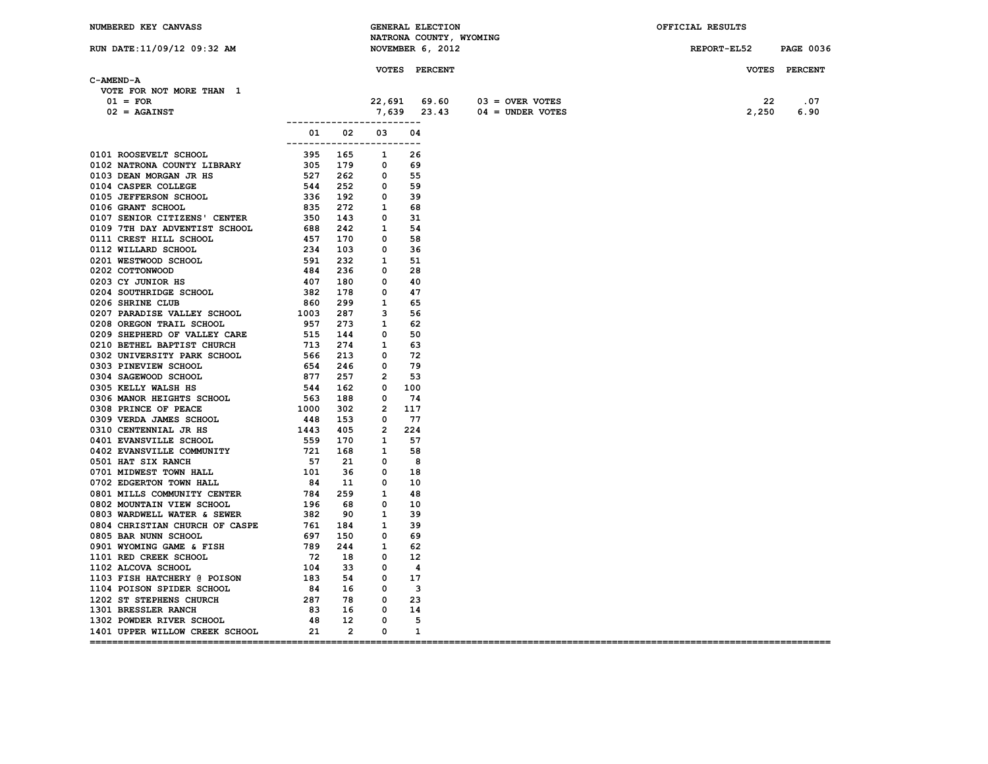| NUMBERED KEY CANVASS                                                                                                                                                                                                                                                               |                           | <b>GENERAL ELECTION</b> |               | NATRONA COUNTY, WYOMING        |  | OFFICIAL RESULTS      |  |
|------------------------------------------------------------------------------------------------------------------------------------------------------------------------------------------------------------------------------------------------------------------------------------|---------------------------|-------------------------|---------------|--------------------------------|--|-----------------------|--|
| RUN DATE:11/09/12 09:32 AM                                                                                                                                                                                                                                                         |                           | NOVEMBER 6, 2012        |               |                                |  | REPORT-EL52 PAGE 0036 |  |
|                                                                                                                                                                                                                                                                                    |                           |                         | VOTES PERCENT |                                |  | VOTES PERCENT         |  |
| C-AMEND-A                                                                                                                                                                                                                                                                          |                           |                         |               |                                |  |                       |  |
| VOTE FOR NOT MORE THAN 1                                                                                                                                                                                                                                                           |                           |                         |               |                                |  |                       |  |
| $01 = FOR$                                                                                                                                                                                                                                                                         |                           |                         |               | $22,691$ 69.60 03 = OVER VOTES |  | 22<br>.07             |  |
| $02 = AGAINST$                                                                                                                                                                                                                                                                     |                           |                         |               | $7,639$ 23.43 04 = UNDER VOTES |  | 2,250<br>6.90         |  |
|                                                                                                                                                                                                                                                                                    | ------------------------- |                         |               |                                |  |                       |  |
|                                                                                                                                                                                                                                                                                    | ------------------------- | 01 02 03 04             |               |                                |  |                       |  |
|                                                                                                                                                                                                                                                                                    |                           |                         |               |                                |  |                       |  |
|                                                                                                                                                                                                                                                                                    |                           |                         |               |                                |  |                       |  |
|                                                                                                                                                                                                                                                                                    |                           |                         |               |                                |  |                       |  |
|                                                                                                                                                                                                                                                                                    |                           |                         |               |                                |  |                       |  |
|                                                                                                                                                                                                                                                                                    |                           |                         |               |                                |  |                       |  |
|                                                                                                                                                                                                                                                                                    |                           |                         |               |                                |  |                       |  |
|                                                                                                                                                                                                                                                                                    |                           |                         |               |                                |  |                       |  |
|                                                                                                                                                                                                                                                                                    |                           |                         |               |                                |  |                       |  |
|                                                                                                                                                                                                                                                                                    |                           |                         |               |                                |  |                       |  |
|                                                                                                                                                                                                                                                                                    |                           |                         |               |                                |  |                       |  |
|                                                                                                                                                                                                                                                                                    |                           |                         |               |                                |  |                       |  |
|                                                                                                                                                                                                                                                                                    |                           |                         |               |                                |  |                       |  |
|                                                                                                                                                                                                                                                                                    |                           |                         |               |                                |  |                       |  |
|                                                                                                                                                                                                                                                                                    |                           |                         |               |                                |  |                       |  |
|                                                                                                                                                                                                                                                                                    |                           |                         |               |                                |  |                       |  |
|                                                                                                                                                                                                                                                                                    |                           |                         |               |                                |  |                       |  |
|                                                                                                                                                                                                                                                                                    |                           |                         |               |                                |  |                       |  |
|                                                                                                                                                                                                                                                                                    |                           |                         |               |                                |  |                       |  |
|                                                                                                                                                                                                                                                                                    |                           |                         |               |                                |  |                       |  |
|                                                                                                                                                                                                                                                                                    |                           |                         |               |                                |  |                       |  |
|                                                                                                                                                                                                                                                                                    |                           |                         |               |                                |  |                       |  |
|                                                                                                                                                                                                                                                                                    |                           |                         |               |                                |  |                       |  |
|                                                                                                                                                                                                                                                                                    |                           |                         |               |                                |  |                       |  |
|                                                                                                                                                                                                                                                                                    |                           |                         |               |                                |  |                       |  |
|                                                                                                                                                                                                                                                                                    |                           |                         |               |                                |  |                       |  |
|                                                                                                                                                                                                                                                                                    |                           |                         |               |                                |  |                       |  |
|                                                                                                                                                                                                                                                                                    |                           |                         |               |                                |  |                       |  |
|                                                                                                                                                                                                                                                                                    |                           |                         |               |                                |  |                       |  |
|                                                                                                                                                                                                                                                                                    |                           |                         |               |                                |  |                       |  |
|                                                                                                                                                                                                                                                                                    |                           |                         |               |                                |  |                       |  |
|                                                                                                                                                                                                                                                                                    |                           |                         |               |                                |  |                       |  |
|                                                                                                                                                                                                                                                                                    |                           |                         |               |                                |  |                       |  |
|                                                                                                                                                                                                                                                                                    |                           |                         |               |                                |  |                       |  |
|                                                                                                                                                                                                                                                                                    |                           |                         |               |                                |  |                       |  |
|                                                                                                                                                                                                                                                                                    |                           |                         |               |                                |  |                       |  |
|                                                                                                                                                                                                                                                                                    |                           |                         |               |                                |  |                       |  |
|                                                                                                                                                                                                                                                                                    |                           |                         |               |                                |  |                       |  |
|                                                                                                                                                                                                                                                                                    |                           |                         |               |                                |  |                       |  |
|                                                                                                                                                                                                                                                                                    |                           |                         |               |                                |  |                       |  |
|                                                                                                                                                                                                                                                                                    |                           |                         |               |                                |  |                       |  |
|                                                                                                                                                                                                                                                                                    |                           |                         |               |                                |  |                       |  |
|                                                                                                                                                                                                                                                                                    |                           |                         |               |                                |  |                       |  |
|                                                                                                                                                                                                                                                                                    |                           |                         |               |                                |  |                       |  |
|                                                                                                                                                                                                                                                                                    |                           |                         |               |                                |  |                       |  |
|                                                                                                                                                                                                                                                                                    |                           |                         |               |                                |  |                       |  |
| 0204 SOVIENIDES SCHOOL 382 178<br>0206 SHRINE CLUB (1962)<br>0206 SHRINE CLUB (1962)<br>0207 PARADISE VALLEY SCHOOL 1003 287 3 56<br>0209 SHEPHERD OF VALLEY CARE<br>02009 SHEPHERD OF VALLEY CARE<br>0302 UNIVERSITY PARK SCHOOL 566 213<br>1401 UPPER WILLOW CREEK SCHOOL 21 2 0 |                           |                         | 1             |                                |  |                       |  |
|                                                                                                                                                                                                                                                                                    |                           |                         |               |                                |  |                       |  |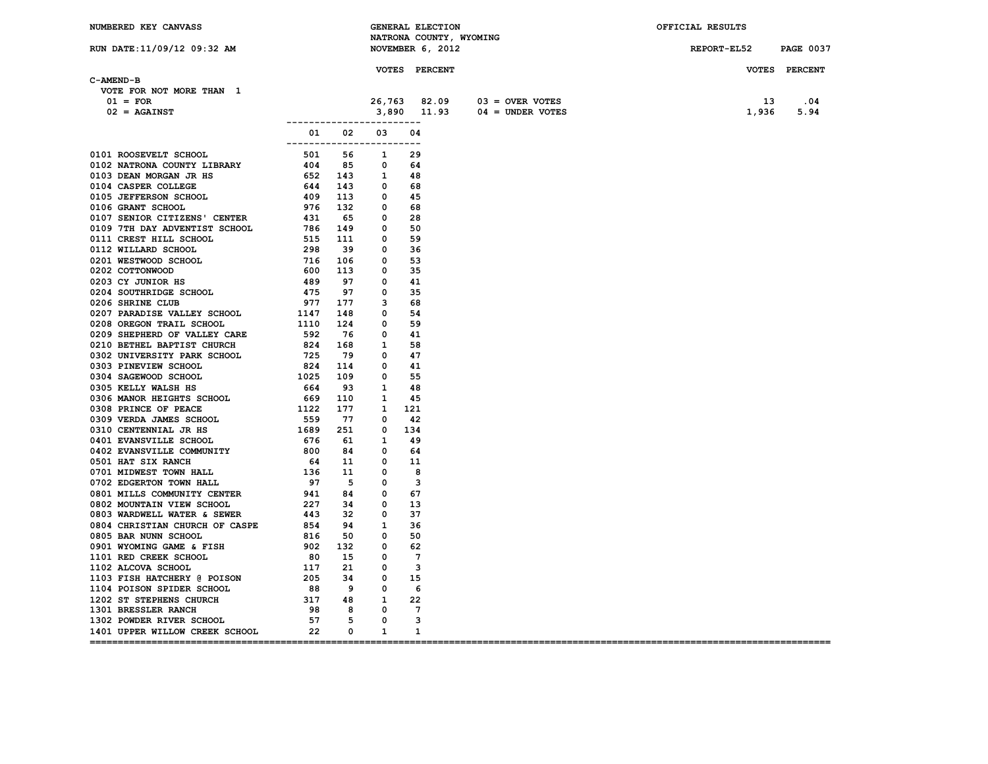| NUMBERED KEY CANVASS                                                                                                                                                                                                                     |                           |  | GENERAL ELECTION                            |                                    | OFFICIAL RESULTS      |               |
|------------------------------------------------------------------------------------------------------------------------------------------------------------------------------------------------------------------------------------------|---------------------------|--|---------------------------------------------|------------------------------------|-----------------------|---------------|
| RUN DATE: 11/09/12 09:32 AM                                                                                                                                                                                                              |                           |  | NATRONA COUNTY, WYOMING<br>NOVEMBER 6, 2012 |                                    | REPORT-EL52 PAGE 0037 |               |
|                                                                                                                                                                                                                                          |                           |  |                                             |                                    |                       |               |
|                                                                                                                                                                                                                                          |                           |  | <b>VOTES PERCENT</b>                        |                                    |                       | VOTES PERCENT |
| C-AMEND-B                                                                                                                                                                                                                                |                           |  |                                             |                                    |                       |               |
| VOTE FOR NOT MORE THAN 1                                                                                                                                                                                                                 |                           |  |                                             |                                    |                       |               |
| $01 = FOR$                                                                                                                                                                                                                               |                           |  |                                             | $26,763$ 82.09 03 = OVER VOTES     | - 13                  | .04           |
| $02 = AGAINST$                                                                                                                                                                                                                           |                           |  |                                             | $3,890$ $11.93$ $04 =$ UNDER VOTES | 1,936                 | 5.94          |
|                                                                                                                                                                                                                                          | ------------------------- |  |                                             |                                    |                       |               |
|                                                                                                                                                                                                                                          | 01 02 03 04               |  |                                             |                                    |                       |               |
|                                                                                                                                                                                                                                          | ------------------------- |  |                                             |                                    |                       |               |
|                                                                                                                                                                                                                                          |                           |  |                                             |                                    |                       |               |
|                                                                                                                                                                                                                                          |                           |  |                                             |                                    |                       |               |
|                                                                                                                                                                                                                                          |                           |  |                                             |                                    |                       |               |
|                                                                                                                                                                                                                                          |                           |  |                                             |                                    |                       |               |
|                                                                                                                                                                                                                                          |                           |  |                                             |                                    |                       |               |
|                                                                                                                                                                                                                                          |                           |  |                                             |                                    |                       |               |
|                                                                                                                                                                                                                                          |                           |  |                                             |                                    |                       |               |
|                                                                                                                                                                                                                                          |                           |  |                                             |                                    |                       |               |
|                                                                                                                                                                                                                                          |                           |  |                                             |                                    |                       |               |
|                                                                                                                                                                                                                                          |                           |  |                                             |                                    |                       |               |
|                                                                                                                                                                                                                                          |                           |  |                                             |                                    |                       |               |
|                                                                                                                                                                                                                                          |                           |  |                                             |                                    |                       |               |
|                                                                                                                                                                                                                                          |                           |  |                                             |                                    |                       |               |
|                                                                                                                                                                                                                                          |                           |  |                                             |                                    |                       |               |
|                                                                                                                                                                                                                                          |                           |  |                                             |                                    |                       |               |
|                                                                                                                                                                                                                                          |                           |  |                                             |                                    |                       |               |
|                                                                                                                                                                                                                                          |                           |  |                                             |                                    |                       |               |
| 0200 SAKINE CROSSER VALLEY SCHOOL 1147 148 0 54<br>0208 OREGON TRAIL SCHOOL 1110 124 0 59<br>0209 SHEPHERD OF VALLEY CARE 592 76 0 41<br>0209 SHEPHERD OF THE CARE 592 76 0 41                                                           |                           |  |                                             |                                    |                       |               |
|                                                                                                                                                                                                                                          |                           |  |                                             |                                    |                       |               |
|                                                                                                                                                                                                                                          |                           |  |                                             |                                    |                       |               |
|                                                                                                                                                                                                                                          |                           |  |                                             |                                    |                       |               |
|                                                                                                                                                                                                                                          |                           |  |                                             |                                    |                       |               |
|                                                                                                                                                                                                                                          |                           |  |                                             |                                    |                       |               |
|                                                                                                                                                                                                                                          |                           |  |                                             |                                    |                       |               |
|                                                                                                                                                                                                                                          |                           |  |                                             |                                    |                       |               |
|                                                                                                                                                                                                                                          |                           |  |                                             |                                    |                       |               |
|                                                                                                                                                                                                                                          |                           |  |                                             |                                    |                       |               |
|                                                                                                                                                                                                                                          |                           |  |                                             |                                    |                       |               |
|                                                                                                                                                                                                                                          |                           |  |                                             |                                    |                       |               |
|                                                                                                                                                                                                                                          |                           |  |                                             |                                    |                       |               |
|                                                                                                                                                                                                                                          |                           |  |                                             |                                    |                       |               |
|                                                                                                                                                                                                                                          |                           |  |                                             |                                    |                       |               |
|                                                                                                                                                                                                                                          |                           |  |                                             |                                    |                       |               |
|                                                                                                                                                                                                                                          |                           |  |                                             |                                    |                       |               |
|                                                                                                                                                                                                                                          |                           |  |                                             |                                    |                       |               |
|                                                                                                                                                                                                                                          |                           |  |                                             |                                    |                       |               |
|                                                                                                                                                                                                                                          |                           |  |                                             |                                    |                       |               |
|                                                                                                                                                                                                                                          |                           |  |                                             |                                    |                       |               |
|                                                                                                                                                                                                                                          |                           |  |                                             |                                    |                       |               |
|                                                                                                                                                                                                                                          |                           |  |                                             |                                    |                       |               |
|                                                                                                                                                                                                                                          |                           |  |                                             |                                    |                       |               |
|                                                                                                                                                                                                                                          |                           |  |                                             |                                    |                       |               |
|                                                                                                                                                                                                                                          |                           |  |                                             |                                    |                       |               |
|                                                                                                                                                                                                                                          |                           |  |                                             |                                    |                       |               |
|                                                                                                                                                                                                                                          |                           |  |                                             |                                    |                       |               |
| 0208 OREGON TRAIL SCROOL (110 124 0<br>0209 SHEPHERD OF VALLEY CARE<br>0210 BETHERD OF VALLEY CARE<br>110 124 0 59<br>0310 UNIVERSITY PARK SCHOOL (125 108 118 58<br>0303 PINEVIEW SCHOOL (125 109 0 47<br>0303 PINEVIEW SCHOOL (125 109 |                           |  |                                             |                                    |                       |               |
| 1401 UPPER WILLOW CREEK SCHOOL 22 0 1                                                                                                                                                                                                    |                           |  | $\overline{\phantom{a}}$                    |                                    |                       |               |
|                                                                                                                                                                                                                                          |                           |  |                                             |                                    |                       |               |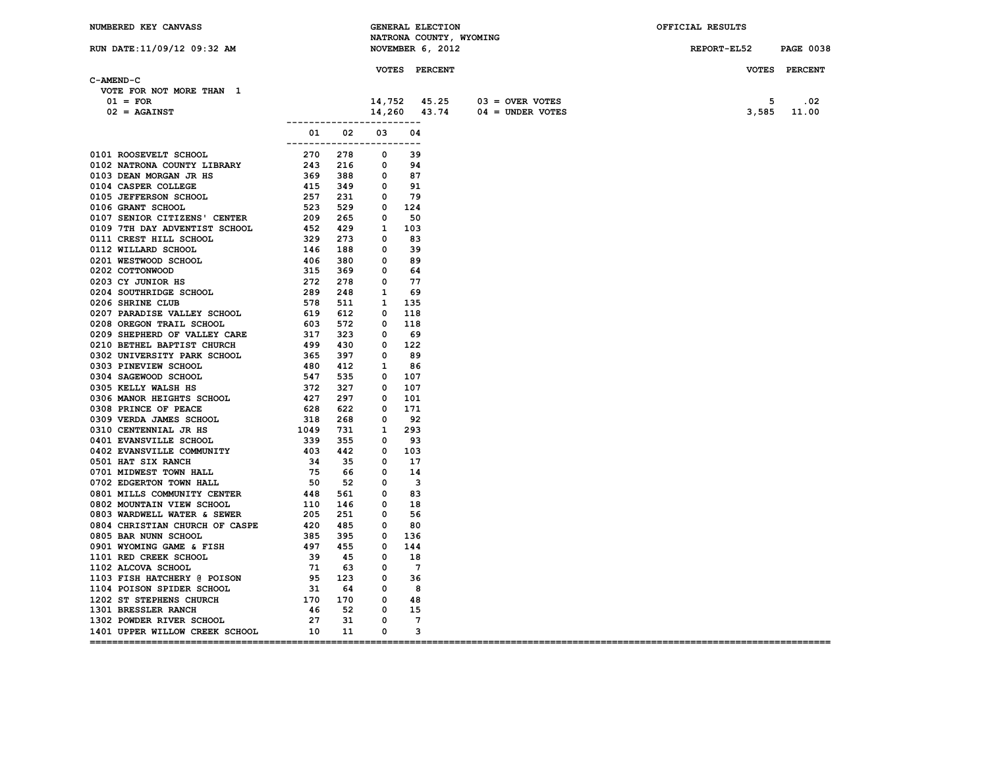| NUMBERED KEY CANVASS                                                                                                                                                                                                                      |                           |  | <b>GENERAL ELECTION</b>    |                                     | OFFICIAL RESULTS      |               |
|-------------------------------------------------------------------------------------------------------------------------------------------------------------------------------------------------------------------------------------------|---------------------------|--|----------------------------|-------------------------------------|-----------------------|---------------|
|                                                                                                                                                                                                                                           |                           |  | NATRONA COUNTY, WYOMING    |                                     |                       |               |
| RUN DATE:11/09/12 09:32 AM                                                                                                                                                                                                                |                           |  | NOVEMBER 6, 2012           |                                     | REPORT-EL52 PAGE 0038 |               |
|                                                                                                                                                                                                                                           |                           |  |                            |                                     |                       |               |
| C-AMEND-C                                                                                                                                                                                                                                 |                           |  | <b>VOTES PERCENT</b>       |                                     |                       | VOTES PERCENT |
| VOTE FOR NOT MORE THAN 1                                                                                                                                                                                                                  |                           |  |                            |                                     |                       |               |
| $01 = FOR$                                                                                                                                                                                                                                |                           |  |                            | $14,752$ $45.25$ $03 =$ OVER VOTES  | 5                     | .02           |
|                                                                                                                                                                                                                                           |                           |  |                            |                                     |                       | 3,585 11.00   |
| $02 = AGAINST$                                                                                                                                                                                                                            | ------------------------- |  |                            | $14,260$ $43.74$ $04 =$ UNDER VOTES |                       |               |
|                                                                                                                                                                                                                                           | 01 02 03 04               |  |                            |                                     |                       |               |
| 0101 ROOSTVELT SCHOOL CONTRAIN THE SAME 2010 10021 NATIONAL CONTRAIN CONTRAIN SCHOOL 2010 2013 216 0 394<br>10104 CASPER COLLEGE AS 49 3216 0 394<br>10104 CASPER COLLEGE AS 49 3216 0 394<br>10104 CASPER COLLEGE AS 49 3216 0 394<br>10 | ------------------------- |  |                            |                                     |                       |               |
|                                                                                                                                                                                                                                           |                           |  |                            |                                     |                       |               |
|                                                                                                                                                                                                                                           |                           |  |                            |                                     |                       |               |
|                                                                                                                                                                                                                                           |                           |  |                            |                                     |                       |               |
|                                                                                                                                                                                                                                           |                           |  |                            |                                     |                       |               |
|                                                                                                                                                                                                                                           |                           |  |                            |                                     |                       |               |
|                                                                                                                                                                                                                                           |                           |  |                            |                                     |                       |               |
|                                                                                                                                                                                                                                           |                           |  |                            |                                     |                       |               |
|                                                                                                                                                                                                                                           |                           |  |                            |                                     |                       |               |
|                                                                                                                                                                                                                                           |                           |  |                            |                                     |                       |               |
|                                                                                                                                                                                                                                           |                           |  |                            |                                     |                       |               |
|                                                                                                                                                                                                                                           |                           |  |                            |                                     |                       |               |
|                                                                                                                                                                                                                                           |                           |  |                            |                                     |                       |               |
|                                                                                                                                                                                                                                           |                           |  |                            |                                     |                       |               |
|                                                                                                                                                                                                                                           |                           |  |                            |                                     |                       |               |
|                                                                                                                                                                                                                                           |                           |  |                            |                                     |                       |               |
|                                                                                                                                                                                                                                           |                           |  |                            |                                     |                       |               |
|                                                                                                                                                                                                                                           |                           |  |                            |                                     |                       |               |
|                                                                                                                                                                                                                                           |                           |  |                            |                                     |                       |               |
|                                                                                                                                                                                                                                           |                           |  |                            |                                     |                       |               |
|                                                                                                                                                                                                                                           |                           |  |                            |                                     |                       |               |
|                                                                                                                                                                                                                                           |                           |  |                            |                                     |                       |               |
|                                                                                                                                                                                                                                           |                           |  |                            |                                     |                       |               |
|                                                                                                                                                                                                                                           |                           |  |                            |                                     |                       |               |
|                                                                                                                                                                                                                                           |                           |  |                            |                                     |                       |               |
|                                                                                                                                                                                                                                           |                           |  |                            |                                     |                       |               |
|                                                                                                                                                                                                                                           |                           |  |                            |                                     |                       |               |
|                                                                                                                                                                                                                                           |                           |  |                            |                                     |                       |               |
|                                                                                                                                                                                                                                           |                           |  |                            |                                     |                       |               |
|                                                                                                                                                                                                                                           |                           |  |                            |                                     |                       |               |
|                                                                                                                                                                                                                                           |                           |  |                            |                                     |                       |               |
|                                                                                                                                                                                                                                           |                           |  |                            |                                     |                       |               |
|                                                                                                                                                                                                                                           |                           |  |                            |                                     |                       |               |
|                                                                                                                                                                                                                                           |                           |  |                            |                                     |                       |               |
|                                                                                                                                                                                                                                           |                           |  |                            |                                     |                       |               |
|                                                                                                                                                                                                                                           |                           |  |                            |                                     |                       |               |
|                                                                                                                                                                                                                                           |                           |  |                            |                                     |                       |               |
|                                                                                                                                                                                                                                           |                           |  |                            |                                     |                       |               |
|                                                                                                                                                                                                                                           |                           |  |                            |                                     |                       |               |
|                                                                                                                                                                                                                                           |                           |  |                            |                                     |                       |               |
|                                                                                                                                                                                                                                           |                           |  |                            |                                     |                       |               |
|                                                                                                                                                                                                                                           |                           |  |                            |                                     |                       |               |
|                                                                                                                                                                                                                                           |                           |  |                            |                                     |                       |               |
|                                                                                                                                                                                                                                           |                           |  |                            |                                     |                       |               |
|                                                                                                                                                                                                                                           |                           |  |                            |                                     |                       |               |
|                                                                                                                                                                                                                                           |                           |  |                            |                                     |                       |               |
|                                                                                                                                                                                                                                           |                           |  |                            |                                     |                       |               |
| 1401 UPPER WILLOW CREEK SCHOOL 10 11 0                                                                                                                                                                                                    |                           |  | $\overline{\phantom{a}}$ 3 |                                     |                       |               |
|                                                                                                                                                                                                                                           |                           |  |                            |                                     |                       |               |